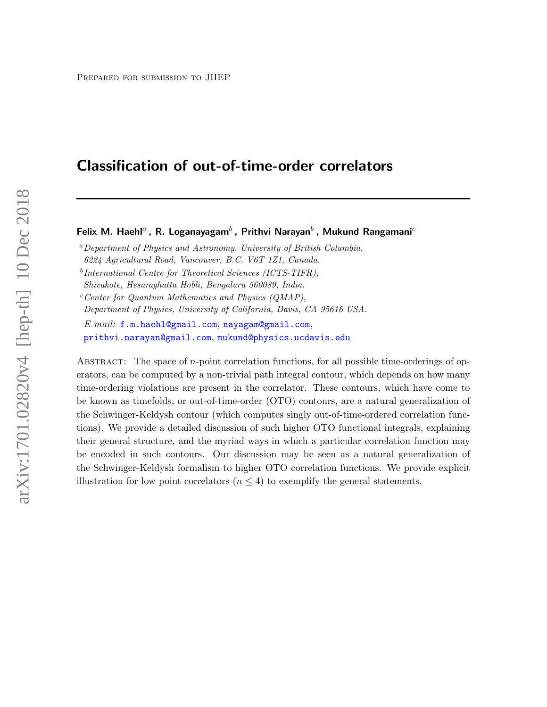# Classification of out-of-time-order correlators

Felix M. Haehl<sup>a</sup>, R. Loganayagam<sup>b</sup>, Prithvi Narayan<sup>b</sup>, Mukund Rangamani<sup>c</sup>

 ${}^a$ Department of Physics and Astronomy, University of British Columbia,

6224 Agricultural Road, Vancouver, B.C. V6T 1Z1, Canada.

<sup>b</sup>International Centre for Theoretical Sciences (ICTS-TIFR),

Shivakote, Hesaraghatta Hobli, Bengaluru 560089, India.

 $c$ <sup>c</sup>Center for Quantum Mathematics and Physics (QMAP),

Department of Physics, University of California, Davis, CA 95616 USA.

E-mail: [f.m.haehl@gmail.com](mailto:f.m.haehl@gmail.com), [nayagam@gmail.com](mailto:nayagam@gmail.com), [prithvi.narayan@gmail.com](mailto:prithvi.narayan@gmail.com), [mukund@physics.ucdavis.edu](mailto:mukund@physics.ucdavis.edu)

ABSTRACT: The space of  $n$ -point correlation functions, for all possible time-orderings of operators, can be computed by a non-trivial path integral contour, which depends on how many time-ordering violations are present in the correlator. These contours, which have come to be known as timefolds, or out-of-time-order (OTO) contours, are a natural generalization of the Schwinger-Keldysh contour (which computes singly out-of-time-ordered correlation functions). We provide a detailed discussion of such higher OTO functional integrals, explaining their general structure, and the myriad ways in which a particular correlation function may be encoded in such contours. Our discussion may be seen as a natural generalization of the Schwinger-Keldysh formalism to higher OTO correlation functions. We provide explicit illustration for low point correlators ( $n \leq 4$ ) to exemplify the general statements.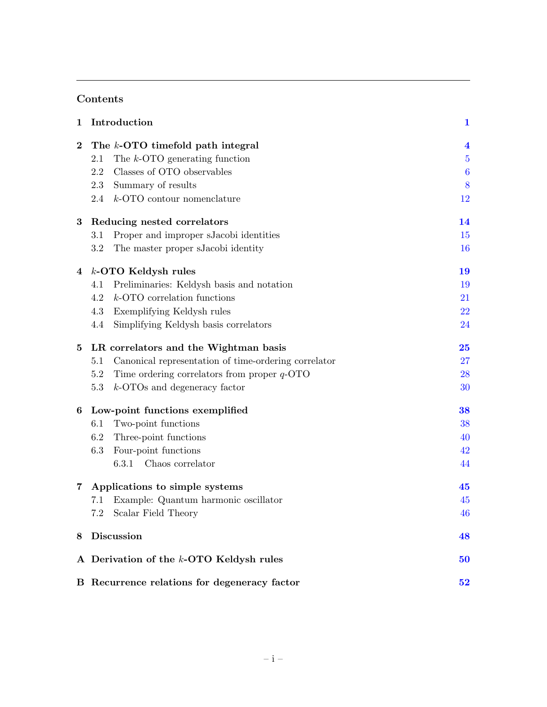# Contents

| 1              | Introduction                                                | $\mathbf{1}$            |
|----------------|-------------------------------------------------------------|-------------------------|
| $\bf{2}$       | The k-OTO timefold path integral                            | $\overline{\mathbf{4}}$ |
|                | The $k$ -OTO generating function<br>2.1                     | $\overline{5}$          |
|                | Classes of OTO observables<br>2.2                           | $\boldsymbol{6}$        |
|                | Summary of results<br>2.3                                   | 8                       |
|                | 2.4<br>$k$ -OTO contour nomenclature                        | 12                      |
| $\bf{3}$       | Reducing nested correlators                                 | 14                      |
|                | Proper and improper sJacobi identities<br>3.1               | 15                      |
|                | 3.2<br>The master proper sJacobi identity                   | 16                      |
| 4              | $k$ -OTO Keldysh rules                                      | 19                      |
|                | Preliminaries: Keldysh basis and notation<br>4.1            | 19                      |
|                | 4.2<br>$k$ -OTO correlation functions                       | 21                      |
|                | 4.3<br>Exemplifying Keldysh rules                           | 22                      |
|                | 4.4<br>Simplifying Keldysh basis correlators                | 24                      |
| 5              | LR correlators and the Wightman basis                       | 25                      |
|                | Canonical representation of time-ordering correlator<br>5.1 | 27                      |
|                | 5.2<br>Time ordering correlators from proper $q$ -OTO       | 28                      |
|                | $k$ -OTOs and degeneracy factor<br>5.3                      | 30                      |
| 6              | Low-point functions exemplified                             | 38                      |
|                | Two-point functions<br>6.1                                  | 38                      |
|                | 6.2<br>Three-point functions                                | 40                      |
|                | Four-point functions<br>6.3                                 | 42                      |
|                | 6.3.1<br>Chaos correlator                                   | 44                      |
| $\overline{7}$ | Applications to simple systems                              | 45                      |
|                | Example: Quantum harmonic oscillator<br>7.1                 | 45                      |
|                | 7.2<br>Scalar Field Theory                                  | 46                      |
| 8              | <b>Discussion</b>                                           | 48                      |
|                | A Derivation of the k-OTO Keldysh rules                     | 50                      |
|                | B Recurrence relations for degeneracy factor                | 52                      |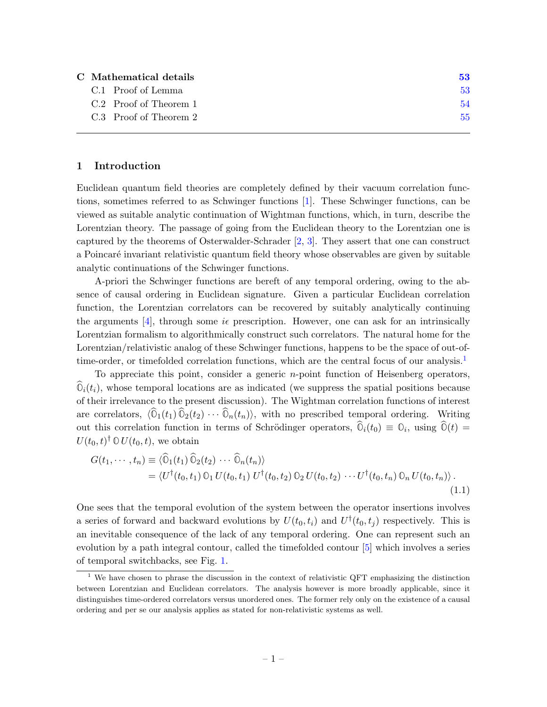| C Mathematical details | 53 |
|------------------------|----|
| C.1 Proof of Lemma     | 53 |
| C.2 Proof of Theorem 1 | 54 |
| C.3 Proof of Theorem 2 | 55 |
|                        |    |

#### <span id="page-2-0"></span>1 Introduction

Euclidean quantum field theories are completely defined by their vacuum correlation functions, sometimes referred to as Schwinger functions [\[1\]](#page-57-0). These Schwinger functions, can be viewed as suitable analytic continuation of Wightman functions, which, in turn, describe the Lorentzian theory. The passage of going from the Euclidean theory to the Lorentzian one is captured by the theorems of Osterwalder-Schrader [\[2,](#page-57-1) [3\]](#page-57-2). They assert that one can construct a Poincaré invariant relativistic quantum field theory whose observables are given by suitable analytic continuations of the Schwinger functions.

A-priori the Schwinger functions are bereft of any temporal ordering, owing to the absence of causal ordering in Euclidean signature. Given a particular Euclidean correlation function, the Lorentzian correlators can be recovered by suitably analytically continuing the arguments [\[4\]](#page-57-3), through some  $i\epsilon$  prescription. However, one can ask for an intrinsically Lorentzian formalism to algorithmically construct such correlators. The natural home for the Lorentzian/relativistic analog of these Schwinger functions, happens to be the space of out-of-time-order, or timefolded correlation functions, which are the central focus of our analysis.<sup>[1](#page-2-1)</sup>

To appreciate this point, consider a generic n-point function of Heisenberg operators,  $\mathbb{O}_i(t_i)$ , whose temporal locations are as indicated (we suppress the spatial positions because of their irrelevance to the present discussion). The Wightman correlation functions of interest are correlators,  $\langle \hat{O}_1(t_1) \hat{O}_2(t_2) \cdots \hat{O}_n(t_n) \rangle$ , with no prescribed temporal ordering. Writing out this correlation function in terms of Schrödinger operators,  $\mathbb{O}_i(t_0) \equiv \mathbb{O}_i$ , using  $\mathbb{O}(t) =$  $U(t_0, t)^\dagger \mathbb{O} U(t_0, t)$ , we obtain

<span id="page-2-2"></span>
$$
G(t_1,\dots,t_n) \equiv \langle \widehat{\mathbb{O}}_1(t_1) \widehat{\mathbb{O}}_2(t_2) \cdots \widehat{\mathbb{O}}_n(t_n) \rangle
$$
  
= 
$$
\langle U^{\dagger}(t_0,t_1) \mathbb{O}_1 U(t_0,t_1) U^{\dagger}(t_0,t_2) \mathbb{O}_2 U(t_0,t_2) \cdots U^{\dagger}(t_0,t_n) \mathbb{O}_n U(t_0,t_n) \rangle.
$$
 (1.1)

One sees that the temporal evolution of the system between the operator insertions involves a series of forward and backward evolutions by  $U(t_0, t_i)$  and  $U^{\dagger}(t_0, t_j)$  respectively. This is an inevitable consequence of the lack of any temporal ordering. One can represent such an evolution by a path integral contour, called the timefolded contour [\[5\]](#page-57-4) which involves a series of temporal switchbacks, see Fig. [1.](#page-3-0)

<span id="page-2-1"></span><sup>&</sup>lt;sup>1</sup> We have chosen to phrase the discussion in the context of relativistic QFT emphasizing the distinction between Lorentzian and Euclidean correlators. The analysis however is more broadly applicable, since it distinguishes time-ordered correlators versus unordered ones. The former rely only on the existence of a causal ordering and per se our analysis applies as stated for non-relativistic systems as well.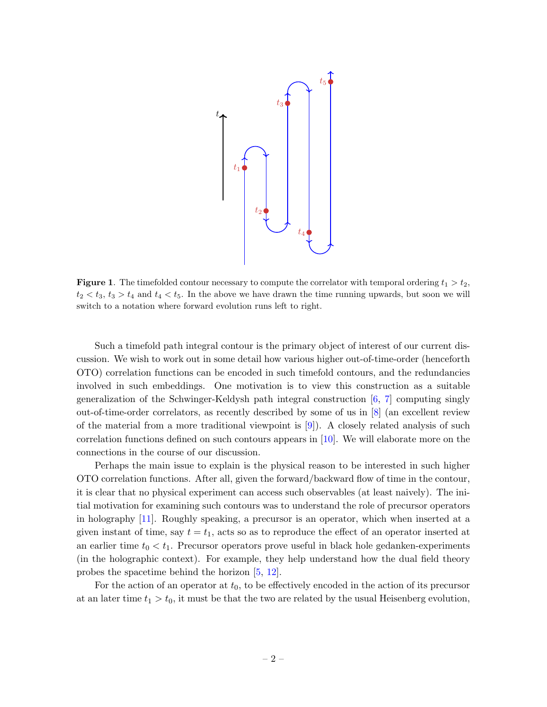

<span id="page-3-0"></span>**Figure 1.** The timefolded contour necessary to compute the correlator with temporal ordering  $t_1 > t_2$ ,  $t_2 < t_3$ ,  $t_3 > t_4$  and  $t_4 < t_5$ . In the above we have drawn the time running upwards, but soon we will switch to a notation where forward evolution runs left to right.

Such a timefold path integral contour is the primary object of interest of our current discussion. We wish to work out in some detail how various higher out-of-time-order (henceforth OTO) correlation functions can be encoded in such timefold contours, and the redundancies involved in such embeddings. One motivation is to view this construction as a suitable generalization of the Schwinger-Keldysh path integral construction  $[6, 7]$  $[6, 7]$  $[6, 7]$  computing singly out-of-time-order correlators, as recently described by some of us in [\[8\]](#page-57-7) (an excellent review of the material from a more traditional viewpoint is [\[9\]](#page-57-8)). A closely related analysis of such correlation functions defined on such contours appears in  $[10]$ . We will elaborate more on the connections in the course of our discussion.

Perhaps the main issue to explain is the physical reason to be interested in such higher OTO correlation functions. After all, given the forward/backward flow of time in the contour, it is clear that no physical experiment can access such observables (at least naively). The initial motivation for examining such contours was to understand the role of precursor operators in holography [\[11\]](#page-57-10). Roughly speaking, a precursor is an operator, which when inserted at a given instant of time, say  $t = t_1$ , acts so as to reproduce the effect of an operator inserted at an earlier time  $t_0 < t_1$ . Precursor operators prove useful in black hole gedanken-experiments (in the holographic context). For example, they help understand how the dual field theory probes the spacetime behind the horizon [\[5,](#page-57-4) [12\]](#page-58-0).

For the action of an operator at  $t_0$ , to be effectively encoded in the action of its precursor at an later time  $t_1 > t_0$ , it must be that the two are related by the usual Heisenberg evolution,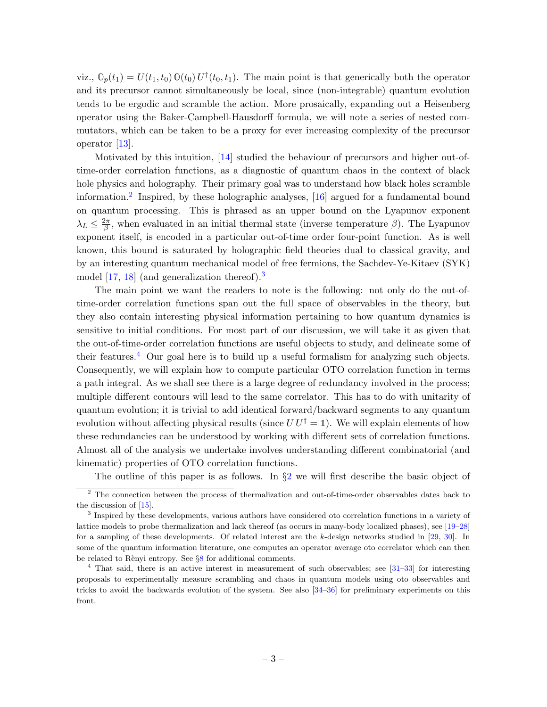viz.,  $\mathbb{O}_p(t_1) = U(t_1, t_0) \mathbb{O}(t_0) U^{\dagger}(t_0, t_1)$ . The main point is that generically both the operator and its precursor cannot simultaneously be local, since (non-integrable) quantum evolution tends to be ergodic and scramble the action. More prosaically, expanding out a Heisenberg operator using the Baker-Campbell-Hausdorff formula, we will note a series of nested commutators, which can be taken to be a proxy for ever increasing complexity of the precursor operator [\[13\]](#page-58-1).

Motivated by this intuition, [\[14\]](#page-58-2) studied the behaviour of precursors and higher out-oftime-order correlation functions, as a diagnostic of quantum chaos in the context of black hole physics and holography. Their primary goal was to understand how black holes scramble information.[2](#page-4-0) Inspired, by these holographic analyses, [\[16\]](#page-58-3) argued for a fundamental bound on quantum processing. This is phrased as an upper bound on the Lyapunov exponent  $\lambda_L \leq \frac{2\pi}{\beta}$  $\frac{2\pi}{\beta}$ , when evaluated in an initial thermal state (inverse temperature  $\beta$ ). The Lyapunov exponent itself, is encoded in a particular out-of-time order four-point function. As is well known, this bound is saturated by holographic field theories dual to classical gravity, and by an interesting quantum mechanical model of free fermions, the Sachdev-Ye-Kitaev (SYK) model [\[17,](#page-58-4) [18\]](#page-58-5) (and generalization thereof).<sup>[3](#page-4-1)</sup>

The main point we want the readers to note is the following: not only do the out-oftime-order correlation functions span out the full space of observables in the theory, but they also contain interesting physical information pertaining to how quantum dynamics is sensitive to initial conditions. For most part of our discussion, we will take it as given that the out-of-time-order correlation functions are useful objects to study, and delineate some of their features.<sup>[4](#page-4-2)</sup> Our goal here is to build up a useful formalism for analyzing such objects. Consequently, we will explain how to compute particular OTO correlation function in terms a path integral. As we shall see there is a large degree of redundancy involved in the process; multiple different contours will lead to the same correlator. This has to do with unitarity of quantum evolution; it is trivial to add identical forward/backward segments to any quantum evolution without affecting physical results (since  $UU^{\dagger} = \mathbb{1}$ ). We will explain elements of how these redundancies can be understood by working with different sets of correlation functions. Almost all of the analysis we undertake involves understanding different combinatorial (and kinematic) properties of OTO correlation functions.

<span id="page-4-0"></span>The outline of this paper is as follows. In  $\S2$  $\S2$  we will first describe the basic object of

<sup>&</sup>lt;sup>2</sup> The connection between the process of thermalization and out-of-time-order observables dates back to the discussion of [\[15\]](#page-58-6).

<span id="page-4-1"></span><sup>&</sup>lt;sup>3</sup> Inspired by these developments, various authors have considered oto correlation functions in a variety of lattice models to probe thermalization and lack thereof (as occurs in many-body localized phases), see [\[19–](#page-58-7)[28\]](#page-58-8) for a sampling of these developments. Of related interest are the k-design networks studied in  $[29, 30]$  $[29, 30]$  $[29, 30]$ . In some of the quantum information literature, one computes an operator average oto correlator which can then be related to Rènyi entropy. See  $\S 8$  $\S 8$  for additional comments.

<span id="page-4-2"></span><sup>4</sup> That said, there is an active interest in measurement of such observables; see [\[31–](#page-58-11)[33\]](#page-59-0) for interesting proposals to experimentally measure scrambling and chaos in quantum models using oto observables and tricks to avoid the backwards evolution of the system. See also  $[34-36]$  $[34-36]$  for preliminary experiments on this front.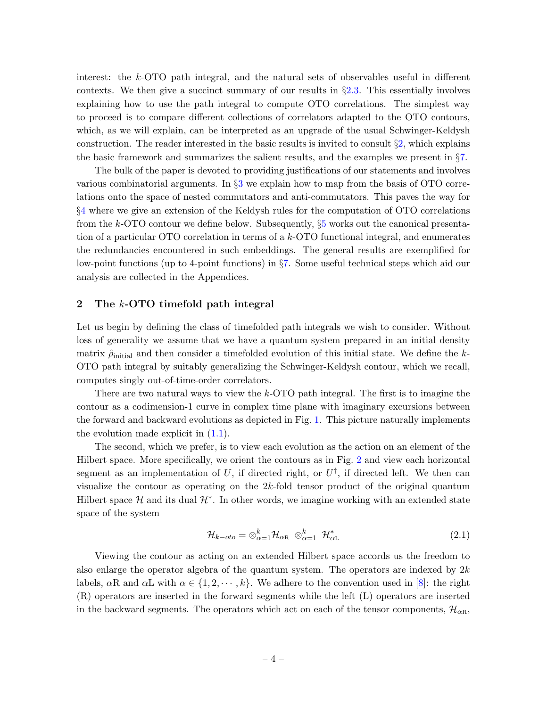interest: the k-OTO path integral, and the natural sets of observables useful in different contexts. We then give a succinct summary of our results in §[2.3.](#page-9-0) This essentially involves explaining how to use the path integral to compute OTO correlations. The simplest way to proceed is to compare different collections of correlators adapted to the OTO contours, which, as we will explain, can be interpreted as an upgrade of the usual Schwinger-Keldysh construction. The reader interested in the basic results is invited to consult  $\S$ , which explains the basic framework and summarizes the salient results, and the examples we present in §[7.](#page-46-0)

The bulk of the paper is devoted to providing justifications of our statements and involves various combinatorial arguments. In §[3](#page-15-0) we explain how to map from the basis of OTO correlations onto the space of nested commutators and anti-commutators. This paves the way for §[4](#page-20-0) where we give an extension of the Keldysh rules for the computation of OTO correlations from the k-OTO contour we define below. Subsequently,  $\S5$  $\S5$  works out the canonical presentation of a particular OTO correlation in terms of a k-OTO functional integral, and enumerates the redundancies encountered in such embeddings. The general results are exemplified for low-point functions (up to 4-point functions) in §[7.](#page-46-0) Some useful technical steps which aid our analysis are collected in the Appendices.

# <span id="page-5-0"></span>2 The k-OTO timefold path integral

Let us begin by defining the class of timefolded path integrals we wish to consider. Without loss of generality we assume that we have a quantum system prepared in an initial density matrix  $\hat{\rho}_{initial}$  and then consider a timefolded evolution of this initial state. We define the k-OTO path integral by suitably generalizing the Schwinger-Keldysh contour, which we recall, computes singly out-of-time-order correlators.

There are two natural ways to view the k-OTO path integral. The first is to imagine the contour as a codimension-1 curve in complex time plane with imaginary excursions between the forward and backward evolutions as depicted in Fig. [1.](#page-3-0) This picture naturally implements the evolution made explicit in  $(1.1)$ .

The second, which we prefer, is to view each evolution as the action on an element of the Hilbert space. More specifically, we orient the contours as in Fig. [2](#page-7-1) and view each horizontal segment as an implementation of U, if directed right, or  $U^{\dagger}$ , if directed left. We then can visualize the contour as operating on the 2k-fold tensor product of the original quantum Hilbert space  $\mathcal H$  and its dual  $\mathcal H^*$ . In other words, we imagine working with an extended state space of the system

$$
\mathcal{H}_{k-oto} = \otimes_{\alpha=1}^{k} \mathcal{H}_{\alpha R} \otimes_{\alpha=1}^{k} \mathcal{H}_{\alpha L}^{*}
$$
\n(2.1)

Viewing the contour as acting on an extended Hilbert space accords us the freedom to also enlarge the operator algebra of the quantum system. The operators are indexed by  $2k$ labels,  $\alpha R$  and  $\alpha L$  with  $\alpha \in \{1, 2, \dots, k\}$ . We adhere to the convention used in [\[8\]](#page-57-7): the right (R) operators are inserted in the forward segments while the left (L) operators are inserted in the backward segments. The operators which act on each of the tensor components,  $\mathcal{H}_{\alpha R}$ ,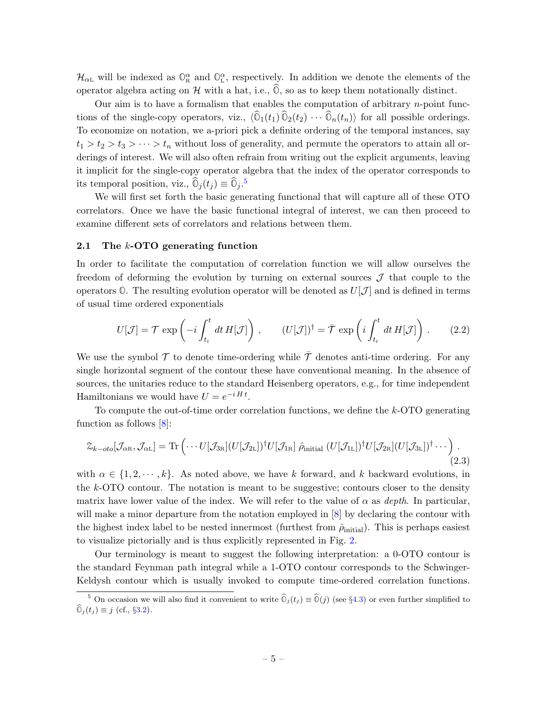$\mathcal{H}_{\alpha L}$  will be indexed as  $\mathbb{O}_{R}^{\alpha}$  and  $\mathbb{O}_{L}^{\alpha}$ , respectively. In addition we denote the elements of the operator algebra acting on  $H$  with a hat, i.e.,  $\overline{0}$ , so as to keep them notationally distinct.

Our aim is to have a formalism that enables the computation of arbitrary  $n$ -point functions of the single-copy operators, viz.,  $\langle \hat{O}_1(t_1) \hat{O}_2(t_2) \cdots \hat{O}_n(t_n) \rangle$  for all possible orderings. To economize on notation, we a-priori pick a definite ordering of the temporal instances, say  $t_1 > t_2 > t_3 > \cdots > t_n$  without loss of generality, and permute the operators to attain all orderings of interest. We will also often refrain from writing out the explicit arguments, leaving it implicit for the single-copy operator algebra that the index of the operator corresponds to its temporal position, viz.,  $\widehat{\mathbb{O}}_j(t_j) \equiv \widehat{\mathbb{O}}_j$ .<sup>[5](#page-6-1)</sup>

We will first set forth the basic generating functional that will capture all of these OTO correlators. Once we have the basic functional integral of interest, we can then proceed to examine different sets of correlators and relations between them.

#### <span id="page-6-0"></span>2.1 The k-OTO generating function

In order to facilitate the computation of correlation function we will allow ourselves the freedom of deforming the evolution by turning on external sources  $\mathcal J$  that couple to the operators  $\mathbb{O}$ . The resulting evolution operator will be denoted as  $U[\mathcal{J}]$  and is defined in terms of usual time ordered exponentials

$$
U[\mathcal{J}] = \mathcal{T} \exp\left(-i \int_{t_i}^t dt H[\mathcal{J}]\right), \qquad (U[\mathcal{J}])^\dagger = \bar{\mathcal{T}} \exp\left(i \int_{t_i}^t dt H[\mathcal{J}]\right). \tag{2.2}
$$

We use the symbol  $\mathcal T$  to denote time-ordering while  $\bar{\mathcal T}$  denotes anti-time ordering. For any single horizontal segment of the contour these have conventional meaning. In the absence of sources, the unitaries reduce to the standard Heisenberg operators, e.g., for time independent Hamiltonians we would have  $U = e^{-i H t}$ .

To compute the out-of-time order correlation functions, we define the k-OTO generating function as follows [\[8\]](#page-57-7):

<span id="page-6-2"></span>
$$
\mathcal{Z}_{k-oto}[\mathcal{J}_{\alpha R}, \mathcal{J}_{\alpha L}] = \text{Tr}\left(\cdots U[\mathcal{J}_{3R}](U[\mathcal{J}_{2L}])^{\dagger}U[\mathcal{J}_{1R}] \hat{\rho}_{\text{initial}}(U[\mathcal{J}_{1L}])^{\dagger}U[\mathcal{J}_{2R}](U[\mathcal{J}_{3L}])^{\dagger} \cdots\right).
$$
\n(2.3)

with  $\alpha \in \{1, 2, \dots, k\}$ . As noted above, we have k forward, and k backward evolutions, in the k-OTO contour. The notation is meant to be suggestive; contours closer to the density matrix have lower value of the index. We will refer to the value of  $\alpha$  as *depth*. In particular, will make a minor departure from the notation employed in [\[8\]](#page-57-7) by declaring the contour with the highest index label to be nested innermost (furthest from  $\hat{\rho}_{initial}$ ). This is perhaps easiest to visualize pictorially and is thus explicitly represented in Fig. [2.](#page-7-1)

Our terminology is meant to suggest the following interpretation: a 0-OTO contour is the standard Feynman path integral while a 1-OTO contour corresponds to the Schwinger-Keldysh contour which is usually invoked to compute time-ordered correlation functions.

<span id="page-6-1"></span><sup>&</sup>lt;sup>5</sup> On occasion we will also find it convenient to write  $\hat{O}_j(t_j) \equiv \hat{O}(j)$  (see §[4.3\)](#page-23-0) or even further simplified to  $\widehat{\mathbb{O}}_i(t_i) \equiv j$  (cf., §[3.2\)](#page-17-0).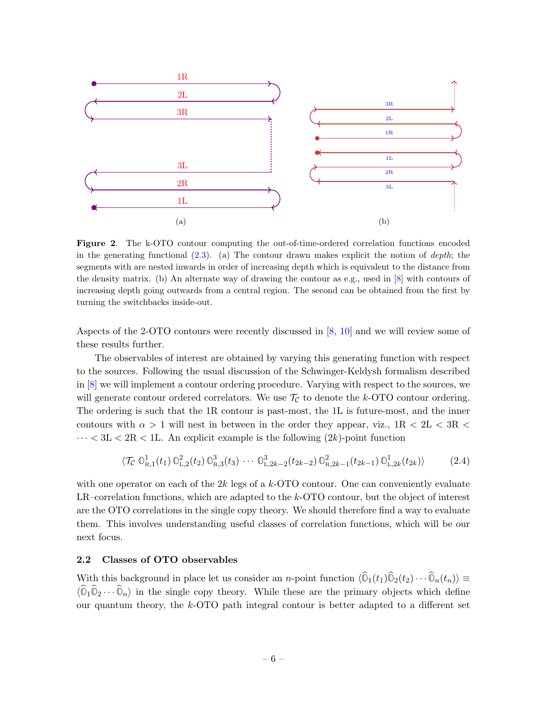

<span id="page-7-1"></span>Figure 2. The k-OTO contour computing the out-of-time-ordered correlation functions encoded in the generating functional  $(2.3)$ . (a) The contour drawn makes explicit the notion of *depth*; the segments with are nested inwards in order of increasing depth which is equivalent to the distance from the density matrix. (b) An alternate way of drawing the contour as e.g., used in [\[8\]](#page-57-7) with contours of increasing depth going outwards from a central region. The second can be obtained from the first by turning the switchbacks inside-out.

Aspects of the 2-OTO contours were recently discussed in [\[8,](#page-57-7) [10\]](#page-57-9) and we will review some of these results further.

The observables of interest are obtained by varying this generating function with respect to the sources. Following the usual discussion of the Schwinger-Keldysh formalism described in [\[8\]](#page-57-7) we will implement a contour ordering procedure. Varying with respect to the sources, we will generate contour ordered correlators. We use  $\mathcal{T}_{\mathcal{C}}$  to denote the k-OTO contour ordering. The ordering is such that the 1R contour is past-most, the 1L is future-most, and the inner contours with  $\alpha > 1$  will nest in between in the order they appear, viz.,  $1R < 2L < 3R <$  $\cdots < 3L < 2R < 1L$ . An explicit example is the following  $(2k)$ -point function

<span id="page-7-2"></span>
$$
\langle \mathcal{T}_{\mathcal{C}} \mathbb{O}_{R,1}^1(t_1) \mathbb{O}_{L,2}^2(t_2) \mathbb{O}_{R,3}^3(t_3) \cdots \mathbb{O}_{L,2k-2}^3(t_{2k-2}) \mathbb{O}_{R,2k-1}^2(t_{2k-1}) \mathbb{O}_{L,2k}^1(t_{2k}) \rangle \tag{2.4}
$$

with one operator on each of the  $2k$  legs of a  $k$ -OTO contour. One can conveniently evaluate LR–correlation functions, which are adapted to the  $k$ -OTO contour, but the object of interest are the OTO correlations in the single copy theory. We should therefore find a way to evaluate them. This involves understanding useful classes of correlation functions, which will be our next focus.

# <span id="page-7-0"></span>2.2 Classes of OTO observables

With this background in place let us consider an n-point function  $\langle \hat{O}_1(t_1)\hat{O}_2(t_2)\cdots \hat{O}_n(t_n)\rangle \equiv$  $\langle \hat{\mathbb{O}}_1 \hat{\mathbb{O}}_2 \cdots \hat{\mathbb{O}}_n \rangle$  in the single copy theory. While these are the primary objects which define our quantum theory, the k-OTO path integral contour is better adapted to a different set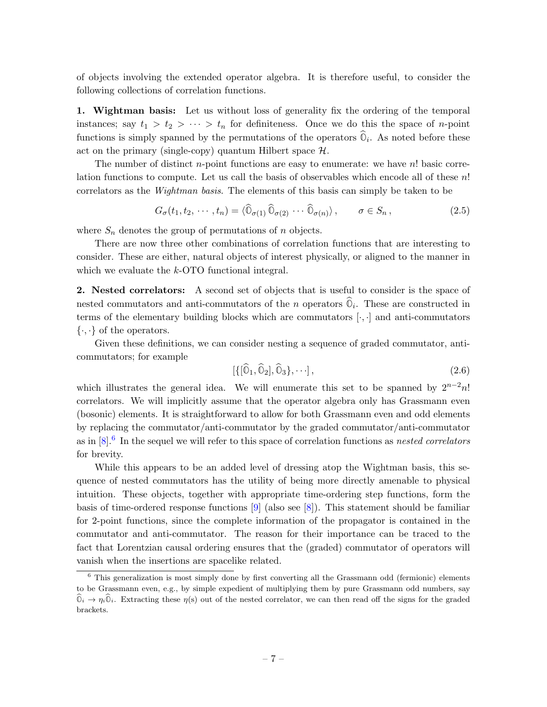of objects involving the extended operator algebra. It is therefore useful, to consider the following collections of correlation functions.

1. Wightman basis: Let us without loss of generality fix the ordering of the temporal instances; say  $t_1 > t_2 > \cdots > t_n$  for definiteness. Once we do this the space of *n*-point functions is simply spanned by the permutations of the operators  $\mathbb{O}_i$ . As noted before these act on the primary (single-copy) quantum Hilbert space  $\mathcal{H}$ .

The number of distinct *n*-point functions are easy to enumerate: we have  $n!$  basic correlation functions to compute. Let us call the basis of observables which encode all of these  $n!$ correlators as the Wightman basis. The elements of this basis can simply be taken to be

$$
G_{\sigma}(t_1, t_2, \cdots, t_n) = \langle \widehat{\mathbb{O}}_{\sigma(1)} \widehat{\mathbb{O}}_{\sigma(2)} \cdots \widehat{\mathbb{O}}_{\sigma(n)} \rangle, \qquad \sigma \in S_n, \qquad (2.5)
$$

where  $S_n$  denotes the group of permutations of n objects.

There are now three other combinations of correlation functions that are interesting to consider. These are either, natural objects of interest physically, or aligned to the manner in which we evaluate the k-OTO functional integral.

2. Nested correlators: A second set of objects that is useful to consider is the space of nested commutators and anti-commutators of the n operators  $\mathbb{O}_i$ . These are constructed in terms of the elementary building blocks which are commutators  $[\cdot, \cdot]$  and anti-commutators  $\{\cdot,\cdot\}$  of the operators.

Given these definitions, we can consider nesting a sequence of graded commutator, anticommutators; for example

$$
[\{[\hat{0}_1, \hat{0}_2], \hat{0}_3\}, \cdots], \tag{2.6}
$$

which illustrates the general idea. We will enumerate this set to be spanned by  $2^{n-2}n!$ correlators. We will implicitly assume that the operator algebra only has Grassmann even (bosonic) elements. It is straightforward to allow for both Grassmann even and odd elements by replacing the commutator/anti-commutator by the graded commutator/anti-commutator as in  $[8]$ .<sup>[6](#page-8-0)</sup> In the sequel we will refer to this space of correlation functions as *nested correlators* for brevity.

While this appears to be an added level of dressing atop the Wightman basis, this sequence of nested commutators has the utility of being more directly amenable to physical intuition. These objects, together with appropriate time-ordering step functions, form the basis of time-ordered response functions [\[9\]](#page-57-8) (also see [\[8\]](#page-57-7)). This statement should be familiar for 2-point functions, since the complete information of the propagator is contained in the commutator and anti-commutator. The reason for their importance can be traced to the fact that Lorentzian causal ordering ensures that the (graded) commutator of operators will vanish when the insertions are spacelike related.

<span id="page-8-0"></span> $6$  This generalization is most simply done by first converting all the Grassmann odd (fermionic) elements to be Grassmann even, e.g., by simple expedient of multiplying them by pure Grassmann odd numbers, say  $\widehat{\mathbb{O}}_i \to \eta_i \widehat{\mathbb{O}}_i$ . Extracting these  $\eta(s)$  out of the nested correlator, we can then read off the signs for the graded brackets.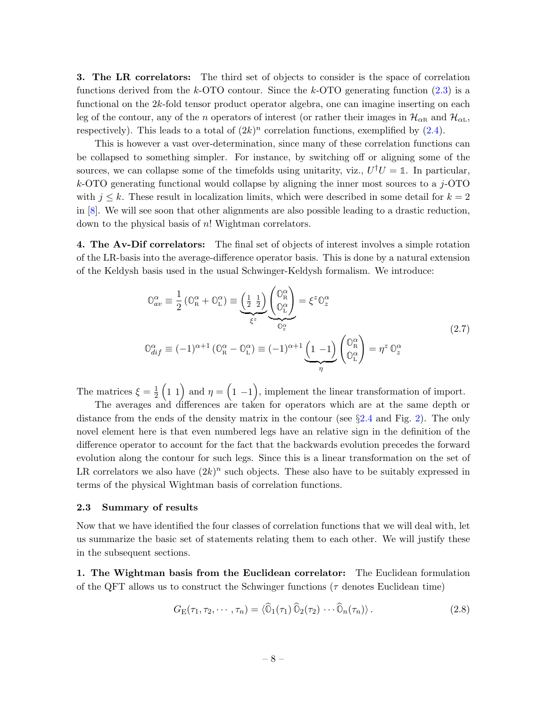**3.** The LR correlators: The third set of objects to consider is the space of correlation functions derived from the k-OTO contour. Since the k-OTO generating function  $(2.3)$  is a functional on the 2k-fold tensor product operator algebra, one can imagine inserting on each leg of the contour, any of the n operators of interest (or rather their images in  $\mathcal{H}_{\alpha R}$  and  $\mathcal{H}_{\alpha L}$ , respectively). This leads to a total of  $(2k)^n$  correlation functions, exemplified by  $(2.4)$ .

This is however a vast over-determination, since many of these correlation functions can be collapsed to something simpler. For instance, by switching off or aligning some of the sources, we can collapse some of the timefolds using unitarity, viz.,  $U^{\dagger}U = \mathbb{1}$ . In particular,  $k$ -OTO generating functional would collapse by aligning the inner most sources to a j-OTO with  $j \leq k$ . These result in localization limits, which were described in some detail for  $k = 2$ in [\[8\]](#page-57-7). We will see soon that other alignments are also possible leading to a drastic reduction, down to the physical basis of n! Wightman correlators.

4. The Av-Dif correlators: The final set of objects of interest involves a simple rotation of the LR-basis into the average-difference operator basis. This is done by a natural extension of the Keldysh basis used in the usual Schwinger-Keldysh formalism. We introduce:

$$
\mathbb{O}_{av}^{\alpha} \equiv \frac{1}{2} \left( \mathbb{O}_{R}^{\alpha} + \mathbb{O}_{L}^{\alpha} \right) \equiv \underbrace{\left( \frac{1}{2} \frac{1}{2} \right)}_{\xi^{z}} \underbrace{\left( \mathbb{O}_{R}^{\alpha} \right)}_{\mathbb{O}_{z}^{\alpha}} = \xi^{z} \mathbb{O}_{z}^{\alpha}
$$
\n
$$
\mathbb{O}_{dif}^{\alpha} \equiv (-1)^{\alpha+1} \left( \mathbb{O}_{R}^{\alpha} - \mathbb{O}_{L}^{\alpha} \right) \equiv (-1)^{\alpha+1} \underbrace{\left( 1 - 1 \right)}_{\eta} \left( \mathbb{O}_{L}^{\alpha} \right) = \eta^{z} \mathbb{O}_{z}^{\alpha}
$$
\n
$$
(2.7)
$$

<span id="page-9-1"></span>The matrices  $\xi = \frac{1}{2}$  $\frac{1}{2}$  (1 1) and  $\eta = (1 - 1)$ , implement the linear transformation of import.

The averages and differences are taken for operators which are at the same depth or distance from the ends of the density matrix in the contour (see §[2.4](#page-13-0) and Fig. [2\)](#page-7-1). The only novel element here is that even numbered legs have an relative sign in the definition of the difference operator to account for the fact that the backwards evolution precedes the forward evolution along the contour for such legs. Since this is a linear transformation on the set of LR correlators we also have  $(2k)^n$  such objects. These also have to be suitably expressed in terms of the physical Wightman basis of correlation functions.

#### <span id="page-9-0"></span>2.3 Summary of results

Now that we have identified the four classes of correlation functions that we will deal with, let us summarize the basic set of statements relating them to each other. We will justify these in the subsequent sections.

1. The Wightman basis from the Euclidean correlator: The Euclidean formulation of the QFT allows us to construct the Schwinger functions ( $\tau$  denotes Euclidean time)

$$
G_{\rm E}(\tau_1, \tau_2, \cdots, \tau_n) = \langle \widehat{\mathbb{O}}_1(\tau_1) \widehat{\mathbb{O}}_2(\tau_2) \cdots \widehat{\mathbb{O}}_n(\tau_n) \rangle. \tag{2.8}
$$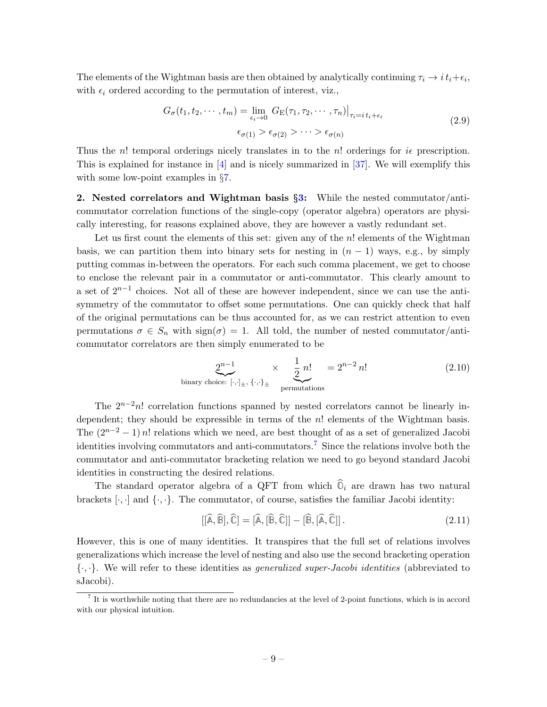The elements of the Wightman basis are then obtained by analytically continuing  $\tau_i \to i t_i + \epsilon_i$ , with  $\epsilon_i$  ordered according to the permutation of interest, viz.,

$$
G_{\sigma}(t_1, t_2, \cdots, t_m) = \lim_{\epsilon_i \to 0} G_{\mathcal{E}}(\tau_1, \tau_2, \cdots, \tau_n)|_{\tau_i = i t_i + \epsilon_i}
$$
  
\n
$$
\epsilon_{\sigma(1)} > \epsilon_{\sigma(2)} > \cdots > \epsilon_{\sigma(n)}
$$
\n(2.9)

<span id="page-10-1"></span>Thus the n! temporal orderings nicely translates in to the n! orderings for  $i\epsilon$  prescription. This is explained for instance in [\[4\]](#page-57-3) and is nicely summarized in [\[37\]](#page-59-3). We will exemplify this with some low-point examples in §[7.](#page-46-0)

2. Nested correlators and Wightman basis §[3:](#page-15-0) While the nested commutator/anticommutator correlation functions of the single-copy (operator algebra) operators are physically interesting, for reasons explained above, they are however a vastly redundant set.

Let us first count the elements of this set: given any of the  $n!$  elements of the Wightman basis, we can partition them into binary sets for nesting in  $(n - 1)$  ways, e.g., by simply putting commas in-between the operators. For each such comma placement, we get to choose to enclose the relevant pair in a commutator or anti-commutator. This clearly amount to a set of  $2^{n-1}$  choices. Not all of these are however independent, since we can use the antisymmetry of the commutator to offset some permutations. One can quickly check that half of the original permutations can be thus accounted for, as we can restrict attention to even permutations  $\sigma \in S_n$  with  $sign(\sigma) = 1$ . All told, the number of nested commutator/anticommutator correlators are then simply enumerated to be

$$
\underbrace{2^{n-1}}_{\text{binary choice: } [\cdot, \cdot]_{\pm}, \{\cdot, \cdot\}_{\pm}} \times \underbrace{\frac{1}{2} n!}_{\text{permutations}} = 2^{n-2} n! \tag{2.10}
$$

The  $2^{n-2}n!$  correlation functions spanned by nested correlators cannot be linearly independent; they should be expressible in terms of the  $n!$  elements of the Wightman basis. The  $(2^{n-2}-1)$  n! relations which we need, are best thought of as a set of generalized Jacobi identities involving commutators and anti-commutators.[7](#page-10-0) Since the relations involve both the commutator and anti-commutator bracketing relation we need to go beyond standard Jacobi identities in constructing the desired relations.

The standard operator algebra of a QFT from which  $\widehat{O}_i$  are drawn has two natural brackets  $[\cdot, \cdot]$  and  $\{\cdot, \cdot\}$ . The commutator, of course, satisfies the familiar Jacobi identity:

$$
[[\hat{\mathbb{A}}, \hat{\mathbb{B}}], \hat{\mathbb{C}}] = [\hat{\mathbb{A}}, [\hat{\mathbb{B}}, \hat{\mathbb{C}}]] - [\hat{\mathbb{B}}, [\hat{\mathbb{A}}, \hat{\mathbb{C}}]]. \tag{2.11}
$$

However, this is one of many identities. It transpires that the full set of relations involves generalizations which increase the level of nesting and also use the second bracketing operation  $\{\cdot,\cdot\}$ . We will refer to these identities as *generalized super-Jacobi identities* (abbreviated to sJacobi).

<span id="page-10-0"></span><sup>7</sup> It is worthwhile noting that there are no redundancies at the level of 2-point functions, which is in accord with our physical intuition.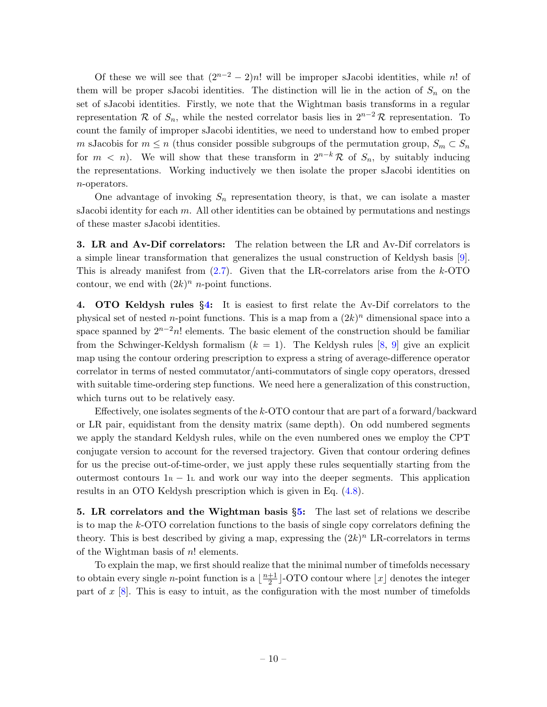Of these we will see that  $(2^{n-2} - 2)n!$  will be improper sJacobi identities, while n! of them will be proper sJacobi identities. The distinction will lie in the action of  $S_n$  on the set of sJacobi identities. Firstly, we note that the Wightman basis transforms in a regular representation R of  $S_n$ , while the nested correlator basis lies in  $2^{n-2}R$  representation. To count the family of improper sJacobi identities, we need to understand how to embed proper m sJacobis for  $m \leq n$  (thus consider possible subgroups of the permutation group,  $S_m \subset S_n$ for  $m < n$ ). We will show that these transform in  $2^{n-k}\mathcal{R}$  of  $S_n$ , by suitably inducing the representations. Working inductively we then isolate the proper sJacobi identities on n-operators.

One advantage of invoking  $S_n$  representation theory, is that, we can isolate a master sJacobi identity for each  $m$ . All other identities can be obtained by permutations and nestings of these master sJacobi identities.

3. LR and Av-Dif correlators: The relation between the LR and Av-Dif correlators is a simple linear transformation that generalizes the usual construction of Keldysh basis [\[9\]](#page-57-8). This is already manifest from  $(2.7)$ . Given that the LR-correlators arise from the k-OTO contour, we end with  $(2k)^n$  *n*-point functions.

4. OTO Keldysh rules §[4:](#page-20-0) It is easiest to first relate the Av-Dif correlators to the physical set of nested *n*-point functions. This is a map from a  $(2k)^n$  dimensional space into a space spanned by  $2^{n-2}n!$  elements. The basic element of the construction should be familiar from the Schwinger-Keldysh formalism  $(k = 1)$ . The Keldysh rules [\[8,](#page-57-7) [9\]](#page-57-8) give an explicit map using the contour ordering prescription to express a string of average-difference operator correlator in terms of nested commutator/anti-commutators of single copy operators, dressed with suitable time-ordering step functions. We need here a generalization of this construction, which turns out to be relatively easy.

Effectively, one isolates segments of the k-OTO contour that are part of a forward/backward or LR pair, equidistant from the density matrix (same depth). On odd numbered segments we apply the standard Keldysh rules, while on the even numbered ones we employ the CPT conjugate version to account for the reversed trajectory. Given that contour ordering defines for us the precise out-of-time-order, we just apply these rules sequentially starting from the outermost contours  $1_R - 1_L$  and work our way into the deeper segments. This application results in an OTO Keldysh prescription which is given in Eq. [\(4.8\)](#page-22-1).

5. LR correlators and the Wightman basis  $\S5$ : The last set of relations we describe is to map the k-OTO correlation functions to the basis of single copy correlators defining the theory. This is best described by giving a map, expressing the  $(2k)^n$  LR-correlators in terms of the Wightman basis of n! elements.

To explain the map, we first should realize that the minimal number of timefolds necessary to obtain every single *n*-point function is a  $\frac{n+1}{2}$  $\frac{+1}{2}$ ]-OTO contour where  $\lfloor x \rfloor$  denotes the integer part of  $x$  [\[8\]](#page-57-7). This is easy to intuit, as the configuration with the most number of timefolds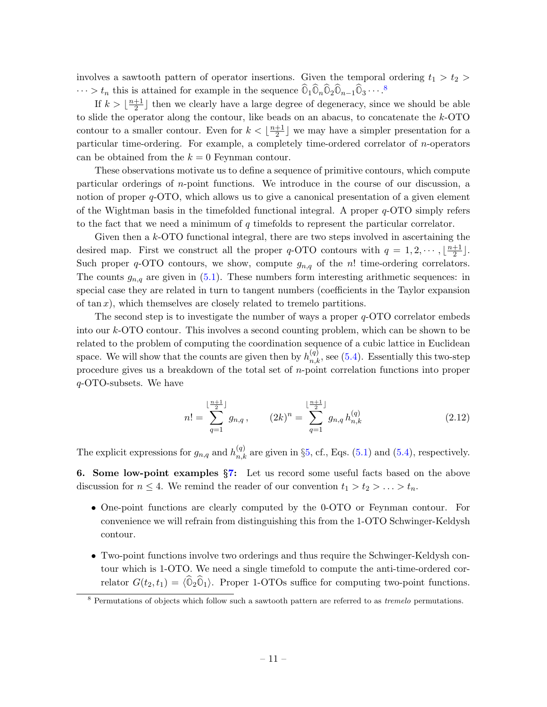involves a sawtooth pattern of operator insertions. Given the temporal ordering  $t_1 > t_2 >$  $\cdots > t_n$  this is attained for example in the sequence  $\widehat{\mathbb{O}}_1\widehat{\mathbb{O}}_n\widehat{\mathbb{O}}_2\widehat{\mathbb{O}}_{n-1}\widehat{\mathbb{O}}_3\cdots$ .<sup>[8](#page-12-0)</sup>

If  $k > \left\lfloor \frac{n+1}{2} \right\rfloor$  $\frac{+1}{2}$  then we clearly have a large degree of degeneracy, since we should be able to slide the operator along the contour, like beads on an abacus, to concatenate the  $k$ -OTO contour to a smaller contour. Even for  $k < \frac{n+1}{2}$  $\frac{+1}{2}$  we may have a simpler presentation for a particular time-ordering. For example, a completely time-ordered correlator of n-operators can be obtained from the  $k = 0$  Feynman contour.

These observations motivate us to define a sequence of primitive contours, which compute particular orderings of  $n$ -point functions. We introduce in the course of our discussion, a notion of proper  $q$ -OTO, which allows us to give a canonical presentation of a given element of the Wightman basis in the timefolded functional integral. A proper  $q$ -OTO simply refers to the fact that we need a minimum of  $q$  timefolds to represent the particular correlator.

Given then a k-OTO functional integral, there are two steps involved in ascertaining the desired map. First we construct all the proper q-OTO contours with  $q = 1, 2, \dots, \lfloor \frac{n+1}{2} \rfloor$  $\frac{+1}{2}$ . Such proper  $q$ -OTO contours, we show, compute  $g_{n,q}$  of the n! time-ordering correlators. The counts  $g_{n,q}$  are given in  $(5.1)$ . These numbers form interesting arithmetic sequences: in special case they are related in turn to tangent numbers (coefficients in the Taylor expansion of  $\tan x$ , which themselves are closely related to tremelo partitions.

The second step is to investigate the number of ways a proper  $q$ -OTO correlator embeds into our k-OTO contour. This involves a second counting problem, which can be shown to be related to the problem of computing the coordination sequence of a cubic lattice in Euclidean space. We will show that the counts are given then by  $h_{n,k}^{(q)}$ , see [\(5.4\)](#page-26-2). Essentially this two-step procedure gives us a breakdown of the total set of n-point correlation functions into proper q-OTO-subsets. We have

$$
n! = \sum_{q=1}^{\lfloor \frac{n+1}{2} \rfloor} g_{n,q}, \qquad (2k)^n = \sum_{q=1}^{\lfloor \frac{n+1}{2} \rfloor} g_{n,q} h_{n,k}^{(q)} \qquad (2.12)
$$

The explicit expressions for  $g_{n,q}$  and  $h_{n,k}^{(q)}$  are given in §[5,](#page-26-0) cf., Eqs. [\(5.1\)](#page-26-1) and [\(5.4\)](#page-26-2), respectively.

6. Some low-point examples §[7:](#page-46-0) Let us record some useful facts based on the above discussion for  $n \leq 4$ . We remind the reader of our convention  $t_1 > t_2 > \ldots > t_n$ .

- One-point functions are clearly computed by the 0-OTO or Feynman contour. For convenience we will refrain from distinguishing this from the 1-OTO Schwinger-Keldysh contour.
- Two-point functions involve two orderings and thus require the Schwinger-Keldysh contour which is 1-OTO. We need a single timefold to compute the anti-time-ordered correlator  $G(t_2, t_1) = \langle \hat{\mathbb{O}}_2 \hat{\mathbb{O}}_1 \rangle$ . Proper 1-OTOs suffice for computing two-point functions.

<span id="page-12-0"></span><sup>&</sup>lt;sup>8</sup> Permutations of objects which follow such a sawtooth pattern are referred to as *tremelo* permutations.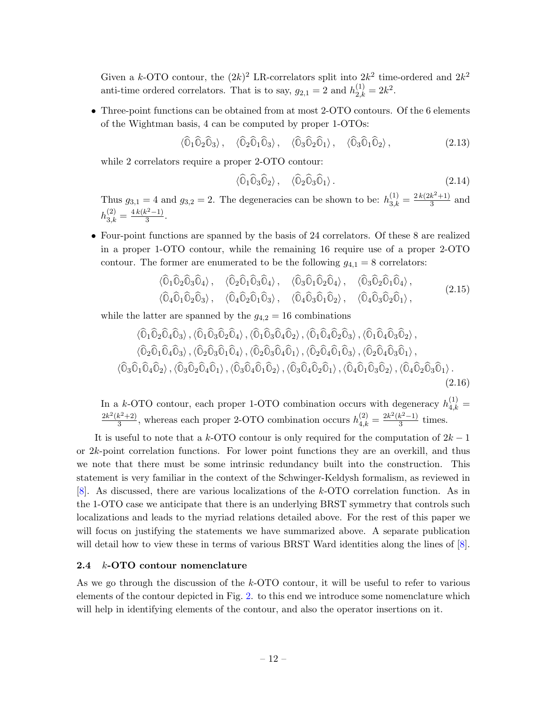Given a k-OTO contour, the  $(2k)^2$  LR-correlators split into  $2k^2$  time-ordered and  $2k^2$ anti-time ordered correlators. That is to say,  $g_{2,1} = 2$  and  $h_{2,k}^{(1)} = 2k^2$ .

• Three-point functions can be obtained from at most 2-OTO contours. Of the 6 elements of the Wightman basis, 4 can be computed by proper 1-OTOs:

 $\langle \widehat{0}_1 \widehat{0}_2 \widehat{0}_3 \rangle$ ,  $\langle \widehat{0}_2 \widehat{0}_1 \widehat{0}_3 \rangle$ ,  $\langle \widehat{0}_3 \widehat{0}_2 \widehat{0}_1 \rangle$ ,  $\langle \widehat{0}_3 \widehat{0}_1 \widehat{0}_2 \rangle$ , (2.13)

while 2 correlators require a proper 2-OTO contour:

$$
\langle \widehat{\mathbb{O}}_1 \widehat{\mathbb{O}}_3 \widehat{\mathbb{O}}_2 \rangle, \quad \langle \widehat{\mathbb{O}}_2 \widehat{\mathbb{O}}_3 \widehat{\mathbb{O}}_1 \rangle. \tag{2.14}
$$

Thus  $g_{3,1} = 4$  and  $g_{3,2} = 2$ . The degeneracies can be shown to be:  $h_{3,k}^{(1)} = \frac{2k(2k^2+1)}{3}$  $\frac{k^2+1}{3}$  and  $h_{3,k}^{(2)} = \frac{4k(k^2-1)}{3}$  $rac{x^{2}-1}{3}$ .

• Four-point functions are spanned by the basis of 24 correlators. Of these 8 are realized in a proper 1-OTO contour, while the remaining 16 require use of a proper 2-OTO contour. The former are enumerated to be the following  $g_{4,1} = 8$  correlators:

$$
\langle \hat{O}_1 \hat{O}_2 \hat{O}_3 \hat{O}_4 \rangle, \quad \langle \hat{O}_2 \hat{O}_1 \hat{O}_3 \hat{O}_4 \rangle, \quad \langle \hat{O}_3 \hat{O}_1 \hat{O}_2 \hat{O}_4 \rangle, \quad \langle \hat{O}_3 \hat{O}_2 \hat{O}_1 \hat{O}_4 \rangle, \n\langle \hat{O}_4 \hat{O}_1 \hat{O}_2 \hat{O}_3 \rangle, \quad \langle \hat{O}_4 \hat{O}_2 \hat{O}_1 \hat{O}_3 \rangle, \quad \langle \hat{O}_4 \hat{O}_3 \hat{O}_1 \hat{O}_2 \rangle, \quad \langle \hat{O}_4 \hat{O}_3 \hat{O}_2 \hat{O}_1 \rangle,
$$
\n(2.15)

<span id="page-13-1"></span>while the latter are spanned by the  $g_{4,2} = 16$  combinations

<span id="page-13-2"></span>
$$
\langle \hat{O}_1 \hat{O}_2 \hat{O}_4 \hat{O}_3 \rangle, \langle \hat{O}_1 \hat{O}_3 \hat{O}_2 \hat{O}_4 \rangle, \langle \hat{O}_1 \hat{O}_3 \hat{O}_4 \hat{O}_2 \rangle, \langle \hat{O}_1 \hat{O}_4 \hat{O}_2 \hat{O}_3 \rangle, \langle \hat{O}_1 \hat{O}_4 \hat{O}_3 \hat{O}_2 \rangle,
$$
  

$$
\langle \hat{O}_2 \hat{O}_1 \hat{O}_4 \hat{O}_3 \rangle, \langle \hat{O}_2 \hat{O}_3 \hat{O}_1 \hat{O}_4 \rangle, \langle \hat{O}_2 \hat{O}_3 \hat{O}_4 \hat{O}_1 \rangle, \langle \hat{O}_2 \hat{O}_4 \hat{O}_1 \hat{O}_3 \rangle, \langle \hat{O}_2 \hat{O}_4 \hat{O}_3 \hat{O}_1 \rangle,
$$
  

$$
\langle \hat{O}_3 \hat{O}_1 \hat{O}_4 \hat{O}_2 \rangle, \langle \hat{O}_3 \hat{O}_2 \hat{O}_4 \hat{O}_1 \rangle, \langle \hat{O}_3 \hat{O}_4 \hat{O}_1 \hat{O}_2 \rangle, \langle \hat{O}_3 \hat{O}_4 \hat{O}_2 \hat{O}_1 \rangle, \langle \hat{O}_4 \hat{O}_1 \hat{O}_3 \hat{O}_2 \rangle, \langle \hat{O}_4 \hat{O}_2 \hat{O}_3 \hat{O}_1 \rangle.
$$
  
(2.16)

In a k-OTO contour, each proper 1-OTO combination occurs with degeneracy  $h_{4,k}^{(1)} =$  $2k^2(k^2+2)$  $\frac{k^2+2}{3}$ , whereas each proper 2-OTO combination occurs  $h_{4,k}^{(2)} = \frac{2k^2(k^2-1)}{3}$  $rac{\kappa^2-1}{3}$  times.

It is useful to note that a k-OTO contour is only required for the computation of  $2k-1$ or 2k-point correlation functions. For lower point functions they are an overkill, and thus we note that there must be some intrinsic redundancy built into the construction. This statement is very familiar in the context of the Schwinger-Keldysh formalism, as reviewed in [\[8\]](#page-57-7). As discussed, there are various localizations of the k-OTO correlation function. As in the 1-OTO case we anticipate that there is an underlying BRST symmetry that controls such localizations and leads to the myriad relations detailed above. For the rest of this paper we will focus on justifying the statements we have summarized above. A separate publication will detail how to view these in terms of various BRST Ward identities along the lines of  $[8]$ .

### <span id="page-13-0"></span>2.4 k-OTO contour nomenclature

As we go through the discussion of the k-OTO contour, it will be useful to refer to various elements of the contour depicted in Fig. [2.](#page-7-1) to this end we introduce some nomenclature which will help in identifying elements of the contour, and also the operator insertions on it.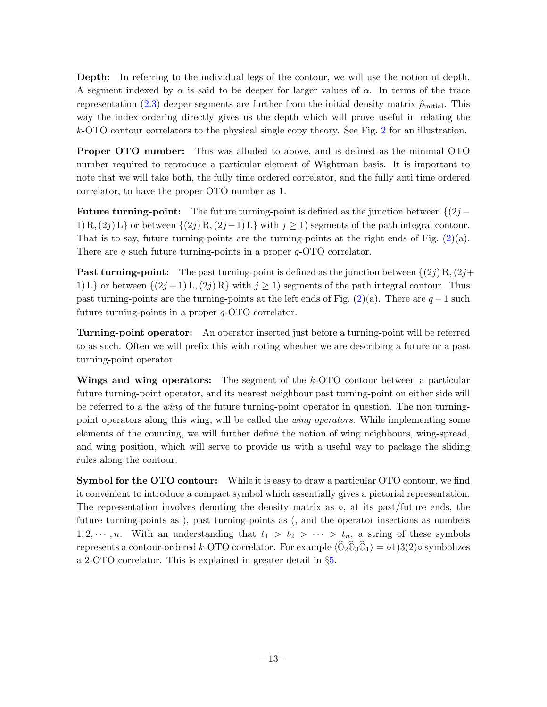Depth: In referring to the individual legs of the contour, we will use the notion of depth. A segment indexed by  $\alpha$  is said to be deeper for larger values of  $\alpha$ . In terms of the trace representation [\(2.3\)](#page-6-2) deeper segments are further from the initial density matrix  $\hat{\rho}_{initial}$ . This way the index ordering directly gives us the depth which will prove useful in relating the k-OTO contour correlators to the physical single copy theory. See Fig. [2](#page-7-1) for an illustration.

Proper OTO number: This was alluded to above, and is defined as the minimal OTO number required to reproduce a particular element of Wightman basis. It is important to note that we will take both, the fully time ordered correlator, and the fully anti time ordered correlator, to have the proper OTO number as 1.

**Future turning-point:** The future turning-point is defined as the junction between  $\{(2j -$ 1) R,  $(2j)$  L} or between  $\{(2j)$  R,  $(2j-1)$  L} with  $j \ge 1$ ) segments of the path integral contour. That is to say, future turning-points are the turning-points at the right ends of Fig.  $(2)(a)$  $(2)(a)$ . There are q such future turning-points in a proper  $q$ -OTO correlator.

**Past turning-point:** The past turning-point is defined as the junction between  $\{(2j)R,(2j+1)\}$ 1) L} or between  $\{(2j+1)L,(2j)R\}$  with  $j\geq 1$ ) segments of the path integral contour. Thus past turning-points are the turning-points at the left ends of Fig.  $(2)(a)$  $(2)(a)$ . There are  $q-1$  such future turning-points in a proper  $q$ -OTO correlator.

Turning-point operator: An operator inserted just before a turning-point will be referred to as such. Often we will prefix this with noting whether we are describing a future or a past turning-point operator.

Wings and wing operators: The segment of the k-OTO contour between a particular future turning-point operator, and its nearest neighbour past turning-point on either side will be referred to a the *wing* of the future turning-point operator in question. The non turningpoint operators along this wing, will be called the wing operators. While implementing some elements of the counting, we will further define the notion of wing neighbours, wing-spread, and wing position, which will serve to provide us with a useful way to package the sliding rules along the contour.

Symbol for the OTO contour: While it is easy to draw a particular OTO contour, we find it convenient to introduce a compact symbol which essentially gives a pictorial representation. The representation involves denoting the density matrix as  $\circ$ , at its past/future ends, the future turning-points as ), past turning-points as (, and the operator insertions as numbers  $1, 2, \dots, n$ . With an understanding that  $t_1 > t_2 > \dots > t_n$ , a string of these symbols represents a contour-ordered k-OTO correlator. For example  $\langle \hat{O}_2 \hat{O}_3 \hat{O}_1 \rangle = o(1)3(2) \circ$  symbolizes a 2-OTO correlator. This is explained in greater detail in §[5.](#page-26-0)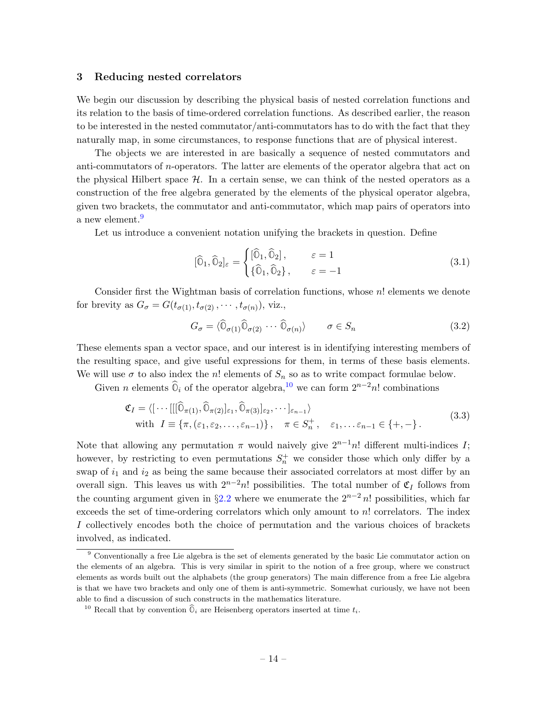#### <span id="page-15-0"></span>3 Reducing nested correlators

We begin our discussion by describing the physical basis of nested correlation functions and its relation to the basis of time-ordered correlation functions. As described earlier, the reason to be interested in the nested commutator/anti-commutators has to do with the fact that they naturally map, in some circumstances, to response functions that are of physical interest.

The objects we are interested in are basically a sequence of nested commutators and anti-commutators of n-operators. The latter are elements of the operator algebra that act on the physical Hilbert space  $H$ . In a certain sense, we can think of the nested operators as a construction of the free algebra generated by the elements of the physical operator algebra, given two brackets, the commutator and anti-commutator, which map pairs of operators into a new element.<sup>[9](#page-15-1)</sup>

Let us introduce a convenient notation unifying the brackets in question. Define

$$
[\widehat{0}_1, \widehat{0}_2]_{\varepsilon} = \begin{cases} [\widehat{0}_1, \widehat{0}_2], & \varepsilon = 1 \\ {\{\widehat{0}_1, \widehat{0}_2\}}, & \varepsilon = -1 \end{cases}
$$
(3.1)

Consider first the Wightman basis of correlation functions, whose  $n!$  elements we denote for brevity as  $G_{\sigma} = G(t_{\sigma(1)}, t_{\sigma(2)}, \cdots, t_{\sigma(n)})$ , viz.,

$$
G_{\sigma} = \langle \widehat{\mathbb{O}}_{\sigma(1)} \widehat{\mathbb{O}}_{\sigma(2)} \cdots \widehat{\mathbb{O}}_{\sigma(n)} \rangle \qquad \sigma \in S_n \tag{3.2}
$$

These elements span a vector space, and our interest is in identifying interesting members of the resulting space, and give useful expressions for them, in terms of these basis elements. We will use  $\sigma$  to also index the n! elements of  $S_n$  so as to write compact formulae below.

Given *n* elements  $\widehat{\mathbb{O}}_i$  of the operator algebra,<sup>[10](#page-15-2)</sup> we can form  $2^{n-2}n!$  combinations

$$
\mathfrak{C}_I = \langle [\cdots[[\widehat{\mathbb{O}}_{\pi(1)}, \widehat{\mathbb{O}}_{\pi(2)}]_{\varepsilon_1}, \widehat{\mathbb{O}}_{\pi(3)}]_{\varepsilon_2}, \cdots]_{\varepsilon_{n-1}} \rangle
$$
  
with  $I \equiv \{\pi, (\varepsilon_1, \varepsilon_2, \dots, \varepsilon_{n-1})\}, \quad \pi \in S_n^+, \quad \varepsilon_1, \dots \varepsilon_{n-1} \in \{+, -\}.$  (3.3)

Note that allowing any permutation  $\pi$  would naively give  $2^{n-1}n!$  different multi-indices I; however, by restricting to even permutations  $S_n^+$  we consider those which only differ by a swap of  $i_1$  and  $i_2$  as being the same because their associated correlators at most differ by an overall sign. This leaves us with  $2^{n-2}n!$  possibilities. The total number of  $\mathfrak{C}_I$  follows from the counting argument given in  $\S 2.2$  $\S 2.2$  where we enumerate the  $2^{n-2} n!$  possibilities, which far exceeds the set of time-ordering correlators which only amount to  $n!$  correlators. The index I collectively encodes both the choice of permutation and the various choices of brackets involved, as indicated.

<span id="page-15-1"></span><sup>&</sup>lt;sup>9</sup> Conventionally a free Lie algebra is the set of elements generated by the basic Lie commutator action on the elements of an algebra. This is very similar in spirit to the notion of a free group, where we construct elements as words built out the alphabets (the group generators) The main difference from a free Lie algebra is that we have two brackets and only one of them is anti-symmetric. Somewhat curiously, we have not been able to find a discussion of such constructs in the mathematics literature.

<span id="page-15-2"></span><sup>&</sup>lt;sup>10</sup> Recall that by convention  $\widehat{\mathbb{O}}_i$  are Heisenberg operators inserted at time  $t_i$ .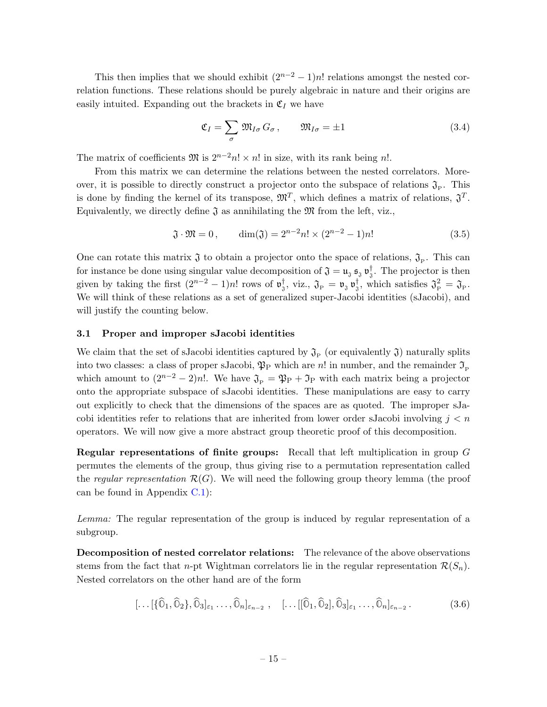This then implies that we should exhibit  $(2^{n-2} - 1)n!$  relations amongst the nested correlation functions. These relations should be purely algebraic in nature and their origins are easily intuited. Expanding out the brackets in  $\mathfrak{C}_I$  we have

$$
\mathfrak{C}_I = \sum_{\sigma} \mathfrak{M}_{I\sigma} G_{\sigma}, \qquad \mathfrak{M}_{I\sigma} = \pm 1 \tag{3.4}
$$

The matrix of coefficients  $\mathfrak{M}$  is  $2^{n-2}n! \times n!$  in size, with its rank being n!.

From this matrix we can determine the relations between the nested correlators. Moreover, it is possible to directly construct a projector onto the subspace of relations  $\mathfrak{J}_{P}$ . This is done by finding the kernel of its transpose,  $\mathfrak{M}^T$ , which defines a matrix of relations,  $\mathfrak{J}^T$ . Equivalently, we directly define  $\mathfrak J$  as annihilating the  $\mathfrak M$  from the left, viz.,

$$
\mathfrak{J} \cdot \mathfrak{M} = 0, \qquad \dim(\mathfrak{J}) = 2^{n-2} n! \times (2^{n-2} - 1)n! \tag{3.5}
$$

One can rotate this matrix  $\mathfrak J$  to obtain a projector onto the space of relations,  $\mathfrak J_P$ . This can for instance be done using singular value decomposition of  $\mathfrak{J} = \mathfrak{u}_{\mathfrak{J}} \mathfrak{s}_{\mathfrak{J}} \mathfrak{v}_{\mathfrak{J}}^{\dagger}$ . The projector is then given by taking the first  $(2^{n-2} - 1)n!$  rows of  $\mathfrak{v}_{3}^{\dagger}$ , viz.,  $\mathfrak{J}_{P} = \mathfrak{v}_{3} \mathfrak{v}_{3}^{\dagger}$ , which satisfies  $\mathfrak{J}_{P}^{2} = \mathfrak{J}_{P}$ . We will think of these relations as a set of generalized super-Jacobi identities (sJacobi), and will justify the counting below.

### <span id="page-16-0"></span>3.1 Proper and improper sJacobi identities

We claim that the set of sJacobi identities captured by  $\mathfrak{J}_{\mathrm{P}}$  (or equivalently  $\mathfrak{J}$ ) naturally splits into two classes: a class of proper sJacobi,  $\mathfrak{P}_P$  which are n! in number, and the remainder  $\mathfrak{I}_P$ which amount to  $(2^{n-2} - 2)n!$ . We have  $\mathfrak{J}_{\mathcal{P}} = \mathfrak{P}_{\mathcal{P}} + \mathfrak{I}_{\mathcal{P}}$  with each matrix being a projector onto the appropriate subspace of sJacobi identities. These manipulations are easy to carry out explicitly to check that the dimensions of the spaces are as quoted. The improper sJacobi identities refer to relations that are inherited from lower order sJacobi involving  $j < n$ operators. We will now give a more abstract group theoretic proof of this decomposition.

Regular representations of finite groups: Recall that left multiplication in group G permutes the elements of the group, thus giving rise to a permutation representation called the regular representation  $\mathcal{R}(G)$ . We will need the following group theory lemma (the proof can be found in Appendix [C.1\)](#page-54-1):

Lemma: The regular representation of the group is induced by regular representation of a subgroup.

Decomposition of nested correlator relations: The relevance of the above observations stems from the fact that n-pt Wightman correlators lie in the regular representation  $\mathcal{R}(S_n)$ . Nested correlators on the other hand are of the form

$$
[\dots[\{\widehat{\mathbb{O}}_1,\widehat{\mathbb{O}}_2\},\widehat{\mathbb{O}}_3]_{\varepsilon_1}\dots,\widehat{\mathbb{O}}_n]_{\varepsilon_{n-2}} ,\quad [\dots[[\widehat{\mathbb{O}}_1,\widehat{\mathbb{O}}_2],\widehat{\mathbb{O}}_3]_{\varepsilon_1}\dots,\widehat{\mathbb{O}}_n]_{\varepsilon_{n-2}} .
$$
\n(3.6)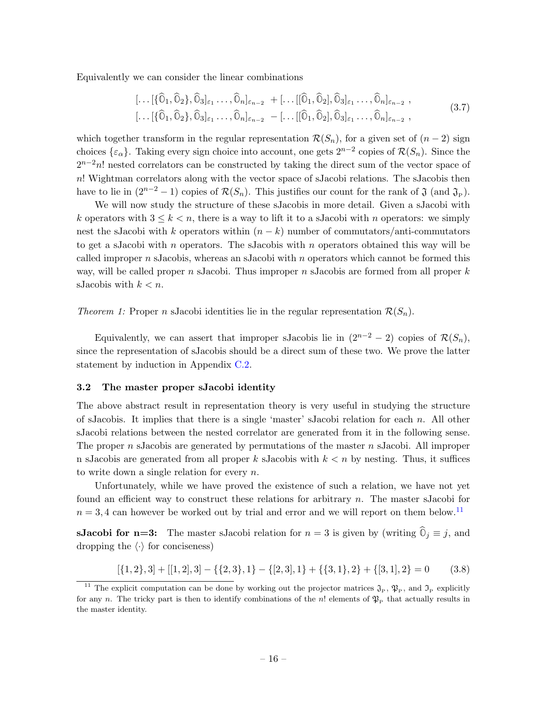Equivalently we can consider the linear combinations

$$
[\dots[\{\widehat{0}_1,\widehat{0}_2\},\widehat{0}_3]_{\varepsilon_1}\dots,\widehat{0}_n]_{\varepsilon_{n-2}} + [\dots[[\widehat{0}_1,\widehat{0}_2],\widehat{0}_3]_{\varepsilon_1}\dots,\widehat{0}_n]_{\varepsilon_{n-2}},
$$
  

$$
[\dots[\{\widehat{0}_1,\widehat{0}_2\},\widehat{0}_3]_{\varepsilon_1}\dots,\widehat{0}_n]_{\varepsilon_{n-2}} - [\dots[[\widehat{0}_1,\widehat{0}_2],\widehat{0}_3]_{\varepsilon_1}\dots,\widehat{0}_n]_{\varepsilon_{n-2}},
$$
\n(3.7)

which together transform in the regular representation  $\mathcal{R}(S_n)$ , for a given set of  $(n-2)$  sign choices  $\{\varepsilon_{\alpha}\}\$ . Taking every sign choice into account, one gets  $2^{n-2}$  copies of  $\mathcal{R}(S_n)$ . Since the  $2^{n-2}n!$  nested correlators can be constructed by taking the direct sum of the vector space of n! Wightman correlators along with the vector space of sJacobi relations. The sJacobis then have to lie in  $(2^{n-2}-1)$  copies of  $\mathcal{R}(S_n)$ . This justifies our count for the rank of  $\mathfrak{J}$  (and  $\mathfrak{J}_P$ ).

We will now study the structure of these sJacobis in more detail. Given a sJacobi with k operators with  $3 \leq k \leq n$ , there is a way to lift it to a sJacobi with n operators: we simply nest the sJacobi with k operators within  $(n - k)$  number of commutators/anti-commutators to get a sJacobi with  $n$  operators. The sJacobis with  $n$  operators obtained this way will be called improper  $n$  sJacobis, whereas an sJacobi with  $n$  operators which cannot be formed this way, will be called proper n sJacobi. Thus improper n sJacobis are formed from all proper  $k$ sJacobis with  $k < n$ .

Theorem 1: Proper n sJacobi identities lie in the regular representation  $\mathcal{R}(S_n)$ .

Equivalently, we can assert that improper sJacobis lie in  $(2^{n-2} - 2)$  copies of  $\mathcal{R}(S_n)$ , since the representation of sJacobis should be a direct sum of these two. We prove the latter statement by induction in Appendix [C.2.](#page-55-0)

#### <span id="page-17-0"></span>3.2 The master proper sJacobi identity

The above abstract result in representation theory is very useful in studying the structure of sJacobis. It implies that there is a single 'master' sJacobi relation for each  $n$ . All other sJacobi relations between the nested correlator are generated from it in the following sense. The proper  $n$  sJacobis are generated by permutations of the master  $n$  sJacobi. All improper n sJacobis are generated from all proper k sJacobis with  $k < n$  by nesting. Thus, it suffices to write down a single relation for every  $n$ .

Unfortunately, while we have proved the existence of such a relation, we have not yet found an efficient way to construct these relations for arbitrary  $n$ . The master sJacobi for  $n = 3, 4$  can however be worked out by trial and error and we will report on them below.<sup>[11](#page-17-1)</sup>

**sJacobi for n=3:** The master sJacobi relation for  $n = 3$  is given by (writing  $\hat{0}_i \equiv j$ , and dropping the  $\langle \cdot \rangle$  for conciseness)

$$
[\{1,2\},3] + [[1,2],3] - \{\{2,3\},1\} - \{[2,3],1\} + \{\{3,1\},2\} + \{[3,1],2\} = 0
$$
(3.8)

<span id="page-17-1"></span><sup>&</sup>lt;sup>11</sup> The explicit computation can be done by working out the projector matrices  $\mathfrak{J}_{\mathrm{P}}$ ,  $\mathfrak{P}_{\mathrm{P}}$ , and  $\mathfrak{I}_{\mathrm{P}}$  explicitly for any n. The tricky part is then to identify combinations of the n! elements of  $\mathfrak{P}_{P}$  that actually results in the master identity.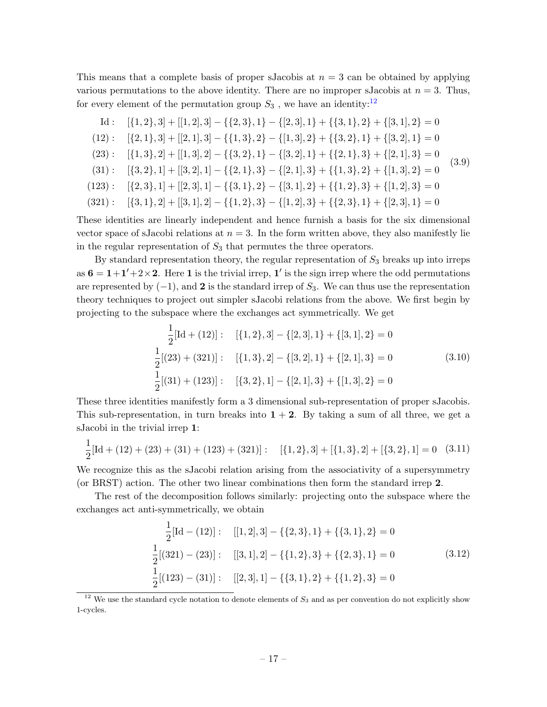This means that a complete basis of proper sJacobis at  $n = 3$  can be obtained by applying various permutations to the above identity. There are no improper sJacobis at  $n = 3$ . Thus, for every element of the permutation group  $S_3$ , we have an identity:<sup>[12](#page-18-0)</sup>

Id: 
$$
[\{1,2\},3] + [[1,2],3] - \{\{2,3\},1\} - \{[2,3],1\} + \{\{3,1\},2\} + \{[3,1],2\} = 0
$$

$$
(12): [\{2,1\},3] + [[2,1],3] - \{\{1,3\},2\} - \{[1,3],2\} + \{\{3,2\},1\} + \{[3,2],1\} = 0
$$

$$
(23): [\{1,3\},2] + [[1,3],2] - \{\{3,2\},1\} - \{\{3,2\},1\} + \{\{2,1\},3\} + \{[2,1],3\} = 0
$$

$$
(31): [\{3,2\},1] + [[3,2],1] - \{\{2,1\},3\} - \{\{2,1\},3\} + \{\{1,3\},2\} + \{[1,3],2\} = 0
$$

$$
(123): [\{2,3\},1] + [[2,3],1] - \{\{3,1\},2\} - \{\{3,1\},2\} + \{\{1,2\},3\} + \{\{1,2\},3\} = 0
$$

$$
(321): [\{3,1\},2] + [[3,1],2] - \{\{1,2\},3\} - \{\{1,2\},3\} + \{\{2,3\},1\} + \{\{2,3\},1\} = 0
$$

These identities are linearly independent and hence furnish a basis for the six dimensional vector space of sJacobi relations at  $n = 3$ . In the form written above, they also manifestly lie in the regular representation of  $S_3$  that permutes the three operators.

By standard representation theory, the regular representation of  $S_3$  breaks up into irreps as  $6 = 1+1'+2 \times 2$ . Here 1 is the trivial irrep, 1' is the sign irrep where the odd permutations are represented by  $(-1)$ , and 2 is the standard irrep of  $S_3$ . We can thus use the representation theory techniques to project out simpler sJacobi relations from the above. We first begin by projecting to the subspace where the exchanges act symmetrically. We get

$$
\frac{1}{2}[\text{Id} + (12)]: \quad [\{1, 2\}, 3] - \{[2, 3], 1\} + \{[3, 1], 2\} = 0
$$
\n
$$
\frac{1}{2}[(23) + (321)]: \quad [\{1, 3\}, 2] - \{[3, 2], 1\} + \{[2, 1], 3\} = 0 \tag{3.10}
$$
\n
$$
\frac{1}{2}[(31) + (123)]: \quad [\{3, 2\}, 1] - \{[2, 1], 3\} + \{[1, 3], 2\} = 0
$$

These three identities manifestly form a 3 dimensional sub-representation of proper sJacobis. This sub-representation, in turn breaks into  $1 + 2$ . By taking a sum of all three, we get a sJacobi in the trivial irrep 1:

$$
\frac{1}{2}[\text{Id} + (12) + (23) + (31) + (123) + (321)] : \quad [\{1, 2\}, 3] + [\{1, 3\}, 2] + [\{3, 2\}, 1] = 0 \quad (3.11)
$$

We recognize this as the sJacobi relation arising from the associativity of a supersymmetry (or BRST) action. The other two linear combinations then form the standard irrep 2.

The rest of the decomposition follows similarly: projecting onto the subspace where the exchanges act anti-symmetrically, we obtain

$$
\frac{1}{2}[\text{Id} - (12)] : [[1,2],3] - \{\{2,3\},1\} + \{\{3,1\},2\} = 0
$$
  

$$
\frac{1}{2}[(321) - (23)] : [[3,1],2] - \{\{1,2\},3\} + \{\{2,3\},1\} = 0
$$
  

$$
\frac{1}{2}[(123) - (31)] : [[2,3],1] - \{\{3,1\},2\} + \{\{1,2\},3\} = 0
$$
  
(3.12)

<span id="page-18-0"></span> $12$  We use the standard cycle notation to denote elements of  $S_3$  and as per convention do not explicitly show 1-cycles.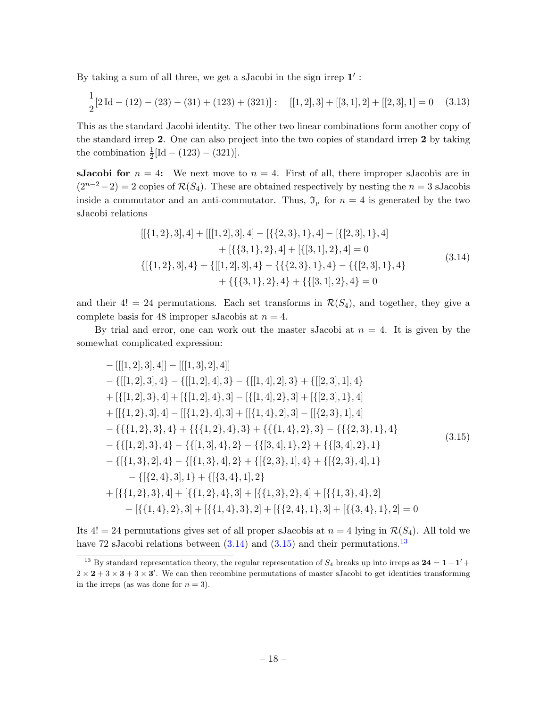By taking a sum of all three, we get a sJacobi in the sign irrep  $1'$ :

$$
\frac{1}{2}[2\operatorname{Id} - (12) - (23) - (31) + (123) + (321)]; \quad [[1,2],3] + [[3,1],2] + [[2,3],1] = 0 \quad (3.13)
$$

This as the standard Jacobi identity. The other two linear combinations form another copy of the standard irrep 2. One can also project into the two copies of standard irrep 2 by taking the combination  $\frac{1}{2}[\text{Id} - (123) - (321)].$ 

**sJacobi for**  $n = 4$ : We next move to  $n = 4$ . First of all, there improper sJacobis are in  $(2^{n-2}-2) = 2$  copies of  $\mathcal{R}(S_4)$ . These are obtained respectively by nesting the  $n = 3$  sJacobis inside a commutator and an anti-commutator. Thus,  $\mathfrak{I}_P$  for  $n = 4$  is generated by the two sJacobi relations

$$
[[\{1,2\},3],4] + [[[1,2],3],4] - [\{\{2,3\},1\},4] - [\{[2,3],1\},4] + [\{\{3,1\},2\},4] + [\{3,1\},2\},4] = 0
$$
  

$$
\{[\{1,2\},3],4\} + \{[[1,2],3],4\} - \{\{\{2,3\},1\},4\} - \{\{[2,3],1\},4\} + \{\{\{3,1\},2\},4\} + \{\{[3,1],2\},4\} = 0
$$
  
(3.14)

<span id="page-19-0"></span>and their 4! = 24 permutations. Each set transforms in  $\mathcal{R}(S_4)$ , and together, they give a complete basis for 48 improper sJacobis at  $n = 4$ .

By trial and error, one can work out the master sJacobi at  $n = 4$ . It is given by the somewhat complicated expression:

<span id="page-19-1"></span>
$$
-[[[1,2],3],4]] - [[[1,3],2],4]]
$$
  
\n
$$
- \{[[1,2],3],4\} - \{[[1,2],4],3\} - \{[[1,4],2],3\} + \{[[2,3],1],4\} + [\{[1,2],3\},4] + [\{[1,2],4\},3] - [\{[1,4],2\},3] + [\{[2,3],1\},4]
$$
  
\n
$$
+ [[\{1,2\},3],4] - [[\{1,2\},4],3] + [[\{1,4\},2],3] - [[\{2,3\},1],4]
$$
  
\n
$$
- \{ \{\{1,2\},3\},4\} + \{ \{\{1,2\},4\},3\} + \{ \{\{1,4\},2\},3\} - \{ \{\{2,3\},1\},4 \}
$$
  
\n
$$
- \{ \{[1,2],3\},4\} - \{ \{[1,3],4\},2\} - \{ \{[3,4],1\},2\} + \{ \{[3,4],2\},1 \}
$$
  
\n
$$
- \{ [\{1,3\},2],4\} - \{ [\{1,3\},4],2\} + \{ [\{2,3\},1],4\} + \{ [\{2,3\},4],1 \}
$$
  
\n
$$
- \{ [\{2,4\},3],1\} + \{ [\{3,4\},1],2 \}
$$
  
\n
$$
+ [\{ \{1,2\},3\},4] + [\{ \{1,2\},4\},3] + [\{ \{1,3\},2\},4] + [\{ \{1,3\},4\},2]
$$
  
\n
$$
+ [\{ \{1,4\},2\},3] + [\{ \{1,4\},3\},2] + [\{ \{2,4\},1\},3] + [\{ \{3,4\},1\},2] = 0
$$

Its  $4! = 24$  permutations gives set of all proper sJacobis at  $n = 4$  lying in  $\mathcal{R}(S_4)$ . All told we have 72 sJacobi relations between  $(3.14)$  and  $(3.15)$  and their permutations.<sup>[13](#page-19-2)</sup>

<span id="page-19-2"></span><sup>&</sup>lt;sup>13</sup> By standard representation theory, the regular representation of  $S_4$  breaks up into irreps as  $24 = 1 + 1' +$  $2 \times 2 + 3 \times 3 + 3 \times 3'$ . We can then recombine permutations of master sJacobi to get identities transforming in the irreps (as was done for  $n = 3$ ).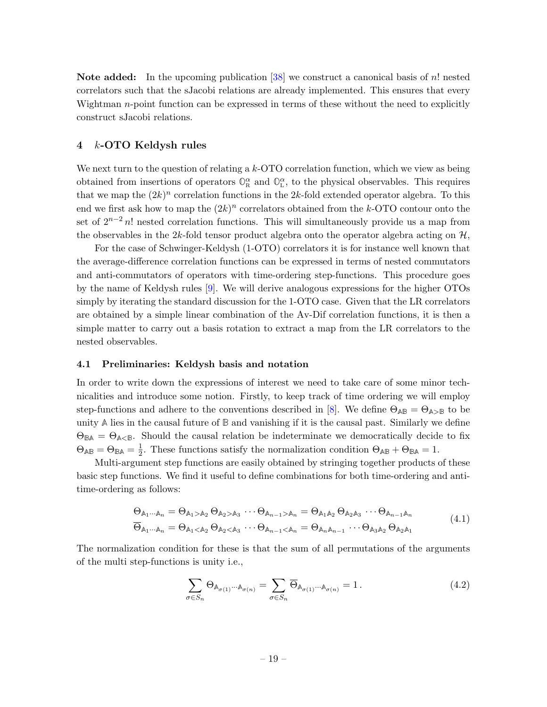Note added: In the upcoming publication [\[38\]](#page-59-4) we construct a canonical basis of n! nested correlators such that the sJacobi relations are already implemented. This ensures that every Wightman  $n$ -point function can be expressed in terms of these without the need to explicitly construct sJacobi relations.

# <span id="page-20-0"></span>4 k-OTO Keldysh rules

We next turn to the question of relating a  $k$ -OTO correlation function, which we view as being obtained from insertions of operators  $\mathbb{O}_R^{\alpha}$  and  $\mathbb{O}_L^{\alpha}$ , to the physical observables. This requires that we map the  $(2k)^n$  correlation functions in the 2k-fold extended operator algebra. To this end we first ask how to map the  $(2k)^n$  correlators obtained from the k-OTO contour onto the set of  $2^{n-2}$  n! nested correlation functions. This will simultaneously provide us a map from the observables in the 2k-fold tensor product algebra onto the operator algebra acting on  $H$ ,

For the case of Schwinger-Keldysh (1-OTO) correlators it is for instance well known that the average-difference correlation functions can be expressed in terms of nested commutators and anti-commutators of operators with time-ordering step-functions. This procedure goes by the name of Keldysh rules [\[9\]](#page-57-8). We will derive analogous expressions for the higher OTOs simply by iterating the standard discussion for the 1-OTO case. Given that the LR correlators are obtained by a simple linear combination of the Av-Dif correlation functions, it is then a simple matter to carry out a basis rotation to extract a map from the LR correlators to the nested observables.

#### <span id="page-20-1"></span>4.1 Preliminaries: Keldysh basis and notation

In order to write down the expressions of interest we need to take care of some minor technicalities and introduce some notion. Firstly, to keep track of time ordering we will employ step-functions and adhere to the conventions described in [\[8\]](#page-57-7). We define  $\Theta_{\mathbb{A}\mathbb{B}} = \Theta_{\mathbb{A}\geq \mathbb{B}}$  to be unity **A** lies in the causal future of **B** and vanishing if it is the causal past. Similarly we define  $\Theta_{\text{BA}} = \Theta_{\text{A}\leq \text{B}}$ . Should the causal relation be indeterminate we democratically decide to fix  $\Theta_{\mathbb{A}\mathbb{B}}=\Theta_{\mathbb{B}\mathbb{A}}=\frac{1}{2}$  $\frac{1}{2}$ . These functions satisfy the normalization condition  $\Theta_{AB} + \Theta_{BA} = 1$ .

Multi-argument step functions are easily obtained by stringing together products of these basic step functions. We find it useful to define combinations for both time-ordering and antitime-ordering as follows:

$$
\begin{aligned}\n\Theta_{\mathbb{A}_{1}\cdots\mathbb{A}_{n}} &= \Theta_{\mathbb{A}_{1}>\mathbb{A}_{2}}\,\Theta_{\mathbb{A}_{2}>\mathbb{A}_{3}}\,\cdots\,\Theta_{\mathbb{A}_{n-1}>\mathbb{A}_{n}} = \Theta_{\mathbb{A}_{1}\mathbb{A}_{2}}\,\Theta_{\mathbb{A}_{2}\mathbb{A}_{3}}\,\cdots\,\Theta_{\mathbb{A}_{n-1}\mathbb{A}_{n}} \\
\overline{\Theta}_{\mathbb{A}_{1}\cdots\mathbb{A}_{n}} &= \Theta_{\mathbb{A}_{1}<\mathbb{A}_{2}}\,\Theta_{\mathbb{A}_{2}<\mathbb{A}_{3}}\,\cdots\,\Theta_{\mathbb{A}_{n-1}<\mathbb{A}_{n}} = \Theta_{\mathbb{A}_{n}\mathbb{A}_{n-1}}\,\cdots\,\Theta_{\mathbb{A}_{3}\mathbb{A}_{2}}\,\Theta_{\mathbb{A}_{2}\mathbb{A}_{1}}\n\end{aligned}\n\tag{4.1}
$$

The normalization condition for these is that the sum of all permutations of the arguments of the multi step-functions is unity i.e.,

<span id="page-20-2"></span>
$$
\sum_{\sigma \in S_n} \Theta_{\mathbb{A}_{\sigma(1)}\cdots \mathbb{A}_{\sigma(n)}} = \sum_{\sigma \in S_n} \overline{\Theta}_{\mathbb{A}_{\sigma(1)}\cdots \mathbb{A}_{\sigma(n)}} = 1.
$$
\n(4.2)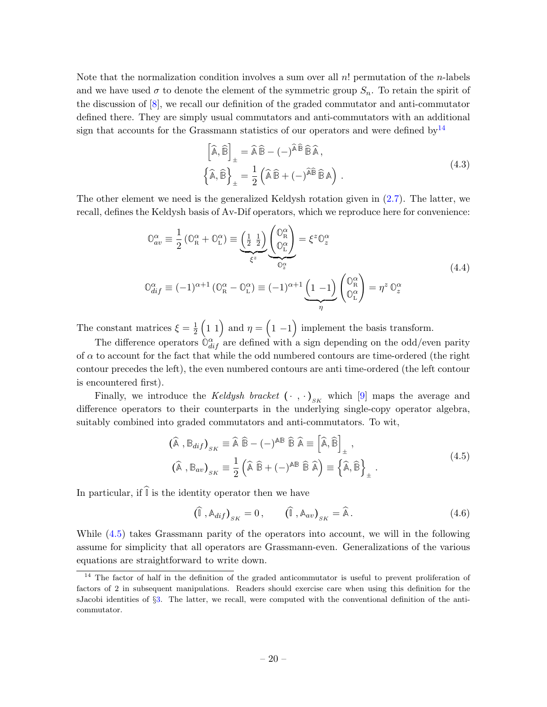Note that the normalization condition involves a sum over all  $n!$  permutation of the *n*-labels and we have used  $\sigma$  to denote the element of the symmetric group  $S_n$ . To retain the spirit of the discussion of [\[8\]](#page-57-7), we recall our definition of the graded commutator and anti-commutator defined there. They are simply usual commutators and anti-commutators with an additional sign that accounts for the Grassmann statistics of our operators and were defined by  $14$ 

$$
\begin{aligned}\n\left[\widehat{\mathbb{A}}, \widehat{\mathbb{B}}\right]_{\pm} &= \widehat{\mathbb{A}} \widehat{\mathbb{B}} - (-)^{\widehat{\mathbb{A}} \widehat{\mathbb{B}}} \widehat{\mathbb{B}} \widehat{\mathbb{A}},\\
\left\{\widehat{\mathbb{A}}, \widehat{\mathbb{B}}\right\}_{\pm} &= \frac{1}{2} \left(\widehat{\mathbb{A}} \widehat{\mathbb{B}} + (-)^{\widehat{\mathbb{A}} \widehat{\mathbb{B}}} \widehat{\mathbb{B}} \mathbb{A}\right).\n\end{aligned} \tag{4.3}
$$

The other element we need is the generalized Keldysh rotation given in [\(2.7\)](#page-9-1). The latter, we recall, defines the Keldysh basis of Av-Dif operators, which we reproduce here for convenience:

$$
\mathbb{O}_{av}^{\alpha} \equiv \frac{1}{2} \left( \mathbb{O}_{R}^{\alpha} + \mathbb{O}_{L}^{\alpha} \right) \equiv \underbrace{\left( \frac{1}{2} \frac{1}{2} \right)}_{\xi^{z}} \underbrace{\left( \mathbb{O}_{R}^{\alpha} \right)}_{\mathbb{O}_{z}^{\alpha}} = \xi^{z} \mathbb{O}_{z}^{\alpha}
$$
\n
$$
\mathbb{O}_{dif}^{\alpha} \equiv (-1)^{\alpha+1} \left( \mathbb{O}_{R}^{\alpha} - \mathbb{O}_{L}^{\alpha} \right) \equiv (-1)^{\alpha+1} \underbrace{\left( 1 - 1 \right)}_{\eta} \left( \mathbb{O}_{L}^{\alpha} \right) = \eta^{z} \mathbb{O}_{z}^{\alpha}
$$
\n
$$
(4.4)
$$

The constant matrices  $\xi = \frac{1}{2}$  $\frac{1}{2}$  (1 1) and  $\eta = (1 - 1)$  implement the basis transform.

The difference operators  $\hat{O}_{dif}^{\alpha}$  are defined with a sign depending on the odd/even parity of  $\alpha$  to account for the fact that while the odd numbered contours are time-ordered (the right contour precedes the left), the even numbered contours are anti time-ordered (the left contour is encountered first).

Finally, we introduce the *Keldysh bracket*  $(\cdot, \cdot)_{sK}$  which [\[9\]](#page-57-8) maps the average and difference operators to their counterparts in the underlying single-copy operator algebra, suitably combined into graded commutators and anti-commutators. To wit,

$$
(\hat{\mathbb{A}}, \mathbb{B}_{dif})_{SK} \equiv \hat{\mathbb{A}} \hat{\mathbb{B}} - (-)^{\mathbb{A}\mathbb{B}} \hat{\mathbb{B}} \hat{\mathbb{A}} \equiv \left[ \hat{\mathbb{A}}, \hat{\mathbb{B}} \right]_{\pm},
$$
  

$$
(\hat{\mathbb{A}}, \mathbb{B}_{av})_{SK} \equiv \frac{1}{2} (\hat{\mathbb{A}} \hat{\mathbb{B}} + (-)^{\mathbb{A}\mathbb{B}} \hat{\mathbb{B}} \hat{\mathbb{A}}) \equiv \left\{ \hat{\mathbb{A}}, \hat{\mathbb{B}} \right\}_{\pm}.
$$
\n(4.5)

<span id="page-21-1"></span>In particular, if  $\widehat{\mathbb{I}}$  is the identity operator then we have

$$
\left(\widehat{\mathbb{I}}\right)_{SK} = 0, \qquad \left(\widehat{\mathbb{I}}\right)_{SK} = \widehat{\mathbb{A}}.
$$
\n(4.6)

While [\(4.5\)](#page-21-1) takes Grassmann parity of the operators into account, we will in the following assume for simplicity that all operators are Grassmann-even. Generalizations of the various equations are straightforward to write down.

<span id="page-21-0"></span><sup>&</sup>lt;sup>14</sup> The factor of half in the definition of the graded anticommutator is useful to prevent proliferation of factors of 2 in subsequent manipulations. Readers should exercise care when using this definition for the sJacobi identities of §[3.](#page-15-0) The latter, we recall, were computed with the conventional definition of the anticommutator.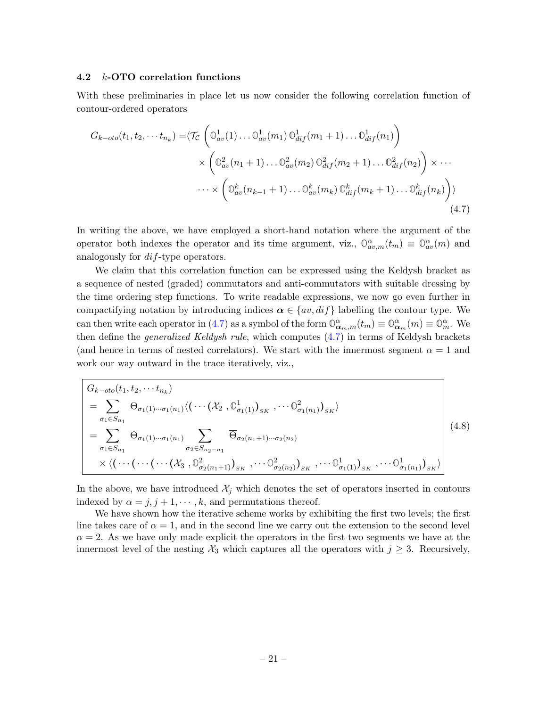#### <span id="page-22-0"></span>4.2 k-OTO correlation functions

With these preliminaries in place let us now consider the following correlation function of contour-ordered operators

<span id="page-22-2"></span>
$$
G_{k-oto}(t_1, t_2, \cdots t_{n_k}) = \langle \mathcal{T}_{\mathcal{C}} \left( \mathbb{O}_{av}^1(1) \dots \mathbb{O}_{av}^1(m_1) \mathbb{O}_{dif}^1(m_1 + 1) \dots \mathbb{O}_{dif}^1(n_1) \right) \times \left( \mathbb{O}_{av}^2(n_1 + 1) \dots \mathbb{O}_{av}^2(m_2) \mathbb{O}_{dif}^2(m_2 + 1) \dots \mathbb{O}_{dif}^2(n_2) \right) \times \cdots \times \left( \mathbb{O}_{av}^k(n_{k-1} + 1) \dots \mathbb{O}_{av}^k(m_k) \mathbb{O}_{dif}^k(m_k + 1) \dots \mathbb{O}_{dif}^k(n_k) \right) \rangle
$$
\n
$$
\cdots \times \left( \mathbb{O}_{av}^k(n_{k-1} + 1) \dots \mathbb{O}_{av}^k(m_k) \mathbb{O}_{dif}^k(m_k + 1) \dots \mathbb{O}_{dif}^k(n_k) \right) \rangle
$$
\n
$$
(4.7)
$$

In writing the above, we have employed a short-hand notation where the argument of the operator both indexes the operator and its time argument, viz.,  $\mathbb{O}_{av,m}^{\alpha}(t_m) \equiv \mathbb{O}_{av}^{\alpha}(m)$  and analogously for dif-type operators.

We claim that this correlation function can be expressed using the Keldysh bracket as a sequence of nested (graded) commutators and anti-commutators with suitable dressing by the time ordering step functions. To write readable expressions, we now go even further in compactifying notation by introducing indices  $\alpha \in \{av, diff\}$  labelling the contour type. We can then write each operator in [\(4.7\)](#page-22-2) as a symbol of the form  $\mathbb{O}_{\mathbf{\alpha}_m,m}^{\alpha}(t_m) \equiv \mathbb{O}_{\mathbf{\alpha}_m}^{\alpha}(m) \equiv \mathbb{O}_{m}^{\alpha}$ . We then define the *generalized Keldysh rule*, which computes  $(4.7)$  in terms of Keldysh brackets (and hence in terms of nested correlators). We start with the innermost segment  $\alpha = 1$  and work our way outward in the trace iteratively, viz.,

<span id="page-22-1"></span>
$$
G_{k-oto}(t_1, t_2, \cdots t_{n_k})
$$
\n
$$
= \sum_{\sigma_1 \in S_{n_1}} \Theta_{\sigma_1(1) \cdots \sigma_1(n_1)} \langle (\cdots (\mathcal{X}_2, \mathbb{O}^1_{\sigma_1(1)})_{_{SK}}, \cdots \mathbb{O}^2_{\sigma_1(n_1)})_{_{SK}} \rangle
$$
\n
$$
= \sum_{\sigma_1 \in S_{n_1}} \Theta_{\sigma_1(1) \cdots \sigma_1(n_1)} \sum_{\sigma_2 \in S_{n_2 - n_1}} \overline{\Theta}_{\sigma_2(n_1 + 1) \cdots \sigma_2(n_2)} \times \langle (\cdots (\cdots (\mathcal{X}_3, \mathbb{O}^2_{\sigma_2(n_1 + 1)})_{_{SK}}, \cdots \mathbb{O}^2_{\sigma_2(n_2)})_{_{SK}}, \cdots \mathbb{O}^1_{\sigma_1(1)})_{_{SK}}, \cdots \mathbb{O}^1_{\sigma_1(n_1)})_{_{SK}} \rangle
$$
\n(4.8)

In the above, we have introduced  $\mathcal{X}_j$  which denotes the set of operators inserted in contours indexed by  $\alpha = j, j + 1, \dots, k$ , and permutations thereof.

We have shown how the iterative scheme works by exhibiting the first two levels; the first line takes care of  $\alpha = 1$ , and in the second line we carry out the extension to the second level  $\alpha = 2$ . As we have only made explicit the operators in the first two segments we have at the innermost level of the nesting  $\mathcal{X}_3$  which captures all the operators with  $j \geq 3$ . Recursively,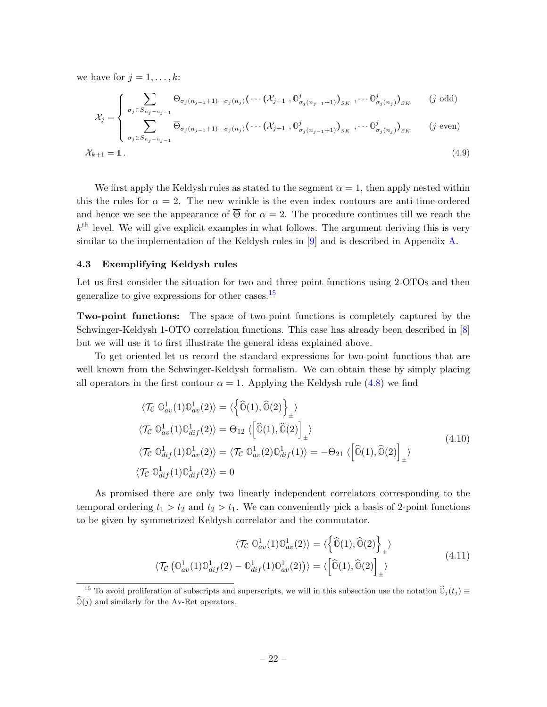we have for  $j = 1, \ldots, k$ :

$$
\sum_{\mathcal{X}} \sum_{j=1}^{\infty} \sum_{\sigma_j \in S_{n_j - n_{j-1}}} \Theta_{\sigma_j(n_{j-1} + 1) \cdots \sigma_j(n_j)} \left( \cdots (\mathcal{X}_{j+1}, \mathbb{O}_{\sigma_j(n_{j-1} + 1)}^j \right)_{S^K}, \cdots \mathbb{O}_{\sigma_j(n_j)}^j \right)_{S^K} \qquad (j \text{ odd})
$$

$$
\mathcal{X}_{j} = \begin{cases}\n\sum_{\sigma_{j} \in S_{n_{j}-n_{j-1}}} \overline{\Theta}_{\sigma_{j}(n_{j-1}+1)\cdots\sigma_{j}(n_{j})}(\cdots(\mathcal{X}_{j+1}, \mathbb{O}_{\sigma_{j}(n_{j-1}+1)}^{j})_{S_{K}}, \cdots \mathbb{O}_{\sigma_{j}(n_{j})}^{j})_{S_{K}} & (j \text{ even})\n\end{cases}
$$

$$
\mathcal{X}_{k+1} = \mathbb{1} \,. \tag{4.9}
$$

We first apply the Keldysh rules as stated to the segment  $\alpha = 1$ , then apply nested within this the rules for  $\alpha = 2$ . The new wrinkle is the even index contours are anti-time-ordered and hence we see the appearance of  $\overline{\Theta}$  for  $\alpha = 2$ . The procedure continues till we reach the  $k<sup>th</sup>$  level. We will give explicit examples in what follows. The argument deriving this is very similar to the implementation of the Keldysh rules in [\[9\]](#page-57-8) and is described in Appendix [A.](#page-51-0)

### <span id="page-23-0"></span>4.3 Exemplifying Keldysh rules

Let us first consider the situation for two and three point functions using 2-OTOs and then generalize to give expressions for other cases.<sup>[15](#page-23-1)</sup>

Two-point functions: The space of two-point functions is completely captured by the Schwinger-Keldysh 1-OTO correlation functions. This case has already been described in [\[8\]](#page-57-7) but we will use it to first illustrate the general ideas explained above.

To get oriented let us record the standard expressions for two-point functions that are well known from the Schwinger-Keldysh formalism. We can obtain these by simply placing all operators in the first contour  $\alpha = 1$ . Applying the Keldysh rule [\(4.8\)](#page-22-1) we find

$$
\langle \mathcal{T}_{\mathcal{C}} \mathbb{O}_{av}^{1}(1) \mathbb{O}_{av}^{1}(2) \rangle = \langle \left\{ \widehat{\mathbb{O}}(1), \widehat{\mathbb{O}}(2) \right\}_{\pm} \rangle
$$
  

$$
\langle \mathcal{T}_{\mathcal{C}} \mathbb{O}_{av}^{1}(1) \mathbb{O}_{dif}^{1}(2) \rangle = \Theta_{12} \langle \left[ \widehat{\mathbb{O}}(1), \widehat{\mathbb{O}}(2) \right]_{\pm} \rangle
$$
  

$$
\langle \mathcal{T}_{\mathcal{C}} \mathbb{O}_{dif}^{1}(1) \mathbb{O}_{av}^{1}(2) \rangle = \langle \mathcal{T}_{\mathcal{C}} \mathbb{O}_{av}^{1}(2) \mathbb{O}_{dif}^{1}(1) \rangle = -\Theta_{21} \langle \left[ \widehat{\mathbb{O}}(1), \widehat{\mathbb{O}}(2) \right]_{\pm} \rangle
$$
  

$$
\langle \mathcal{T}_{\mathcal{C}} \mathbb{O}_{dif}^{1}(1) \mathbb{O}_{dif}^{1}(2) \rangle = 0
$$
\n(4.10)

As promised there are only two linearly independent correlators corresponding to the temporal ordering  $t_1 > t_2$  and  $t_2 > t_1$ . We can conveniently pick a basis of 2-point functions to be given by symmetrized Keldysh correlator and the commutator.

$$
\langle \mathcal{T}_{\mathcal{C}} \mathbb{O}_{av}^{1}(1) \mathbb{O}_{av}^{1}(2) \rangle = \langle \left\{ \widehat{\mathbb{O}}(1), \widehat{\mathbb{O}}(2) \right\}_{\pm} \rangle
$$
  

$$
\langle \mathcal{T}_{\mathcal{C}} \left( \mathbb{O}_{av}^{1}(1) \mathbb{O}_{di}^{1}(2) - \mathbb{O}_{di}^{1}(1) \mathbb{O}_{av}^{1}(2) \right) \rangle = \langle \left[ \widehat{\mathbb{O}}(1), \widehat{\mathbb{O}}(2) \right]_{\pm} \rangle
$$
(4.11)

<span id="page-23-2"></span><span id="page-23-1"></span><sup>&</sup>lt;sup>15</sup> To avoid proliferation of subscripts and superscripts, we will in this subsection use the notation  $\hat{O}_j(t_j) \equiv$  $\widehat{\mathbb{O}}(j)$  and similarly for the Av-Ret operators.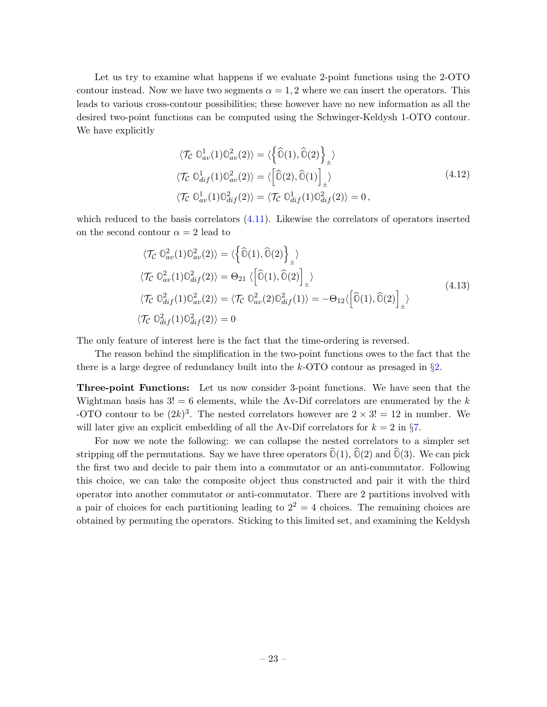Let us try to examine what happens if we evaluate 2-point functions using the 2-OTO contour instead. Now we have two segments  $\alpha = 1, 2$  where we can insert the operators. This leads to various cross-contour possibilities; these however have no new information as all the desired two-point functions can be computed using the Schwinger-Keldysh 1-OTO contour. We have explicitly

$$
\langle \mathcal{T}_{\mathcal{C}} \mathbb{O}^1_{av}(1) \mathbb{O}^2_{av}(2) \rangle = \langle \left\{ \widehat{\mathbb{O}}(1), \widehat{\mathbb{O}}(2) \right\}_{\pm} \rangle
$$
  

$$
\langle \mathcal{T}_{\mathcal{C}} \mathbb{O}^1_{dif}(1) \mathbb{O}^2_{av}(2) \rangle = \langle \left[ \widehat{\mathbb{O}}(2), \widehat{\mathbb{O}}(1) \right]_{\pm} \rangle
$$
  

$$
\langle \mathcal{T}_{\mathcal{C}} \mathbb{O}^1_{av}(1) \mathbb{O}^2_{dif}(2) \rangle = \langle \mathcal{T}_{\mathcal{C}} \mathbb{O}^1_{dif}(1) \mathbb{O}^2_{dif}(2) \rangle = 0,
$$
\n
$$
(4.12)
$$

which reduced to the basis correlators  $(4.11)$ . Likewise the correlators of operators inserted on the second contour  $\alpha = 2$  lead to

$$
\langle \mathcal{T}_{\mathcal{C}} \mathbb{O}_{av}^{2}(1) \mathbb{O}_{av}^{2}(2) \rangle = \langle \left\{ \widehat{\mathbb{O}}(1), \widehat{\mathbb{O}}(2) \right\}_{\pm} \rangle
$$
  

$$
\langle \mathcal{T}_{\mathcal{C}} \mathbb{O}_{av}^{2}(1) \mathbb{O}_{dif}^{2}(2) \rangle = \Theta_{21} \langle \left[ \widehat{\mathbb{O}}(1), \widehat{\mathbb{O}}(2) \right]_{\pm} \rangle
$$
  

$$
\langle \mathcal{T}_{\mathcal{C}} \mathbb{O}_{dif}^{2}(1) \mathbb{O}_{av}^{2}(2) \rangle = \langle \mathcal{T}_{\mathcal{C}} \mathbb{O}_{av}^{2}(2) \mathbb{O}_{dif}^{2}(1) \rangle = -\Theta_{12} \langle \left[ \widehat{\mathbb{O}}(1), \widehat{\mathbb{O}}(2) \right]_{\pm} \rangle
$$
  

$$
\langle \mathcal{T}_{\mathcal{C}} \mathbb{O}_{dif}^{2}(1) \mathbb{O}_{dif}^{2}(2) \rangle = 0
$$
\n(4.13)

The only feature of interest here is the fact that the time-ordering is reversed.

The reason behind the simplification in the two-point functions owes to the fact that the there is a large degree of redundancy built into the  $k$ -OTO contour as presaged in  $\S2$ .

Three-point Functions: Let us now consider 3-point functions. We have seen that the Wightman basis has  $3! = 6$  elements, while the Av-Dif correlators are enumerated by the k -OTO contour to be  $(2k)^3$ . The nested correlators however are  $2 \times 3! = 12$  in number. We will later give an explicit embedding of all the Av-Dif correlators for  $k = 2$  in §[7.](#page-46-0)

For now we note the following: we can collapse the nested correlators to a simpler set stripping off the permutations. Say we have three operators  $\widehat{\mathbb{O}}(1), \widehat{\mathbb{O}}(2)$  and  $\widehat{\mathbb{O}}(3)$ . We can pick the first two and decide to pair them into a commutator or an anti-commutator. Following this choice, we can take the composite object thus constructed and pair it with the third operator into another commutator or anti-commutator. There are 2 partitions involved with a pair of choices for each partitioning leading to  $2^2 = 4$  choices. The remaining choices are obtained by permuting the operators. Sticking to this limited set, and examining the Keldysh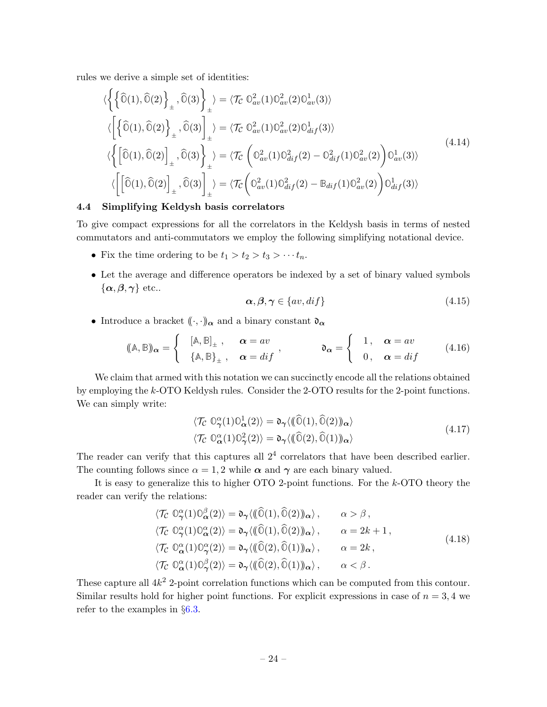rules we derive a simple set of identities:

$$
\langle \left\{ \left\{ \widehat{\mathbb{O}}(1), \widehat{\mathbb{O}}(2) \right\}_{\pm}, \widehat{\mathbb{O}}(3) \right\}_{\pm} \rangle = \langle \mathcal{T}_{\mathcal{C}} \mathbb{O}_{av}^{2}(1) \mathbb{O}_{av}^{2}(2) \mathbb{O}_{av}^{1}(3) \rangle
$$
  

$$
\langle \left[ \left\{ \widehat{\mathbb{O}}(1), \widehat{\mathbb{O}}(2) \right\}_{\pm}, \widehat{\mathbb{O}}(3) \right]_{\pm} \rangle = \langle \mathcal{T}_{\mathcal{C}} \mathbb{O}_{av}^{2}(1) \mathbb{O}_{av}^{2}(2) \mathbb{O}_{dif}^{1}(3) \rangle
$$
  

$$
\langle \left\{ \left[ \widehat{\mathbb{O}}(1), \widehat{\mathbb{O}}(2) \right]_{\pm}, \widehat{\mathbb{O}}(3) \right\}_{\pm} \rangle = \langle \mathcal{T}_{\mathcal{C}} \left( \mathbb{O}_{av}^{2}(1) \mathbb{O}_{di}^{2}(2) - \mathbb{O}_{dif}^{2}(1) \mathbb{O}_{av}^{2}(2) \right) \mathbb{O}_{av}^{1}(3) \rangle
$$
  

$$
\langle \left[ \left[ \widehat{\mathbb{O}}(1), \widehat{\mathbb{O}}(2) \right]_{\pm}, \widehat{\mathbb{O}}(3) \right]_{\pm} \rangle = \langle \mathcal{T}_{\mathcal{C}} \left( \mathbb{O}_{av}^{2}(1) \mathbb{O}_{dif}^{2}(2) - \mathbb{B}_{dif}(1) \mathbb{O}_{av}^{2}(2) \right) \mathbb{O}_{dif}^{1}(3) \rangle
$$
  
(4.14)

#### <span id="page-25-0"></span>4.4 Simplifying Keldysh basis correlators

To give compact expressions for all the correlators in the Keldysh basis in terms of nested commutators and anti-commutators we employ the following simplifying notational device.

- Fix the time ordering to be  $t_1 > t_2 > t_3 > \cdots t_n$ .
- Let the average and difference operators be indexed by a set of binary valued symbols  $\{\boldsymbol{\alpha},\boldsymbol{\beta},\boldsymbol{\gamma}\}\,$ etc..

$$
\alpha, \beta, \gamma \in \{av, dif\} \tag{4.15}
$$

• Introduce a bracket  $(\langle \cdot, \cdot \rangle)_{\alpha}$  and a binary constant  $\mathfrak{d}_{\alpha}$ 

$$
(\mathbb{A}, \mathbb{B})_{\alpha} = \begin{cases} [\mathbb{A}, \mathbb{B}]_{\pm} , & \alpha = av \\ {\mathbb{A}, \mathbb{B}}_{\pm} , & \alpha = dif \end{cases} , \qquad \mathfrak{d}_{\alpha} = \begin{cases} 1 , & \alpha = av \\ 0 , & \alpha = dif \end{cases} (4.16)
$$

We claim that armed with this notation we can succinctly encode all the relations obtained by employing the k-OTO Keldysh rules. Consider the 2-OTO results for the 2-point functions. We can simply write:

$$
\langle \mathcal{T}_{\mathcal{C}} \ \mathbb{O}_{\gamma}^{\alpha}(1) \mathbb{O}_{\alpha}^{1}(2) \rangle = \mathfrak{d}_{\gamma} \langle (\widehat{\mathbb{O}}(1), \widehat{\mathbb{O}}(2)) \rangle_{\alpha} \rangle \langle \mathcal{T}_{\mathcal{C}} \ \mathbb{O}_{\alpha}^{\alpha}(1) \mathbb{O}_{\gamma}^{2}(2) \rangle = \mathfrak{d}_{\gamma} \langle (\widehat{\mathbb{O}}(2), \widehat{\mathbb{O}}(1)) \rangle_{\alpha} \rangle
$$
\n(4.17)

The reader can verify that this captures all  $2<sup>4</sup>$  correlators that have been described earlier. The counting follows since  $\alpha = 1, 2$  while  $\alpha$  and  $\gamma$  are each binary valued.

It is easy to generalize this to higher OTO 2-point functions. For the k-OTO theory the reader can verify the relations:

$$
\langle \mathcal{T}_{\mathcal{C}} \mathbb{O}_{\gamma}^{\alpha}(1) \mathbb{O}_{\alpha}^{\beta}(2) \rangle = \mathfrak{d}_{\gamma} \langle (\widehat{\mathbb{O}}(1), \widehat{\mathbb{O}}(2)) \rangle_{\alpha} \rangle, \qquad \alpha > \beta,
$$
  

$$
\langle \mathcal{T}_{\mathcal{C}} \mathbb{O}_{\gamma}^{\alpha}(1) \mathbb{O}_{\alpha}^{\alpha}(2) \rangle = \mathfrak{d}_{\gamma} \langle (\widehat{\mathbb{O}}(1), \widehat{\mathbb{O}}(2)) \rangle_{\alpha} \rangle, \qquad \alpha = 2k + 1,
$$
  

$$
\langle \mathcal{T}_{\mathcal{C}} \mathbb{O}_{\alpha}^{\alpha}(1) \mathbb{O}_{\gamma}^{\alpha}(2) \rangle = \mathfrak{d}_{\gamma} \langle (\widehat{\mathbb{O}}(2), \widehat{\mathbb{O}}(1)) \rangle_{\alpha} \rangle, \qquad \alpha = 2k,
$$
  

$$
\langle \mathcal{T}_{\mathcal{C}} \mathbb{O}_{\alpha}^{\alpha}(1) \mathbb{O}_{\gamma}^{\beta}(2) \rangle = \mathfrak{d}_{\gamma} \langle (\widehat{\mathbb{O}}(2), \widehat{\mathbb{O}}(1)) \rangle_{\alpha} \rangle, \qquad \alpha < \beta.
$$
  
(4.18)

These capture all  $4k^2$  2-point correlation functions which can be computed from this contour. Similar results hold for higher point functions. For explicit expressions in case of  $n = 3, 4$  we refer to the examples in §[6.3.](#page-43-0)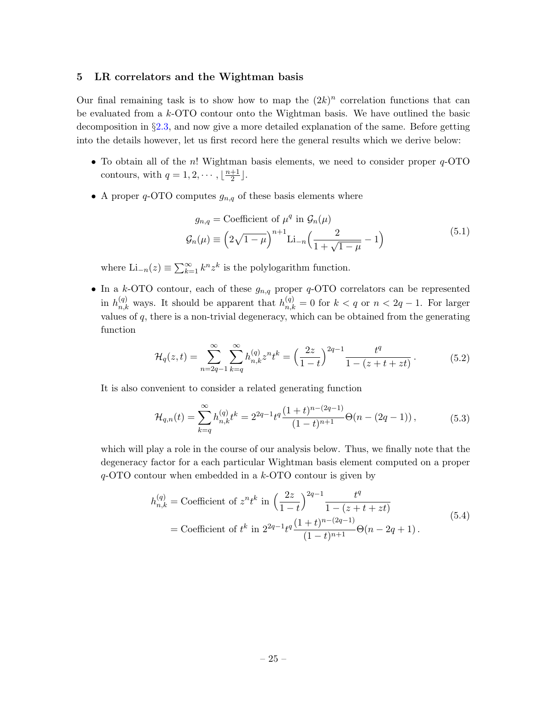#### <span id="page-26-0"></span>5 LR correlators and the Wightman basis

Our final remaining task is to show how to map the  $(2k)^n$  correlation functions that can be evaluated from a k-OTO contour onto the Wightman basis. We have outlined the basic decomposition in §[2.3,](#page-9-0) and now give a more detailed explanation of the same. Before getting into the details however, let us first record here the general results which we derive below:

- To obtain all of the n! Wightman basis elements, we need to consider proper  $q$ -OTO contours, with  $q = 1, 2, \cdots, \lfloor \frac{n+1}{2} \rfloor$  $\frac{+1}{2}$ .
- <span id="page-26-1"></span> $\bullet$  A proper  $q\text{-}\mathrm{OTO}$  computes  $g_{n,q}$  of these basis elements where

$$
g_{n,q} = \text{Coefficient of } \mu^q \text{ in } \mathcal{G}_n(\mu)
$$
  

$$
\mathcal{G}_n(\mu) \equiv \left(2\sqrt{1-\mu}\right)^{n+1} \text{Li}_{-n}\left(\frac{2}{1+\sqrt{1-\mu}}-1\right)
$$
 (5.1)

where  $\text{Li}_{-n}(z) \equiv \sum_{k=1}^{\infty} k^{n} z^{k}$  is the polylogarithm function.

• In a k-OTO contour, each of these  $g_{n,q}$  proper q-OTO correlators can be represented in  $h_{n,k}^{(q)}$  ways. It should be apparent that  $h_{n,k}^{(q)} = 0$  for  $k < q$  or  $n < 2q - 1$ . For larger values of  $q$ , there is a non-trivial degeneracy, which can be obtained from the generating function

$$
\mathcal{H}_q(z,t) = \sum_{n=2q-1}^{\infty} \sum_{k=q}^{\infty} h_{n,k}^{(q)} z^n t^k = \left(\frac{2z}{1-t}\right)^{2q-1} \frac{t^q}{1-(z+t+zt)}.
$$
\n(5.2)

<span id="page-26-4"></span><span id="page-26-3"></span>It is also convenient to consider a related generating function

$$
\mathcal{H}_{q,n}(t) = \sum_{k=q}^{\infty} h_{n,k}^{(q)} t^k = 2^{2q-1} t^q \frac{(1+t)^{n-(2q-1)}}{(1-t)^{n+1}} \Theta(n-(2q-1)),\tag{5.3}
$$

which will play a role in the course of our analysis below. Thus, we finally note that the degeneracy factor for a each particular Wightman basis element computed on a proper  $q$ -OTO contour when embedded in a  $k$ -OTO contour is given by

<span id="page-26-2"></span>
$$
h_{n,k}^{(q)} = \text{Coefficient of } z^n t^k \text{ in } \left(\frac{2z}{1-t}\right)^{2q-1} \frac{t^q}{1-(z+t+zt)}
$$
  
= Coefficient of  $t^k$  in  $2^{2q-1} t^q \frac{(1+t)^{n-(2q-1)}}{(1-t)^{n+1}} \Theta(n-2q+1)$ . (5.4)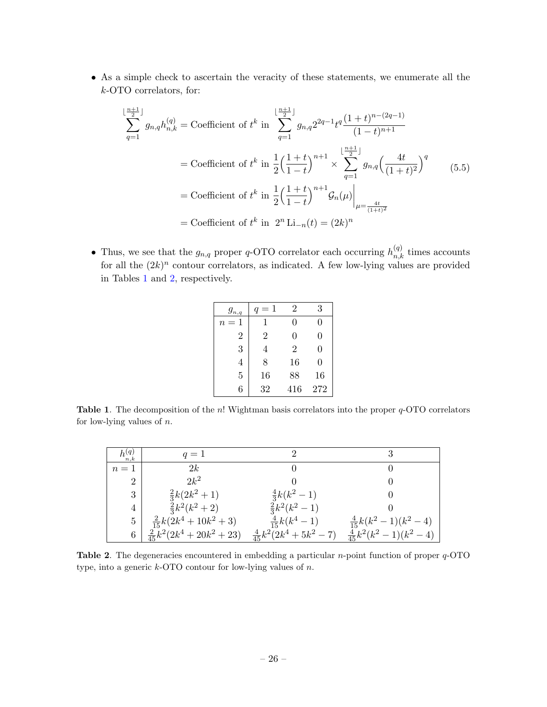• As a simple check to ascertain the veracity of these statements, we enumerate all the k-OTO correlators, for:

<span id="page-27-2"></span>
$$
\sum_{q=1}^{\lfloor \frac{n+1}{2} \rfloor} g_{n,q} h_{n,k}^{(q)} = \text{Coefficient of } t^k \text{ in } \sum_{q=1}^{\lfloor \frac{n+1}{2} \rfloor} g_{n,q} 2^{2q-1} t^q \frac{(1+t)^{n-(2q-1)}}{(1-t)^{n+1}}
$$
\n
$$
= \text{Coefficient of } t^k \text{ in } \frac{1}{2} \left( \frac{1+t}{1-t} \right)^{n+1} \times \sum_{q=1}^{\lfloor \frac{n+1}{2} \rfloor} g_{n,q} \left( \frac{4t}{(1+t)^2} \right)^q \qquad (5.5)
$$
\n
$$
= \text{Coefficient of } t^k \text{ in } \frac{1}{2} \left( \frac{1+t}{1-t} \right)^{n+1} \mathcal{G}_n(\mu) \Big|_{\mu = \frac{4t}{(1+t)^2}}
$$
\n
$$
= \text{Coefficient of } t^k \text{ in } 2^n \text{Li}_{-n}(t) = (2k)^n
$$

• Thus, we see that the  $g_{n,q}$  proper q-OTO correlator each occurring  $h_{n,k}^{(q)}$  times accounts for all the  $(2k)^n$  contour correlators, as indicated. A few low-lying values are provided in Tables [1](#page-27-0) and [2,](#page-27-1) respectively.

| $g_{n,q}$      | $q=1$          | 2              | 3   |
|----------------|----------------|----------------|-----|
| $n=1$          | 1              | 0              | 0   |
| $\overline{2}$ | $\overline{2}$ | 0              | 0   |
| 3              | 4              | $\overline{2}$ | 0   |
| 4              | 8              | 16             | 0   |
| 5              | 16             | 88             | 16  |
| 6              | 32             | 416            | 272 |

<span id="page-27-0"></span>**Table 1.** The decomposition of the n! Wightman basis correlators into the proper  $q$ -OTO correlators for low-lying values of  $n$ .

| $h^{(q)}$<br>n,k | $q=1$                            |                                |                                 |
|------------------|----------------------------------|--------------------------------|---------------------------------|
| $n=1$            | 2k                               |                                |                                 |
| $\overline{2}$   | $2k^2$                           |                                |                                 |
| 3                | $\frac{2}{3}k(2k^2+1)$           | $\frac{4}{3}k(k^2-1)$          |                                 |
| $\overline{4}$   | $\frac{2}{3}k^2(k^2+2)$          | $\frac{2}{3}k^2(k^2-1)$        |                                 |
| $5^{\circ}$      | $\frac{2}{15}k(2k^4+10k^2+3)$    | $\frac{4}{15}k(k^4-1)$         | $\frac{4}{15}k(k^2-1)(k^2-4)$   |
| 6                | $\frac{2}{45}k^2(2k^4+20k^2+23)$ | $\frac{4}{45}k^2(2k^4+5k^2-7)$ | $\frac{4}{45}k^2(k^2-1)(k^2-4)$ |

<span id="page-27-1"></span>**Table 2.** The degeneracies encountered in embedding a particular *n*-point function of proper  $q$ -OTO type, into a generic  $k$ -OTO contour for low-lying values of  $n$ .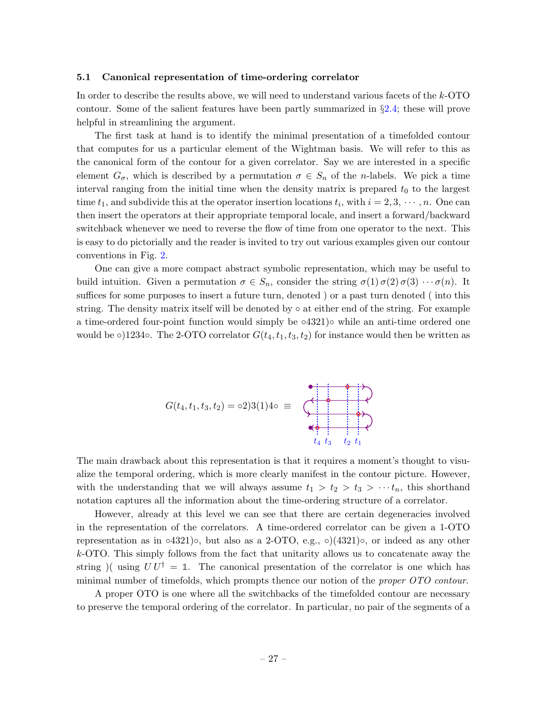#### <span id="page-28-0"></span>5.1 Canonical representation of time-ordering correlator

In order to describe the results above, we will need to understand various facets of the k-OTO contour. Some of the salient features have been partly summarized in §[2.4;](#page-13-0) these will prove helpful in streamlining the argument.

The first task at hand is to identify the minimal presentation of a timefolded contour that computes for us a particular element of the Wightman basis. We will refer to this as the canonical form of the contour for a given correlator. Say we are interested in a specific element  $G_{\sigma}$ , which is described by a permutation  $\sigma \in S_n$  of the *n*-labels. We pick a time interval ranging from the initial time when the density matrix is prepared  $t_0$  to the largest time  $t_1$ , and subdivide this at the operator insertion locations  $t_i$ , with  $i = 2, 3, \dots, n$ . One can then insert the operators at their appropriate temporal locale, and insert a forward/backward switchback whenever we need to reverse the flow of time from one operator to the next. This is easy to do pictorially and the reader is invited to try out various examples given our contour conventions in Fig. [2.](#page-7-1)

One can give a more compact abstract symbolic representation, which may be useful to build intuition. Given a permutation  $\sigma \in S_n$ , consider the string  $\sigma(1) \sigma(2) \sigma(3) \cdots \sigma(n)$ . It suffices for some purposes to insert a future turn, denoted ) or a past turn denoted ( into this string. The density matrix itself will be denoted by ◦ at either end of the string. For example a time-ordered four-point function would simply be  $\circ$ 4321) $\circ$  while an anti-time ordered one would be  $\circ$ )1234 $\circ$ . The 2-OTO correlator  $G(t_4, t_1, t_3, t_2)$  for instance would then be written as

$$
G(t_4, t_1, t_3, t_2) = 0.23(1)40 \equiv \begin{array}{c} 0 \\ 0 \\ 0 \\ 0 \\ t_4 \end{array}
$$

The main drawback about this representation is that it requires a moment's thought to visualize the temporal ordering, which is more clearly manifest in the contour picture. However, with the understanding that we will always assume  $t_1 > t_2 > t_3 > \cdots t_n$ , this shorthand notation captures all the information about the time-ordering structure of a correlator.

However, already at this level we can see that there are certain degeneracies involved in the representation of the correlators. A time-ordered correlator can be given a 1-OTO representation as in ∘4321)∘, but also as a 2-OTO, e.g., ∘ $(4321)$ °, or indeed as any other k-OTO. This simply follows from the fact that unitarity allows us to concatenate away the string )( using  $UU^{\dagger} = \mathbb{1}$ . The canonical presentation of the correlator is one which has minimal number of timefolds, which prompts thence our notion of the *proper OTO contour*.

A proper OTO is one where all the switchbacks of the timefolded contour are necessary to preserve the temporal ordering of the correlator. In particular, no pair of the segments of a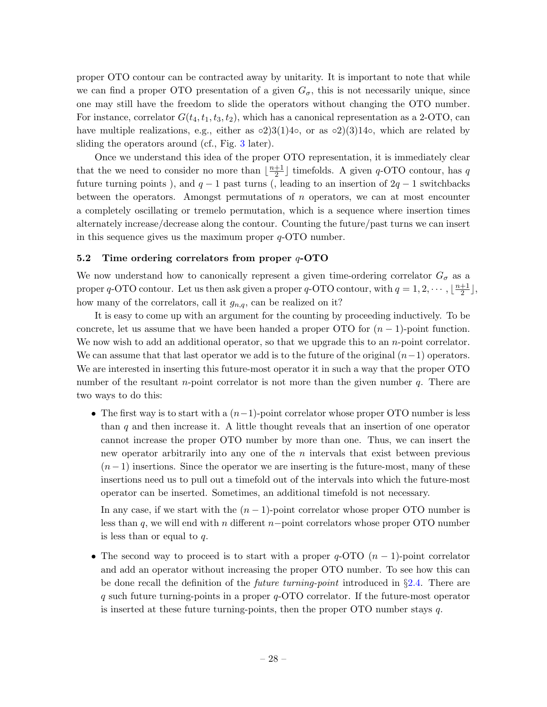proper OTO contour can be contracted away by unitarity. It is important to note that while we can find a proper OTO presentation of a given  $G_{\sigma}$ , this is not necessarily unique, since one may still have the freedom to slide the operators without changing the OTO number. For instance, correlator  $G(t_4, t_1, t_3, t_2)$ , which has a canonical representation as a 2-OTO, can have multiple realizations, e.g., either as  $\circ 2)3(1)4\circ$ , or as  $\circ 2)(3)14\circ$ , which are related by sliding the operators around (cf., Fig. [3](#page-32-0) later).

Once we understand this idea of the proper OTO representation, it is immediately clear that the we need to consider no more than  $\frac{n+1}{2}$  $\frac{+1}{2}$  imefolds. A given q-OTO contour, has q future turning points), and  $q-1$  past turns (, leading to an insertion of  $2q-1$  switchbacks between the operators. Amongst permutations of  $n$  operators, we can at most encounter a completely oscillating or tremelo permutation, which is a sequence where insertion times alternately increase/decrease along the contour. Counting the future/past turns we can insert in this sequence gives us the maximum proper  $q$ -OTO number.

# <span id="page-29-0"></span>5.2 Time ordering correlators from proper  $q$ -OTO

We now understand how to canonically represent a given time-ordering correlator  $G_{\sigma}$  as a proper q-OTO contour. Let us then ask given a proper q-OTO contour, with  $q = 1, 2, \cdots, \lfloor \frac{n+1}{2} \rfloor$  $\frac{+1}{2}$ , how many of the correlators, call it  $g_{n,q}$ , can be realized on it?

It is easy to come up with an argument for the counting by proceeding inductively. To be concrete, let us assume that we have been handed a proper OTO for  $(n-1)$ -point function. We now wish to add an additional operator, so that we upgrade this to an *n*-point correlator. We can assume that that last operator we add is to the future of the original  $(n-1)$  operators. We are interested in inserting this future-most operator it in such a way that the proper OTO number of the resultant *n*-point correlator is not more than the given number  $q$ . There are two ways to do this:

• The first way is to start with a  $(n-1)$ -point correlator whose proper OTO number is less than  $q$  and then increase it. A little thought reveals that an insertion of one operator cannot increase the proper OTO number by more than one. Thus, we can insert the new operator arbitrarily into any one of the  $n$  intervals that exist between previous  $(n-1)$  insertions. Since the operator we are inserting is the future-most, many of these insertions need us to pull out a timefold out of the intervals into which the future-most operator can be inserted. Sometimes, an additional timefold is not necessary.

In any case, if we start with the  $(n - 1)$ -point correlator whose proper OTO number is less than q, we will end with n different n–point correlators whose proper OTO number is less than or equal to q.

• The second way to proceed is to start with a proper  $q$ -OTO  $(n - 1)$ -point correlator and add an operator without increasing the proper OTO number. To see how this can be done recall the definition of the future turning-point introduced in §[2.4.](#page-13-0) There are  $q$  such future turning-points in a proper  $q$ -OTO correlator. If the future-most operator is inserted at these future turning-points, then the proper OTO number stays  $q$ .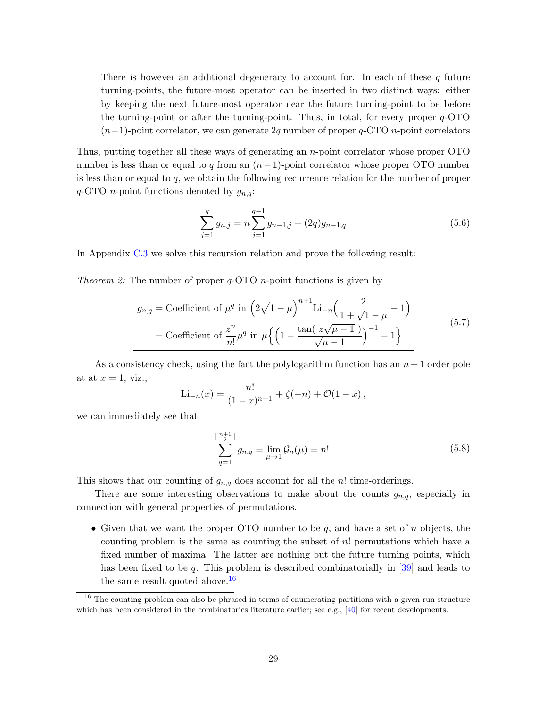There is however an additional degeneracy to account for. In each of these  $q$  future turning-points, the future-most operator can be inserted in two distinct ways: either by keeping the next future-most operator near the future turning-point to be before the turning-point or after the turning-point. Thus, in total, for every proper q-OTO  $(n-1)$ -point correlator, we can generate 2q number of proper q-OTO n-point correlators

Thus, putting together all these ways of generating an n-point correlator whose proper OTO number is less than or equal to q from an  $(n-1)$ -point correlator whose proper OTO number is less than or equal to  $q$ , we obtain the following recurrence relation for the number of proper  $q$ -OTO *n*-point functions denoted by  $g_{n,q}$ :

$$
\sum_{j=1}^{q} g_{n,j} = n \sum_{j=1}^{q-1} g_{n-1,j} + (2q) g_{n-1,q}
$$
\n(5.6)

In Appendix [C.3](#page-56-0) we solve this recursion relation and prove the following result:

*Theorem 2:* The number of proper  $q$ -OTO *n*-point functions is given by

$$
g_{n,q} = \text{Coefficient of } \mu^q \text{ in } \left(2\sqrt{1-\mu}\right)^{n+1} \text{Li}_{-n}\left(\frac{2}{1+\sqrt{1-\mu}}-1\right)
$$

$$
= \text{Coefficient of } \frac{z^n}{n!} \mu^q \text{ in } \mu\left\{\left(1-\frac{\tan\left(\frac{z\sqrt{\mu-1}}{\sqrt{\mu-1}}\right)}{\sqrt{\mu-1}}\right)^{-1}-1\right\} \tag{5.7}
$$

As a consistency check, using the fact the polylogarithm function has an  $n+1$  order pole at at  $x = 1$ , viz.,

$$
\mathrm{Li}_{-n}(x) = \frac{n!}{(1-x)^{n+1}} + \zeta(-n) + \mathcal{O}(1-x),
$$

we can immediately see that

$$
\sum_{q=1}^{\lfloor \frac{n+1}{2} \rfloor} g_{n,q} = \lim_{\mu \to 1} \mathcal{G}_n(\mu) = n!.
$$
 (5.8)

This shows that our counting of  $g_{n,q}$  does account for all the n! time-orderings.

There are some interesting observations to make about the counts  $g_{n,q}$ , especially in connection with general properties of permutations.

• Given that we want the proper OTO number to be  $q$ , and have a set of  $n$  objects, the counting problem is the same as counting the subset of  $n!$  permutations which have a fixed number of maxima. The latter are nothing but the future turning points, which has been fixed to be q. This problem is described combinatorially in  $[39]$  and leads to the same result quoted above.  $16$ 

<span id="page-30-0"></span> $16$  The counting problem can also be phrased in terms of enumerating partitions with a given run structure which has been considered in the combinatorics literature earlier; see e.g.,  $[40]$  for recent developments.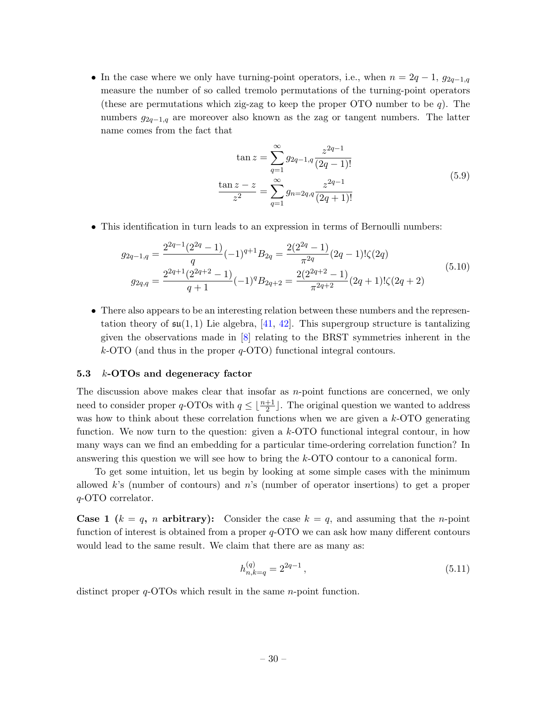• In the case where we only have turning-point operators, i.e., when  $n = 2q - 1$ ,  $g_{2q-1,q}$ measure the number of so called tremolo permutations of the turning-point operators (these are permutations which zig-zag to keep the proper OTO number to be  $q$ ). The numbers  $g_{2q-1,q}$  are moreover also known as the zag or tangent numbers. The latter name comes from the fact that

$$
\tan z = \sum_{q=1}^{\infty} g_{2q-1,q} \frac{z^{2q-1}}{(2q-1)!}
$$
  

$$
\frac{\tan z - z}{z^2} = \sum_{q=1}^{\infty} g_{n=2q,q} \frac{z^{2q-1}}{(2q+1)!}
$$
 (5.9)

• This identification in turn leads to an expression in terms of Bernoulli numbers:

$$
g_{2q-1,q} = \frac{2^{2q-1}(2^{2q}-1)}{q}(-1)^{q+1}B_{2q} = \frac{2(2^{2q}-1)}{\pi^{2q}}(2q-1)!\zeta(2q)
$$
  
\n
$$
g_{2q,q} = \frac{2^{2q+1}(2^{2q+2}-1)}{q+1}(-1)^{q}B_{2q+2} = \frac{2(2^{2q+2}-1)}{\pi^{2q+2}}(2q+1)!\zeta(2q+2)
$$
\n(5.10)

• There also appears to be an interesting relation between these numbers and the representation theory of  $\mathfrak{su}(1,1)$  Lie algebra, [\[41,](#page-59-7) [42\]](#page-59-8). This supergroup structure is tantalizing given the observations made in [\[8\]](#page-57-7) relating to the BRST symmetries inherent in the  $k$ -OTO (and thus in the proper  $q$ -OTO) functional integral contours.

#### <span id="page-31-0"></span>5.3 k-OTOs and degeneracy factor

The discussion above makes clear that insofar as  $n$ -point functions are concerned, we only need to consider proper  $q$ -OTOs with  $q \leq \lfloor \frac{n+1}{2} \rfloor$ . The original question we wanted to address was how to think about these correlation functions when we are given a  $k$ -OTO generating function. We now turn to the question: given a  $k$ -OTO functional integral contour, in how many ways can we find an embedding for a particular time-ordering correlation function? In answering this question we will see how to bring the k-OTO contour to a canonical form.

To get some intuition, let us begin by looking at some simple cases with the minimum allowed  $k$ 's (number of contours) and  $n$ 's (number of operator insertions) to get a proper q-OTO correlator.

**Case 1**  $(k = q, n$  arbitrary): Consider the case  $k = q$ , and assuming that the *n*-point function of interest is obtained from a proper q-OTO we can ask how many different contours would lead to the same result. We claim that there are as many as:

<span id="page-31-1"></span>
$$
h_{n,k=q}^{(q)} = 2^{2q-1},\tag{5.11}
$$

distinct proper q-OTOs which result in the same *n*-point function.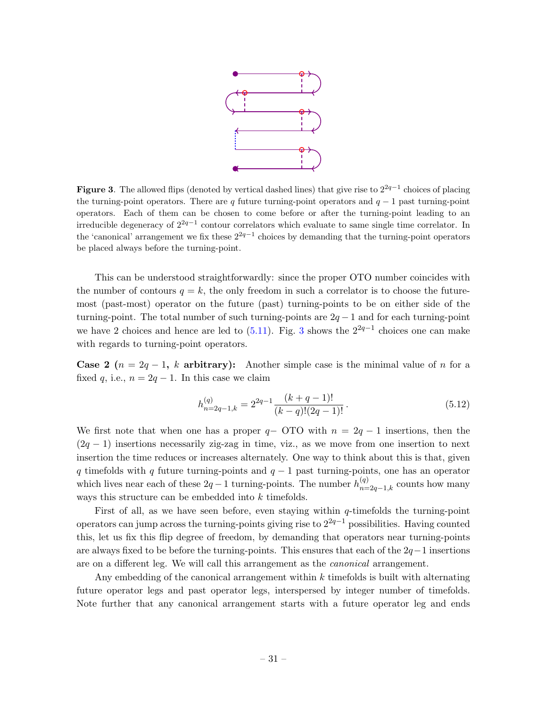

<span id="page-32-0"></span>Figure 3. The allowed flips (denoted by vertical dashed lines) that give rise to  $2^{2q-1}$  choices of placing the turning-point operators. There are q future turning-point operators and  $q - 1$  past turning-point operators. Each of them can be chosen to come before or after the turning-point leading to an irreducible degeneracy of 22q−<sup>1</sup> contour correlators which evaluate to same single time correlator. In the 'canonical' arrangement we fix these  $2^{2q-1}$  choices by demanding that the turning-point operators be placed always before the turning-point.

This can be understood straightforwardly: since the proper OTO number coincides with the number of contours  $q = k$ , the only freedom in such a correlator is to choose the futuremost (past-most) operator on the future (past) turning-points to be on either side of the turning-point. The total number of such turning-points are  $2q - 1$  and for each turning-point we have 2 choices and hence are led to  $(5.11)$ . Fig. [3](#page-32-0) shows the  $2^{2q-1}$  choices one can make with regards to turning-point operators.

Case 2 ( $n = 2q - 1$ , k arbitrary): Another simple case is the minimal value of n for a fixed q, i.e.,  $n = 2q - 1$ . In this case we claim

$$
h_{n=2q-1,k}^{(q)} = 2^{2q-1} \frac{(k+q-1)!}{(k-q)!(2q-1)!}.
$$
\n(5.12)

We first note that when one has a proper  $q-$  OTO with  $n = 2q - 1$  insertions, then the  $(2q - 1)$  insertions necessarily zig-zag in time, viz., as we move from one insertion to next insertion the time reduces or increases alternately. One way to think about this is that, given q timefolds with q future turning-points and  $q - 1$  past turning-points, one has an operator which lives near each of these  $2q-1$  turning-points. The number  $h_{n=2q-1,k}^{(q)}$  counts how many ways this structure can be embedded into k timefolds.

First of all, as we have seen before, even staying within  $q$ -timefolds the turning-point operators can jump across the turning-points giving rise to  $2^{2q-1}$  possibilities. Having counted this, let us fix this flip degree of freedom, by demanding that operators near turning-points are always fixed to be before the turning-points. This ensures that each of the  $2q-1$  insertions are on a different leg. We will call this arrangement as the canonical arrangement.

Any embedding of the canonical arrangement within  $k$  timefolds is built with alternating future operator legs and past operator legs, interspersed by integer number of timefolds. Note further that any canonical arrangement starts with a future operator leg and ends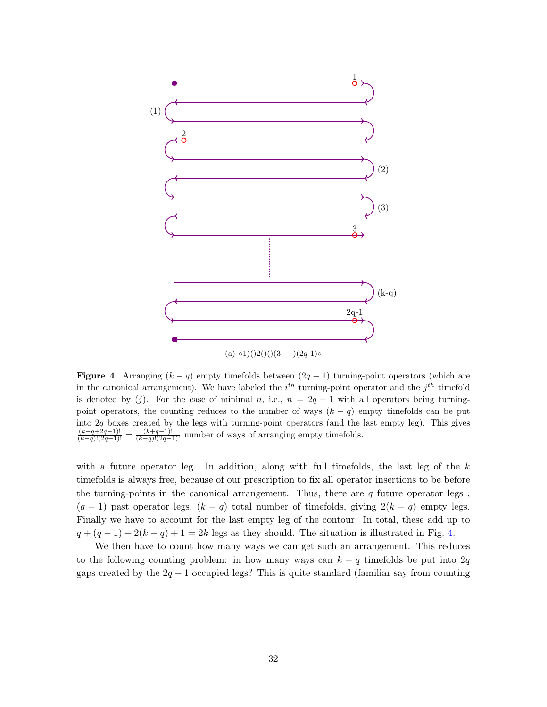

<span id="page-33-0"></span>**Figure 4.** Arranging  $(k - q)$  empty timefolds between  $(2q - 1)$  turning-point operators (which are

in the canonical arrangement). We have labeled the  $i^{th}$  turning-point operator and the  $j^{th}$  timefold is denoted by (j). For the case of minimal n, i.e.,  $n = 2q - 1$  with all operators being turningpoint operators, the counting reduces to the number of ways  $(k - q)$  empty timefolds can be put into 2q boxes created by the legs with turning-point operators (and the last empty leg). This gives  $\frac{(k-q+2q-1)!}{(k-q)!(2q-1)!} = \frac{(k+q-1)!}{(k-q)!(2q-1)!}$  number of ways of arranging empty timefolds.

with a future operator leg. In addition, along with full time folds, the last leg of the  $k$ timefolds is always free, because of our prescription to fix all operator insertions to be before the turning-points in the canonical arrangement. Thus, there are  $q$  future operator legs,  $(q - 1)$  past operator legs,  $(k - q)$  total number of timefolds, giving  $2(k - q)$  empty legs. Finally we have to account for the last empty leg of the contour. In total, these add up to  $q + (q - 1) + 2(k - q) + 1 = 2k$  legs as they should. The situation is illustrated in Fig. [4.](#page-33-0)

We then have to count how many ways we can get such an arrangement. This reduces to the following counting problem: in how many ways can  $k - q$  timefolds be put into 2q gaps created by the  $2q - 1$  occupied legs? This is quite standard (familiar say from counting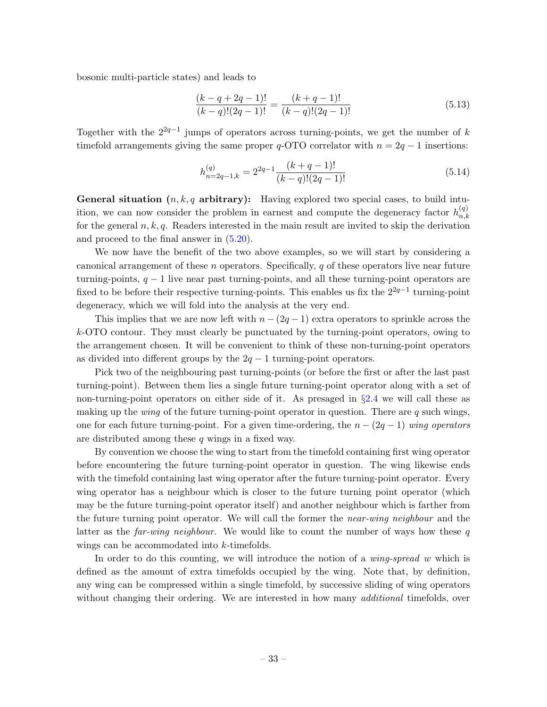bosonic multi-particle states) and leads to

$$
\frac{(k-q+2q-1)!}{(k-q)!(2q-1)!} = \frac{(k+q-1)!}{(k-q)!(2q-1)!}
$$
\n(5.13)

Together with the  $2^{2q-1}$  jumps of operators across turning-points, we get the number of k timefold arrangements giving the same proper  $q$ -OTO correlator with  $n = 2q - 1$  insertions:

$$
h_{n=2q-1,k}^{(q)} = 2^{2q-1} \frac{(k+q-1)!}{(k-q)!(2q-1)!}
$$
\n(5.14)

**General situation**  $(n, k, q$  arbitrary): Having explored two special cases, to build intuition, we can now consider the problem in earnest and compute the degeneracy factor  $h_{n,k}^{(q)}$  $_{n,k}$ for the general  $n, k, q$ . Readers interested in the main result are invited to skip the derivation and proceed to the final answer in [\(5.20\)](#page-39-2).

We now have the benefit of the two above examples, so we will start by considering a canonical arrangement of these  $n$  operators. Specifically,  $q$  of these operators live near future turning-points,  $q - 1$  live near past turning-points, and all these turning-point operators are fixed to be before their respective turning-points. This enables us fix the  $2^{2q-1}$  turning-point degeneracy, which we will fold into the analysis at the very end.

This implies that we are now left with  $n - (2q - 1)$  extra operators to sprinkle across the k-OTO contour. They must clearly be punctuated by the turning-point operators, owing to the arrangement chosen. It will be convenient to think of these non-turning-point operators as divided into different groups by the  $2q - 1$  turning-point operators.

Pick two of the neighbouring past turning-points (or before the first or after the last past turning-point). Between them lies a single future turning-point operator along with a set of non-turning-point operators on either side of it. As presaged in §[2.4](#page-13-0) we will call these as making up the *wing* of the future turning-point operator in question. There are  $q$  such wings, one for each future turning-point. For a given time-ordering, the  $n - (2q - 1)$  wing operators are distributed among these q wings in a fixed way.

By convention we choose the wing to start from the timefold containing first wing operator before encountering the future turning-point operator in question. The wing likewise ends with the timefold containing last wing operator after the future turning-point operator. Every wing operator has a neighbour which is closer to the future turning point operator (which may be the future turning-point operator itself) and another neighbour which is farther from the future turning point operator. We will call the former the *near-wing neighbour* and the latter as the *far-wing neighbour.* We would like to count the number of ways how these q wings can be accommodated into k-timefolds.

In order to do this counting, we will introduce the notion of a *wing-spread w* which is defined as the amount of extra timefolds occupied by the wing. Note that, by definition, any wing can be compressed within a single timefold, by successive sliding of wing operators without changing their ordering. We are interested in how many *additional* timefolds, over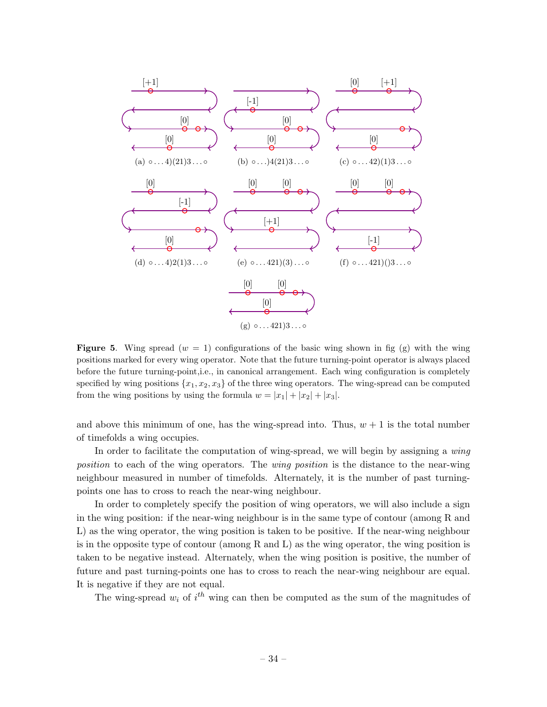

<span id="page-35-0"></span>Figure 5. Wing spread  $(w = 1)$  configurations of the basic wing shown in fig (g) with the wing positions marked for every wing operator. Note that the future turning-point operator is always placed before the future turning-point,i.e., in canonical arrangement. Each wing configuration is completely specified by wing positions  $\{x_1, x_2, x_3\}$  of the three wing operators. The wing-spread can be computed from the wing positions by using the formula  $w = |x_1| + |x_2| + |x_3|$ .

and above this minimum of one, has the wing-spread into. Thus,  $w + 1$  is the total number of timefolds a wing occupies.

In order to facilitate the computation of wing-spread, we will begin by assigning a *wing* position to each of the wing operators. The wing position is the distance to the near-wing neighbour measured in number of timefolds. Alternately, it is the number of past turningpoints one has to cross to reach the near-wing neighbour.

In order to completely specify the position of wing operators, we will also include a sign in the wing position: if the near-wing neighbour is in the same type of contour (among R and L) as the wing operator, the wing position is taken to be positive. If the near-wing neighbour is in the opposite type of contour (among R and L) as the wing operator, the wing position is taken to be negative instead. Alternately, when the wing position is positive, the number of future and past turning-points one has to cross to reach the near-wing neighbour are equal. It is negative if they are not equal.

The wing-spread  $w_i$  of  $i^{th}$  wing can then be computed as the sum of the magnitudes of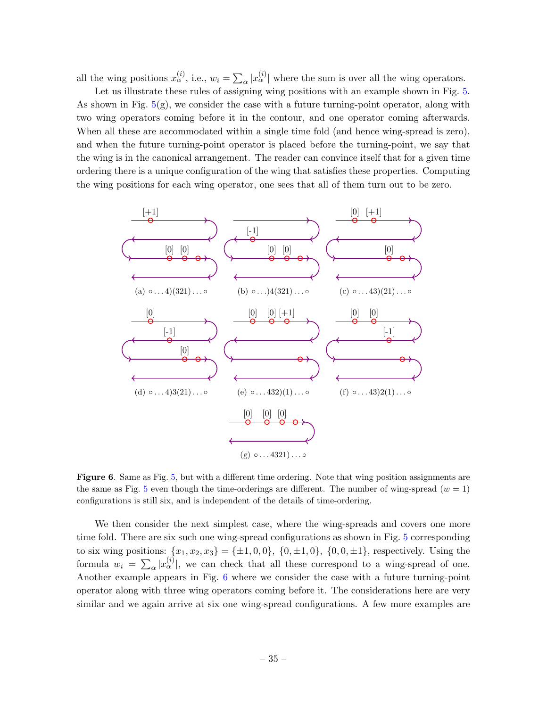all the wing positions  $x_{\alpha}^{(i)}$ , i.e.,  $w_i = \sum_{\alpha} |x_{\alpha}^{(i)}|$  where the sum is over all the wing operators.

Let us illustrate these rules of assigning wing positions with an example shown in Fig. [5.](#page-35-0) As shown in Fig.  $5(g)$  $5(g)$ , we consider the case with a future turning-point operator, along with two wing operators coming before it in the contour, and one operator coming afterwards. When all these are accommodated within a single time fold (and hence wing-spread is zero), and when the future turning-point operator is placed before the turning-point, we say that the wing is in the canonical arrangement. The reader can convince itself that for a given time ordering there is a unique configuration of the wing that satisfies these properties. Computing the wing positions for each wing operator, one sees that all of them turn out to be zero.



<span id="page-36-0"></span>Figure 6. Same as Fig. [5,](#page-35-0) but with a different time ordering. Note that wing position assignments are the same as Fig. [5](#page-35-0) even though the time-orderings are different. The number of wing-spread  $(w = 1)$ configurations is still six, and is independent of the details of time-ordering.

We then consider the next simplest case, where the wing-spreads and covers one more time fold. There are six such one wing-spread configurations as shown in Fig. [5](#page-35-0) corresponding to six wing positions:  $\{x_1, x_2, x_3\} = \{\pm 1, 0, 0\}, \{0, \pm 1, 0\}, \{0, 0, \pm 1\},$  respectively. Using the formula  $w_i = \sum_{\alpha} |x_{\alpha}^{(i)}|$ , we can check that all these correspond to a wing-spread of one. Another example appears in Fig. [6](#page-36-0) where we consider the case with a future turning-point operator along with three wing operators coming before it. The considerations here are very similar and we again arrive at six one wing-spread configurations. A few more examples are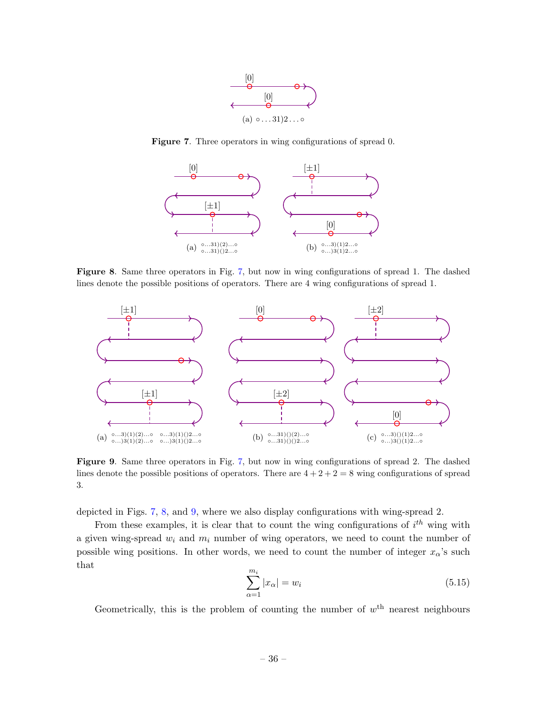

<span id="page-37-0"></span>Figure 7. Three operators in wing configurations of spread 0.



<span id="page-37-1"></span>Figure 8. Same three operators in Fig. [7,](#page-37-0) but now in wing configurations of spread 1. The dashed lines denote the possible positions of operators. There are 4 wing configurations of spread 1.



<span id="page-37-2"></span>Figure 9. Same three operators in Fig. [7,](#page-37-0) but now in wing configurations of spread 2. The dashed lines denote the possible positions of operators. There are  $4 + 2 + 2 = 8$  wing configurations of spread 3.

depicted in Figs. [7,](#page-37-0) [8,](#page-37-1) and [9,](#page-37-2) where we also display configurations with wing-spread 2.

From these examples, it is clear that to count the wing configurations of  $i^{th}$  wing with a given wing-spread  $w_i$  and  $m_i$  number of wing operators, we need to count the number of possible wing positions. In other words, we need to count the number of integer  $x_{\alpha}$ 's such that

$$
\sum_{\alpha=1}^{m_i} |x_{\alpha}| = w_i \tag{5.15}
$$

Geometrically, this is the problem of counting the number of  $w^{\text{th}}$  nearest neighbours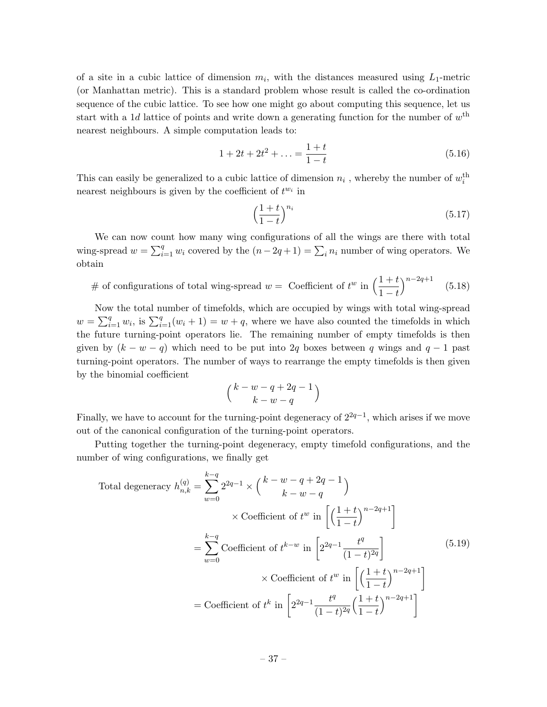of a site in a cubic lattice of dimension  $m_i$ , with the distances measured using  $L_1$ -metric (or Manhattan metric). This is a standard problem whose result is called the co-ordination sequence of the cubic lattice. To see how one might go about computing this sequence, let us start with a 1*d* lattice of points and write down a generating function for the number of  $w^{\text{th}}$ nearest neighbours. A simple computation leads to:

$$
1 + 2t + 2t2 + \dots = \frac{1+t}{1-t}
$$
 (5.16)

This can easily be generalized to a cubic lattice of dimension  $n_i$ , whereby the number of  $w_i^{\text{th}}$ nearest neighbours is given by the coefficient of  $t^{w_i}$  in

$$
\left(\frac{1+t}{1-t}\right)^{n_i} \tag{5.17}
$$

We can now count how many wing configurations of all the wings are there with total wing-spread  $w = \sum_{i=1}^{q} w_i$  covered by the  $(n-2q+1) = \sum_i n_i$  number of wing operators. We obtain

# of configurations of total wing-spread 
$$
w =
$$
 Coefficient of  $t^w$  in  $\left(\frac{1+t}{1-t}\right)^{n-2q+1}$  (5.18)

Now the total number of timefolds, which are occupied by wings with total wing-spread  $w = \sum_{i=1}^{q} w_i$ , is  $\sum_{i=1}^{q} (w_i + 1) = w + q$ , where we have also counted the timefolds in which the future turning-point operators lie. The remaining number of empty timefolds is then given by  $(k - w - q)$  which need to be put into 2q boxes between q wings and  $q - 1$  past turning-point operators. The number of ways to rearrange the empty timefolds is then given by the binomial coefficient

$$
\Big(\frac{k-w-q+2q-1}{k-w-q}\Big)
$$

Finally, we have to account for the turning-point degeneracy of  $2^{2q-1}$ , which arises if we move out of the canonical configuration of the turning-point operators.

Putting together the turning-point degeneracy, empty timefold configurations, and the number of wing configurations, we finally get

Total degeneracy 
$$
h_{n,k}^{(q)} = \sum_{w=0}^{k-q} 2^{2q-1} \times {k-w-q+2q-1 \choose k-w-q}
$$
  
\n $\times$  Coefficient of  $t^w$  in  $\left[ \left( \frac{1+t}{1-t} \right)^{n-2q+1} \right]$   
\n $= \sum_{w=0}^{k-q}$  Coefficient of  $t^{k-w}$  in  $\left[ 2^{2q-1} \frac{t^q}{(1-t)^{2q}} \right]$  (5.19)  
\n $\times$  Coefficient of  $t^w$  in  $\left[ \left( \frac{1+t}{1-t} \right)^{n-2q+1} \right]$   
\n $=$  Coefficient of  $t^k$  in  $\left[ 2^{2q-1} \frac{t^q}{(1-t)^{2q}} \left( \frac{1+t}{1-t} \right)^{n-2q+1} \right]$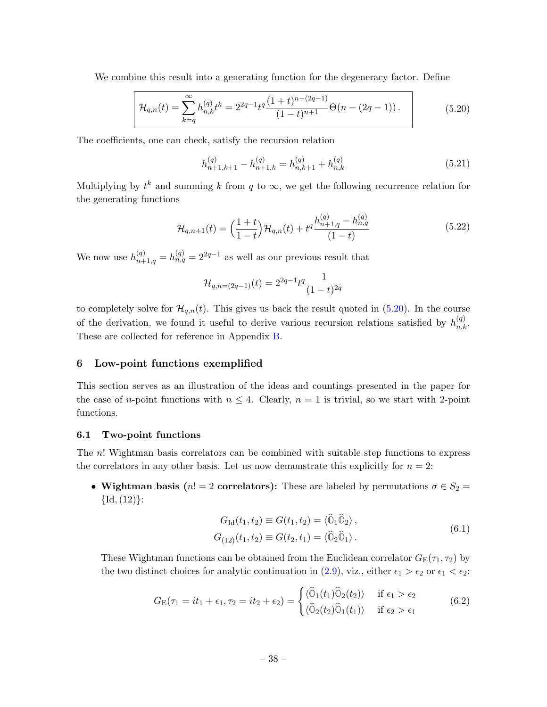We combine this result into a generating function for the degeneracy factor. Define

<span id="page-39-2"></span>
$$
\mathcal{H}_{q,n}(t) = \sum_{k=q}^{\infty} h_{n,k}^{(q)} t^k = 2^{2q-1} t^q \frac{(1+t)^{n-(2q-1)}}{(1-t)^{n+1}} \Theta(n-(2q-1)).
$$
\n(5.20)

The coefficients, one can check, satisfy the recursion relation

$$
h_{n+1,k+1}^{(q)} - h_{n+1,k}^{(q)} = h_{n,k+1}^{(q)} + h_{n,k}^{(q)}
$$
\n(5.21)

Multiplying by  $t^k$  and summing k from q to  $\infty$ , we get the following recurrence relation for the generating functions

$$
\mathcal{H}_{q,n+1}(t) = \left(\frac{1+t}{1-t}\right) \mathcal{H}_{q,n}(t) + t^q \frac{h_{n+1,q}^{(q)} - h_{n,q}^{(q)}}{(1-t)}
$$
(5.22)

We now use  $h_{n+1,q}^{(q)} = h_{n,q}^{(q)} = 2^{2q-1}$  as well as our previous result that

$$
\mathcal{H}_{q,n=(2q-1)}(t) = 2^{2q-1}t^q \frac{1}{(1-t)^{2q}}
$$

to completely solve for  $\mathcal{H}_{q,n}(t)$ . This gives us back the result quoted in [\(5.20\)](#page-39-2). In the course of the derivation, we found it useful to derive various recursion relations satisfied by  $h_{n,k}^{(q)}$ . These are collected for reference in Appendix [B.](#page-53-0)

#### <span id="page-39-0"></span>6 Low-point functions exemplified

This section serves as an illustration of the ideas and countings presented in the paper for the case of *n*-point functions with  $n \leq 4$ . Clearly,  $n = 1$  is trivial, so we start with 2-point functions.

#### <span id="page-39-1"></span>6.1 Two-point functions

The n! Wightman basis correlators can be combined with suitable step functions to express the correlators in any other basis. Let us now demonstrate this explicitly for  $n = 2$ :

• Wightman basis (n! = 2 correlators): These are labeled by permutations  $\sigma \in S_2$  =  ${Id, (12)}$ :

$$
G_{\text{Id}}(t_1, t_2) \equiv G(t_1, t_2) = \langle \hat{\mathbb{O}}_1 \hat{\mathbb{O}}_2 \rangle, G_{(12)}(t_1, t_2) \equiv G(t_2, t_1) = \langle \hat{\mathbb{O}}_2 \hat{\mathbb{O}}_1 \rangle.
$$
(6.1)

These Wightman functions can be obtained from the Euclidean correlator  $G_E(\tau_1, \tau_2)$  by the two distinct choices for analytic continuation in [\(2.9\)](#page-10-1), viz., either  $\epsilon_1 > \epsilon_2$  or  $\epsilon_1 < \epsilon_2$ :

$$
G_{\mathcal{E}}(\tau_1 = it_1 + \epsilon_1, \tau_2 = it_2 + \epsilon_2) = \begin{cases} \langle \widehat{\mathbb{O}}_1(t_1) \widehat{\mathbb{O}}_2(t_2) \rangle & \text{if } \epsilon_1 > \epsilon_2 \\ \langle \widehat{\mathbb{O}}_2(t_2) \widehat{\mathbb{O}}_1(t_1) \rangle & \text{if } \epsilon_2 > \epsilon_1 \end{cases}
$$
(6.2)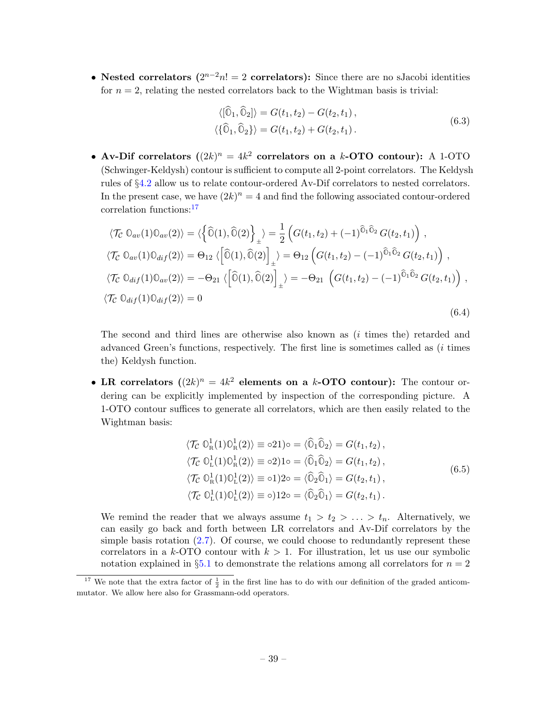• Nested correlators  $(2^{n-2}n! = 2$  correlators): Since there are no sJacobi identities for  $n = 2$ , relating the nested correlators back to the Wightman basis is trivial:

$$
\langle [\hat{0}_1, \hat{0}_2] \rangle = G(t_1, t_2) - G(t_2, t_1), \langle {\hat{0}_1, \hat{0}_2} \rangle = G(t_1, t_2) + G(t_2, t_1).
$$
\n(6.3)

• Av-Dif correlators  $((2k)^n = 4k^2$  correlators on a k-OTO contour): A 1-OTO (Schwinger-Keldysh) contour is sufficient to compute all 2-point correlators. The Keldysh rules of §[4.2](#page-22-0) allow us to relate contour-ordered Av-Dif correlators to nested correlators. In the present case, we have  $(2k)^n = 4$  and find the following associated contour-ordered correlation functions:[17](#page-40-0)

$$
\langle \mathcal{T}_{\mathcal{C}} \mathbb{O}_{av}(1) \mathbb{O}_{av}(2) \rangle = \langle \left\{ \widehat{\mathbb{O}}(1), \widehat{\mathbb{O}}(2) \right\}_{\pm} \rangle = \frac{1}{2} \left( G(t_1, t_2) + (-1)^{\widehat{\mathbb{O}}_1 \widehat{\mathbb{O}}_2} G(t_2, t_1) \right),
$$
  

$$
\langle \mathcal{T}_{\mathcal{C}} \mathbb{O}_{av}(1) \mathbb{O}_{di} f(2) \rangle = \Theta_{12} \langle \left[ \widehat{\mathbb{O}}(1), \widehat{\mathbb{O}}(2) \right]_{\pm} \rangle = \Theta_{12} \left( G(t_1, t_2) - (-1)^{\widehat{\mathbb{O}}_1 \widehat{\mathbb{O}}_2} G(t_2, t_1) \right),
$$
  

$$
\langle \mathcal{T}_{\mathcal{C}} \mathbb{O}_{di} f(1) \mathbb{O}_{av}(2) \rangle = -\Theta_{21} \langle \left[ \widehat{\mathbb{O}}(1), \widehat{\mathbb{O}}(2) \right]_{\pm} \rangle = -\Theta_{21} \left( G(t_1, t_2) - (-1)^{\widehat{\mathbb{O}}_1 \widehat{\mathbb{O}}_2} G(t_2, t_1) \right),
$$
  

$$
\langle \mathcal{T}_{\mathcal{C}} \mathbb{O}_{di} f(1) \mathbb{O}_{di} f(2) \rangle = 0
$$
  
(6.4)

The second and third lines are otherwise also known as (i times the) retarded and advanced Green's functions, respectively. The first line is sometimes called as (i times the) Keldysh function.

• LR correlators  $((2k)^n = 4k^2$  elements on a k-OTO contour): The contour ordering can be explicitly implemented by inspection of the corresponding picture. A 1-OTO contour suffices to generate all correlators, which are then easily related to the Wightman basis:

$$
\langle \mathcal{T}_{\mathcal{C}} \mathbb{O}_{R}^{1}(1) \mathbb{O}_{R}^{1}(2) \rangle \equiv o21\rangle o = \langle \widehat{\mathbb{O}}_{1} \widehat{\mathbb{O}}_{2} \rangle = G(t_{1}, t_{2}),
$$
  
\n
$$
\langle \mathcal{T}_{\mathcal{C}} \mathbb{O}_{L}^{1}(1) \mathbb{O}_{R}^{1}(2) \rangle \equiv o2\rangle 1 o = \langle \widehat{\mathbb{O}}_{1} \widehat{\mathbb{O}}_{2} \rangle = G(t_{1}, t_{2}),
$$
  
\n
$$
\langle \mathcal{T}_{\mathcal{C}} \mathbb{O}_{R}^{1}(1) \mathbb{O}_{L}^{1}(2) \rangle \equiv o1\rangle 2 o = \langle \widehat{\mathbb{O}}_{2} \widehat{\mathbb{O}}_{1} \rangle = G(t_{2}, t_{1}),
$$
  
\n
$$
\langle \mathcal{T}_{\mathcal{C}} \mathbb{O}_{L}^{1}(1) \mathbb{O}_{L}^{1}(2) \rangle \equiv o\rangle 12 o = \langle \widehat{\mathbb{O}}_{2} \widehat{\mathbb{O}}_{1} \rangle = G(t_{2}, t_{1}).
$$
  
\n(6.5)

We remind the reader that we always assume  $t_1 > t_2 > \ldots > t_n$ . Alternatively, we can easily go back and forth between LR correlators and Av-Dif correlators by the simple basis rotation [\(2.7\)](#page-9-1). Of course, we could choose to redundantly represent these correlators in a k-OTO contour with  $k > 1$ . For illustration, let us use our symbolic notation explained in §[5.1](#page-28-0) to demonstrate the relations among all correlators for  $n = 2$ 

<span id="page-40-0"></span><sup>&</sup>lt;sup>17</sup> We note that the extra factor of  $\frac{1}{2}$  in the first line has to do with our definition of the graded anticommutator. We allow here also for Grassmann-odd operators.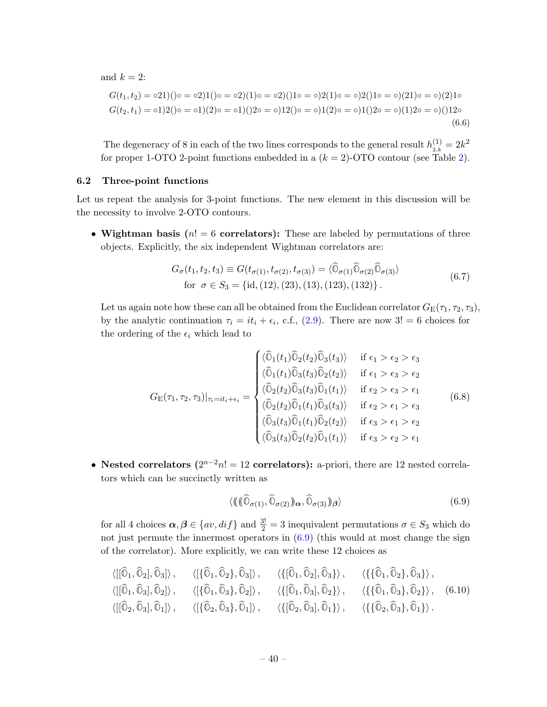and  $k = 2$ :

$$
G(t_1, t_2) = o(21)(o = o(21)(o = o(21)(o = o(21)(o = o(21)(o = o(21)(o = o(21)(o = o(21)(o = o(21)(o = o(21)(o = o(21)(o = o(21)(o = o(21)(o = o(21)(o = o(21)(o = o(21)(o = o(21)(o = o(21)(o = o(21)(o = o(21)(o = o(21)(o = o(21)(o = o(21)(o = o(21)(o = o(21)(o = o(21)(o = o(21)(o = o(21)(o = o(21)(o = o(21)(o = o(21)))))))
$$
\n
$$
G(t_2, t_1) = o(1)(2)(o = o(1)(2)(o = o(21)(o = o(21)(o = o(21)(o = o(21)(o = o(21)(o = o(21)(o = o(21)(o = o(21)(o = o(21)(o = o(21)(o = o(21)(o = o(21)(o = o(21)))))))
$$
\n
$$
(6.6)
$$

The degeneracy of 8 in each of the two lines corresponds to the general result  $h_{2,k}^{(1)} = 2k^2$ for proper 1-OTO 2-point functions embedded in a  $(k = 2)$  $(k = 2)$ -OTO contour (see Table 2).

# <span id="page-41-0"></span>6.2 Three-point functions

 $\overline{a}$ 

 $\overline{a}$ 

Let us repeat the analysis for 3-point functions. The new element in this discussion will be the necessity to involve 2-OTO contours.

• Wightman basis  $(n! = 6$  correlators): These are labeled by permutations of three objects. Explicitly, the six independent Wightman correlators are:

$$
G_{\sigma}(t_1, t_2, t_3) \equiv G(t_{\sigma(1)}, t_{\sigma(2)}, t_{\sigma(3)}) = \langle \hat{\mathbb{O}}_{\sigma(1)} \hat{\mathbb{O}}_{\sigma(2)} \hat{\mathbb{O}}_{\sigma(3)} \rangle
$$
  
for  $\sigma \in S_3 = \{\text{id}, (12), (23), (13), (123), (132)\}.$  (6.7)

<span id="page-41-2"></span>Let us again note how these can all be obtained from the Euclidean correlator  $G_E(\tau_1, \tau_2, \tau_3)$ , by the analytic continuation  $\tau_i = it_i + \epsilon_i$ , c.f., [\(2.9\)](#page-10-1). There are now 3! = 6 choices for the ordering of the  $\epsilon_i$  which lead to

$$
G_{\mathcal{E}}(\tau_1, \tau_2, \tau_3)|_{\tau_i = it_i + \epsilon_i} = \begin{cases} \langle \widehat{\mathbb{O}}_1(t_1) \widehat{\mathbb{O}}_2(t_2) \widehat{\mathbb{O}}_3(t_3) \rangle & \text{if } \epsilon_1 > \epsilon_2 > \epsilon_3 \\ \langle \widehat{\mathbb{O}}_1(t_1) \widehat{\mathbb{O}}_3(t_3) \widehat{\mathbb{O}}_2(t_2) \rangle & \text{if } \epsilon_1 > \epsilon_3 > \epsilon_2 \\ \langle \widehat{\mathbb{O}}_2(t_2) \widehat{\mathbb{O}}_3(t_3) \widehat{\mathbb{O}}_1(t_1) \rangle & \text{if } \epsilon_2 > \epsilon_3 > \epsilon_1 \\ \langle \widehat{\mathbb{O}}_2(t_2) \widehat{\mathbb{O}}_1(t_1) \widehat{\mathbb{O}}_3(t_3) \rangle & \text{if } \epsilon_2 > \epsilon_1 > \epsilon_3 \\ \langle \widehat{\mathbb{O}}_3(t_3) \widehat{\mathbb{O}}_1(t_1) \widehat{\mathbb{O}}_2(t_2) \rangle & \text{if } \epsilon_3 > \epsilon_1 > \epsilon_2 \\ \langle \widehat{\mathbb{O}}_3(t_3) \widehat{\mathbb{O}}_2(t_2) \widehat{\mathbb{O}}_1(t_1) \rangle & \text{if } \epsilon_3 > \epsilon_2 > \epsilon_1 \end{cases} \tag{6.8}
$$

• Nested correlators  $(2^{n-2}n! = 12$  correlators): a-priori, there are 12 nested correlators which can be succinctly written as

<span id="page-41-1"></span>
$$
\langle (\|(\widehat{\mathbb{O}}_{\sigma(1)}, \widehat{\mathbb{O}}_{\sigma(2)})_{\alpha}, \widehat{\mathbb{O}}_{\sigma(3)})_{\beta} \rangle \tag{6.9}
$$

for all 4 choices  $\alpha, \beta \in \{av, dif\}$  and  $\frac{3!}{2} = 3$  inequivalent permutations  $\sigma \in S_3$  which do not just permute the innermost operators in  $(6.9)$  (this would at most change the sign of the correlator). More explicitly, we can write these 12 choices as

$$
\langle [[\widehat{\mathbb{O}}_1, \widehat{\mathbb{O}}_2], \widehat{\mathbb{O}}_3] \rangle, \qquad \langle [\{\widehat{\mathbb{O}}_1, \widehat{\mathbb{O}}_2\}, \widehat{\mathbb{O}}_3] \rangle, \qquad \langle \{[\widehat{\mathbb{O}}_1, \widehat{\mathbb{O}}_2], \widehat{\mathbb{O}}_3\} \rangle, \qquad \langle \{[\widehat{\mathbb{O}}_1, \widehat{\mathbb{O}}_2], \widehat{\mathbb{O}}_3\} \rangle, \qquad \langle [[\widehat{\mathbb{O}}_1, \widehat{\mathbb{O}}_3], \widehat{\mathbb{O}}_2] \rangle, \qquad \langle [[\widehat{\mathbb{O}}_1, \widehat{\mathbb{O}}_3], \widehat{\mathbb{O}}_2] \rangle, \qquad \langle \{[\widehat{\mathbb{O}}_1, \widehat{\mathbb{O}}_3], \widehat{\mathbb{O}}_2\} \rangle, \qquad \langle \{[\widehat{\mathbb{O}}_1, \widehat{\mathbb{O}}_3], \widehat{\mathbb{O}}_2\} \rangle, \qquad \langle \{[\widehat{\mathbb{O}}_1, \widehat{\mathbb{O}}_3], \widehat{\mathbb{O}}_2\} \rangle, \qquad \langle [\{\widehat{\mathbb{O}}_2, \widehat{\mathbb{O}}_3], \widehat{\mathbb{O}}_1\} \rangle, \qquad \langle [\{\widehat{\mathbb{O}}_2, \widehat{\mathbb{O}}_3], \widehat{\mathbb{O}}_1\} \rangle, \qquad \langle \{[\widehat{\mathbb{O}}_2, \widehat{\mathbb{O}}_3], \widehat{\mathbb{O}}_1\} \rangle, \qquad \langle \{[\widehat{\mathbb{O}}_2, \widehat{\mathbb{O}}_3], \widehat{\mathbb{O}}_1\} \rangle.
$$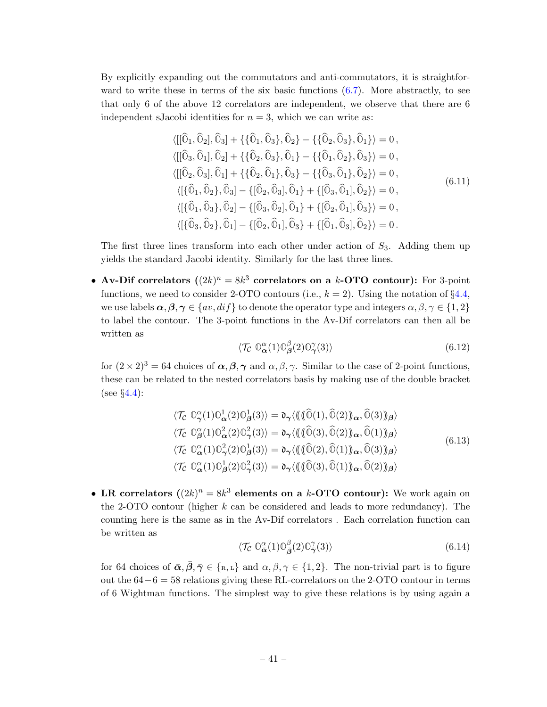By explicitly expanding out the commutators and anti-commutators, it is straightforward to write these in terms of the six basic functions  $(6.7)$ . More abstractly, to see that only 6 of the above 12 correlators are independent, we observe that there are 6 independent sJacobi identities for  $n = 3$ , which we can write as:

$$
\langle [[\hat{0}_1, \hat{0}_2], \hat{0}_3] + \{\{\hat{0}_1, \hat{0}_3\}, \hat{0}_2\} - \{\{\hat{0}_2, \hat{0}_3\}, \hat{0}_1\} \rangle = 0,\langle [[\hat{0}_3, \hat{0}_1], \hat{0}_2] + \{\{\hat{0}_2, \hat{0}_3\}, \hat{0}_1\} - \{\{\hat{0}_1, \hat{0}_2\}, \hat{0}_3\} \rangle = 0,\langle [[\hat{0}_2, \hat{0}_3], \hat{0}_1] + \{\{\hat{0}_2, \hat{0}_1\}, \hat{0}_3\} - \{\{\hat{0}_3, \hat{0}_1\}, \hat{0}_2\} \rangle = 0,\langle [\{\hat{0}_1, \hat{0}_2\}, \hat{0}_3] - \{[\hat{0}_2, \hat{0}_3], \hat{0}_1\} + \{\[\hat{0}_3, \hat{0}_1\], \hat{0}_2\} \rangle = 0,\langle [\{\hat{0}_1, \hat{0}_3\}, \hat{0}_2] - \{\[\hat{0}_3, \hat{0}_2\], \hat{0}_1\} + \{\[\hat{0}_2, \hat{0}_1\], \hat{0}_3\} \rangle = 0,\langle [\{\hat{0}_3, \hat{0}_2\}, \hat{0}_1] - \{\[\hat{0}_2, \hat{0}_1\], \hat{0}_3\} + \{\[\hat{0}_1, \hat{0}_3\], \hat{0}_2\} \rangle = 0.
$$
\n(6.11)

The first three lines transform into each other under action of  $S_3$ . Adding them up yields the standard Jacobi identity. Similarly for the last three lines.

• Av-Dif correlators  $((2k)^n = 8k^3$  correlators on a k-OTO contour): For 3-point functions, we need to consider 2-OTO contours (i.e.,  $k = 2$ ). Using the notation of §[4.4,](#page-25-0) we use labels  $\alpha, \beta, \gamma \in \{av, dif\}$  to denote the operator type and integers  $\alpha, \beta, \gamma \in \{1, 2\}$ to label the contour. The 3-point functions in the Av-Dif correlators can then all be written as

$$
\langle \mathcal{T}_{\mathcal{C}} \ \mathbb{O}_{\alpha}^{\alpha}(1) \mathbb{O}_{\beta}^{\beta}(2) \mathbb{O}_{\gamma}^{\gamma}(3) \rangle \tag{6.12}
$$

for  $(2 \times 2)^3 = 64$  choices of  $\alpha, \beta, \gamma$  and  $\alpha, \beta, \gamma$ . Similar to the case of 2-point functions, these can be related to the nested correlators basis by making use of the double bracket (see  $\S 4.4$ ):

$$
\langle \mathcal{T}_{\mathcal{C}} \mathbb{O}_{\gamma}^{\alpha}(1) \mathbb{O}_{\alpha}^{1}(2) \mathbb{O}_{\beta}^{1}(3) \rangle = \mathfrak{d}_{\gamma} \langle \langle (\langle \widehat{\mathbb{O}}(1), \widehat{\mathbb{O}}(2) \rangle_{\alpha}, \widehat{\mathbb{O}}(3) \rangle_{\beta} \rangle
$$
  

$$
\langle \mathcal{T}_{\mathcal{C}} \mathbb{O}_{\beta}^{\alpha}(1) \mathbb{O}_{\alpha}^{2}(2) \mathbb{O}_{\gamma}^{2}(3) \rangle = \mathfrak{d}_{\gamma} \langle (\langle \langle \widehat{\mathbb{O}}(3), \widehat{\mathbb{O}}(2) \rangle_{\alpha}, \widehat{\mathbb{O}}(1) \rangle_{\beta} \rangle
$$
  

$$
\langle \mathcal{T}_{\mathcal{C}} \mathbb{O}_{\alpha}^{\alpha}(1) \mathbb{O}_{\gamma}^{2}(2) \mathbb{O}_{\beta}^{1}(3) \rangle = \mathfrak{d}_{\gamma} \langle (\langle \langle \widehat{\mathbb{O}}(2), \widehat{\mathbb{O}}(1) \rangle_{\alpha}, \widehat{\mathbb{O}}(3) \rangle_{\beta} \rangle
$$
  

$$
\langle \mathcal{T}_{\mathcal{C}} \mathbb{O}_{\alpha}^{\alpha}(1) \mathbb{O}_{\beta}^{1}(2) \mathbb{O}_{\gamma}^{2}(3) \rangle = \mathfrak{d}_{\gamma} \langle (\langle \langle \widehat{\mathbb{O}}(3), \widehat{\mathbb{O}}(1) \rangle_{\alpha}, \widehat{\mathbb{O}}(2) \rangle_{\beta} \rangle
$$
  
(6.13)

• LR correlators  $((2k)^n = 8k^3$  elements on a k-OTO contour): We work again on the 2-OTO contour (higher  $k$  can be considered and leads to more redundancy). The counting here is the same as in the Av-Dif correlators . Each correlation function can be written as

$$
\langle \mathcal{T}_{\mathcal{C}} \, \mathbb{O}_{\bar{\mathbf{\alpha}}}^{\alpha}(1) \mathbb{O}_{\bar{\mathbf{\beta}}}^{\beta}(2) \mathbb{O}_{\bar{\gamma}}^{\gamma}(3) \rangle \tag{6.14}
$$

for 64 choices of  $\bar{\alpha}, \bar{\beta}, \bar{\gamma} \in \{\text{R}, \text{L}\}\$  and  $\alpha, \beta, \gamma \in \{1, 2\}$ . The non-trivial part is to figure out the  $64-6=58$  relations giving these RL-correlators on the 2-OTO contour in terms of 6 Wightman functions. The simplest way to give these relations is by using again a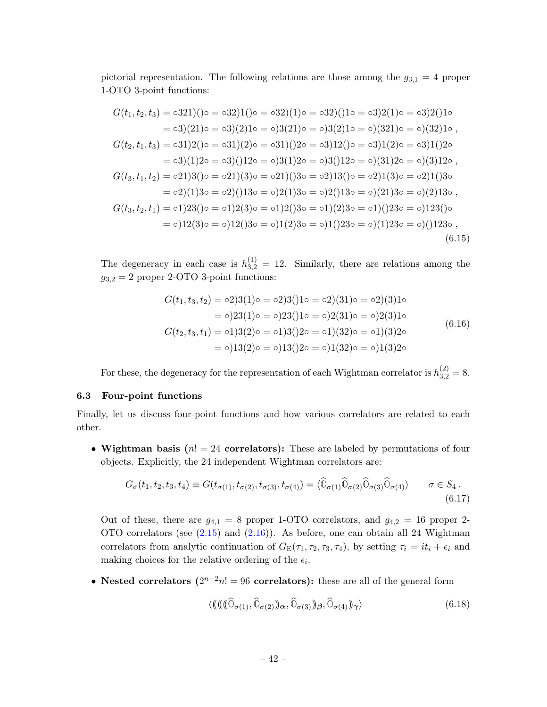pictorial representation. The following relations are those among the  $g_{3,1} = 4$  proper 1-OTO 3-point functions:

$$
G(t_1, t_2, t_3) = 0321((0 - 032)(1)(0 - 032)(1) = 032)(10 - 032)(10 - 032)(10 - 032)(10 - 032)(10 - 032)(10 - 032)(10 - 032)(10 - 032)(10 - 032)(10 - 032)(10 - 032)(10 - 032)(10 - 032)(10 - 032)(10 - 032)(10 - 032)(10 - 032)(10 - 032)(10 - 032)(10 - 032)(10 - 032)(10 - 032)(10 - 032)(10 - 032)(10 - 032)(10 - 032)(10 - 032)(10 - 032)(10 - 032)(10 - 032)(10 - 032)(10 - 032)(10 - 032)(10 - 032)(10 - 032)(10 - 032)(10 - 032)(10 - 032)(10 - 032)(10 - 032)(10 - 032)(10 - 032)(10 - 032)(10 - 032)(10 - 032)(10 - 032)(10 - 032)(10 - 032)(10 - 032)(10 - 032)(10 - 032)(10 - 032)(10 - 032)(10 - 032)(10 - 032)(10 - 032)(10 - 032)(10 - 032)(10 - 032)(10 - 032)(10 - 032)(10 - 032)(10 - 032)(10 - 032)(10 - 032)(10 - 032)(10 - 032)(10 - 032)(10 - 032)(10 - 032)(10 - 032)(10 - 032)(10 - 032)(10 - 032)(10 - 032)(10 - 032)(10 - 032)(10 - 032)(10 - 032)(10 - 032)(10 - 032)(10 - 032)(10 - 032)(10 - 032)(10 - 032)(10 - 032)(10 - 032)(10 - 032)(10 - 032)(10 -
$$

The degeneracy in each case is  $h_{3,2}^{(1)} = 12$ . Similarly, there are relations among the  $g_{3,2} = 2$  proper 2-OTO 3-point functions:

$$
G(t_1, t_3, t_2) = o2)3(1) \circ o = o2)3(1) \circ o = o2)(31) \circ o = o2)(31) \circ o = o22(1) \circ o = o23(1) \circ o = o23(1) \circ o = o23(1) \circ o = o23(1) \circ o = o23(1) \circ o = o23(1) \circ o = o23(1) \circ o = o23(1) \circ o = o23(1) \circ o = o23(1) \circ o = o23(1) \circ o = o23(1) \circ o = o23(1) \circ o = o23(1) \circ o = o23(1) \circ o = o23(1) \circ o = o23(1) \circ o = o23(1) \circ o = o23(1) \circ o = o23(1) \circ o = o23(1) \circ o = o23(1) \circ o = o23(1) \circ o = o23(1) \circ o = o23(1) \circ o = o23(1) \circ o = o23(1) \circ o = o23(1) \circ o = o23(1) \circ o = o23(1) \circ o = o23(1) \circ o = o23(1) \circ o = o23(1) \circ o = o23(1) \circ o = o23(1) \circ o = o23(1) \circ o = o23(1) \circ o = o23(1) \circ o = o23(1) \circ o = o23(1) \circ o = o23(1) \circ o = o23(1) \circ o = o23(1) \circ o = o23(1) \circ o = o23(1) \circ o = o23(1) \circ o = o23(1) \circ o = o23(1) \circ o = o23(1) \circ o = o23(1) \circ o = o23(1) \circ o = o23(1) \circ o = o23(1) \circ o = o23(1) \circ o = o23(1) \circ o = o23(1) \circ o = o23(1) \circ o = o23(1) \circ o = o23(1) \circ o = o23(1) \circ o = o23(1) \circ o = o23(1) \circ o = o23(1) \circ o = o23(1) \circ o = o23(1) \circ o = o23(1) \circ o = o23(1) \circ o = o23(1) \circ o = o23(1) \circ o = o23
$$

For these, the degeneracy for the representation of each Wightman correlator is  $h_{3,2}^{(2)} = 8$ .

#### <span id="page-43-0"></span>6.3 Four-point functions

Finally, let us discuss four-point functions and how various correlators are related to each other.

• Wightman basis ( $n! = 24$  correlators): These are labeled by permutations of four objects. Explicitly, the 24 independent Wightman correlators are:

$$
G_{\sigma}(t_1, t_2, t_3, t_4) \equiv G(t_{\sigma(1)}, t_{\sigma(2)}, t_{\sigma(3)}, t_{\sigma(4)}) = \langle \widehat{\mathbb{O}}_{\sigma(1)} \widehat{\mathbb{O}}_{\sigma(2)} \widehat{\mathbb{O}}_{\sigma(3)} \widehat{\mathbb{O}}_{\sigma(4)} \rangle \qquad \sigma \in S_4.
$$
\n
$$
(6.17)
$$

Out of these, there are  $g_{4,1} = 8$  proper 1-OTO correlators, and  $g_{4,2} = 16$  proper 2-OTO correlators (see [\(2.15\)](#page-13-1) and [\(2.16\)](#page-13-2)). As before, one can obtain all 24 Wightman correlators from analytic continuation of  $G_E(\tau_1, \tau_2, \tau_3, \tau_4)$ , by setting  $\tau_i = it_i + \epsilon_i$  and making choices for the relative ordering of the  $\epsilon_i$ .

• Nested correlators  $(2^{n-2}n! = 96$  correlators): these are all of the general form

<span id="page-43-1"></span>
$$
\langle \langle (\langle (\widehat{\mathbb{O}}_{\sigma(1)}, \widehat{\mathbb{O}}_{\sigma(2)})_{\alpha}, \widehat{\mathbb{O}}_{\sigma(3)})_{\beta}, \widehat{\mathbb{O}}_{\sigma(4)} \rangle_{\gamma} \rangle \tag{6.18}
$$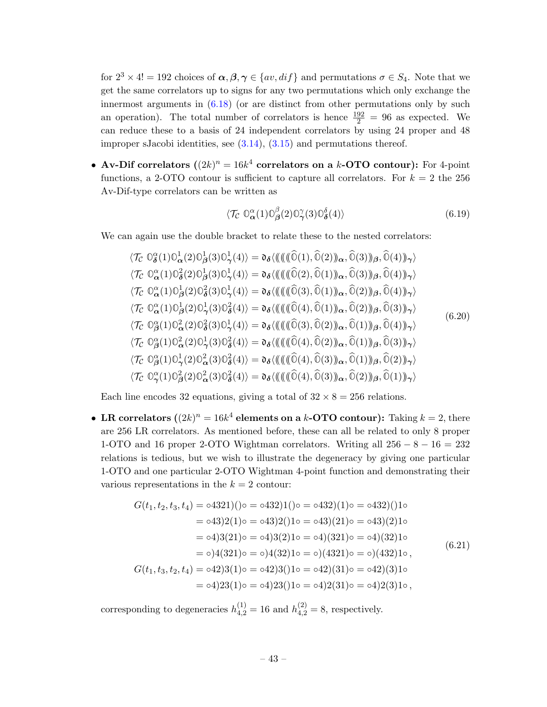for  $2^3 \times 4! = 192$  choices of  $\alpha, \beta, \gamma \in \{av, diff\}$  and permutations  $\sigma \in S_4$ . Note that we get the same correlators up to signs for any two permutations which only exchange the innermost arguments in  $(6.18)$  (or are distinct from other permutations only by such an operation). The total number of correlators is hence  $\frac{192}{2} = 96$  as expected. We can reduce these to a basis of 24 independent correlators by using 24 proper and 48 improper sJacobi identities, see  $(3.14)$ ,  $(3.15)$  and permutations thereof.

• Av-Dif correlators  $((2k)^n = 16k^4$  correlators on a k-OTO contour): For 4-point functions, a 2-OTO contour is sufficient to capture all correlators. For  $k = 2$  the 256 Av-Dif-type correlators can be written as

$$
\langle \mathcal{T}_{\mathcal{C}} \ \mathbb{O}_{\alpha}^{\alpha}(1) \mathbb{O}_{\beta}^{\beta}(2) \mathbb{O}_{\gamma}^{\gamma}(3) \mathbb{O}_{\delta}^{\delta}(4) \rangle \tag{6.19}
$$

We can again use the double bracket to relate these to the nested correlators:

$$
\langle \mathcal{T}_{\mathcal{C}} \mathbb{O}_{\delta}^{\alpha}(1) \mathbb{O}_{\alpha}^{1}(2) \mathbb{O}_{\beta}^{1}(3) \mathbb{O}_{\gamma}^{1}(4) \rangle = \mathfrak{d}_{\delta} \langle \langle (\langle (\widehat{\mathbb{O}}(1), \widehat{\mathbb{O}}(2)) \rangle_{\alpha}, \widehat{\mathbb{O}}(3)) \rangle_{\beta}, \widehat{\mathbb{O}}(4)) \rangle_{\gamma} \rangle
$$
  
\n
$$
\langle \mathcal{T}_{\mathcal{C}} \mathbb{O}_{\alpha}^{\alpha}(1) \mathbb{O}_{\delta}^{2}(2) \mathbb{O}_{\beta}^{1}(3) \mathbb{O}_{\gamma}^{1}(4) \rangle = \mathfrak{d}_{\delta} \langle (\langle (\langle (\widehat{\mathbb{O}}(2), \widehat{\mathbb{O}}(1)) \rangle_{\alpha}, \widehat{\mathbb{O}}(3)) \rangle_{\beta}, \widehat{\mathbb{O}}(4)) \rangle_{\gamma} \rangle
$$
  
\n
$$
\langle \mathcal{T}_{\mathcal{C}} \mathbb{O}_{\alpha}^{\alpha}(1) \mathbb{O}_{\beta}^{1}(2) \mathbb{O}_{\delta}^{2}(3) \mathbb{O}_{\gamma}^{1}(4) \rangle = \mathfrak{d}_{\delta} \langle (\langle (\langle (\widehat{\mathbb{O}}(3), \widehat{\mathbb{O}}(1)) \rangle_{\alpha}, \widehat{\mathbb{O}}(2)) \rangle_{\beta}, \widehat{\mathbb{O}}(4)) \rangle_{\gamma} \rangle
$$
  
\n
$$
\langle \mathcal{T}_{\mathcal{C}} \mathbb{O}_{\alpha}^{\alpha}(1) \mathbb{O}_{\beta}^{1}(2) \mathbb{O}_{\gamma}^{1}(3) \mathbb{O}_{\delta}^{2}(4) \rangle = \mathfrak{d}_{\delta} \langle (\langle (\langle (\widehat{\mathbb{O}}(3), \widehat{\mathbb{O}}(1)) \rangle_{\alpha}, \widehat{\mathbb{O}}(2)) \rangle_{\beta}, \widehat{\mathbb{O}}(3)) \rangle_{\gamma} \rangle
$$
  
\n
$$
\langle \mathcal{T}_{\mathcal{C}} \mathbb{O}_{\beta}^{\alpha}(1) \mathbb{O}_{\alpha}^{2}(2) \mathbb{O}_{\delta}^{2}(3) \mathbb{O}_{\gamma}^{1}(4) \rangle = \mathfrak{d}_{\delta} \langle (\langle (\
$$

Each line encodes 32 equations, giving a total of  $32 \times 8 = 256$  relations.

• LR correlators  $((2k)^n = 16k^4$  elements on a k-OTO contour): Taking  $k = 2$ , there are 256 LR correlators. As mentioned before, these can all be related to only 8 proper 1-OTO and 16 proper 2-OTO Wightman correlators. Writing all  $256 - 8 - 16 = 232$ relations is tedious, but we wish to illustrate the degeneracy by giving one particular 1-OTO and one particular 2-OTO Wightman 4-point function and demonstrating their various representations in the  $k = 2$  contour:

$$
G(t_1, t_2, t_3, t_4) = 0.4321)(0 = 0.432)(10 = 0.432)(10 = 0.432)(10 = 0.432)(10 = 0.432)(10 = 0.432)(10 = 0.43)(210 = 0.43)(210 = 0.43)(210 = 0.43)(210 = 0.43)(210 = 0.43)(210 = 0.43)(210 = 0.43)(210 = 0.43)(210 = 0.43)(210 = 0.43)(210 = 0.43)(210 = 0.43)(210 = 0.43)(210 = 0.43)(210 = 0.43)(210 = 0.43)(210 = 0.43)(210 = 0.43)(210 = 0.43)(210 = 0.43)(210 = 0.43)(210 = 0.43)(210 = 0.43)(210 = 0.43)(210 = 0.43)(210 = 0.43)(210 = 0.43)(210 = 0.43)(210 = 0.43)(210 = 0.43)(210 = 0.43)(210 = 0.43)(210 = 0.43)(210 = 0.43)(210 = 0.43)(210 = 0.43)(210 = 0.43)(210 = 0.43)(210 = 0.43)(210 = 0.43)(210 = 0.43)(210 = 0.43)(210 = 0.43)(210 = 0.43)(210 = 0.43)(210 = 0.43)(210 = 0.43)(210 = 0.43)(210 = 0.43)(210 = 0.43)(210 = 0.43)(210 = 0.43)(210 = 0.43)(210 = 0.43)(210 = 0.43)(210 = 0.43)(210 = 0.43)(210 = 0.43)(210 = 0.43)(210 = 0.43)(210 = 0.43)(210 = 0.43)(210 = 0.43)(210 = 0.43)(210 = 0.43)(210 = 0.43)(210 =
$$

corresponding to degeneracies  $h_{4,2}^{(1)} = 16$  and  $h_{4,2}^{(2)} = 8$ , respectively.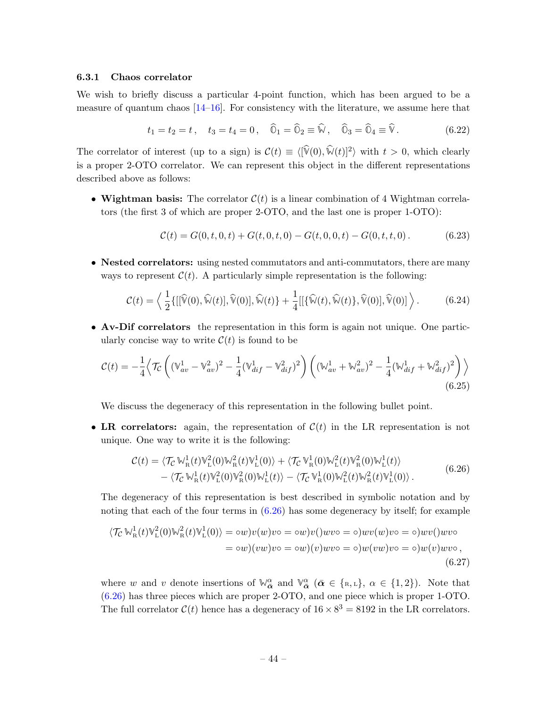#### <span id="page-45-0"></span>6.3.1 Chaos correlator

We wish to briefly discuss a particular 4-point function, which has been argued to be a measure of quantum chaos  $[14-16]$  $[14-16]$ . For consistency with the literature, we assume here that

$$
t_1 = t_2 = t
$$
,  $t_3 = t_4 = 0$ ,  $\widehat{0}_1 = \widehat{0}_2 \equiv \widehat{\mathbb{W}}$ ,  $\widehat{0}_3 = \widehat{0}_4 \equiv \widehat{\mathbb{V}}$ . (6.22)

The correlator of interest (up to a sign) is  $\mathcal{C}(t) \equiv \langle [\hat{V}(0), \hat{W}(t)]^2 \rangle$  with  $t > 0$ , which clearly is a proper 2-OTO correlator. We can represent this object in the different representations described above as follows:

• Wightman basis: The correlator  $\mathcal{C}(t)$  is a linear combination of 4 Wightman correlators (the first 3 of which are proper 2-OTO, and the last one is proper 1-OTO):

$$
\mathcal{C}(t) = G(0, t, 0, t) + G(t, 0, t, 0) - G(t, 0, 0, t) - G(0, t, t, 0).
$$
 (6.23)

• Nested correlators: using nested commutators and anti-commutators, there are many ways to represent  $\mathcal{C}(t)$ . A particularly simple representation is the following:

$$
\mathcal{C}(t) = \left\langle \frac{1}{2} \{ [[\widehat{\mathbb{V}}(0), \widehat{\mathbb{W}}(t)], \widehat{\mathbb{V}}(0)], \widehat{\mathbb{W}}(t) \} + \frac{1}{4} [[\{\widehat{\mathbb{W}}(t), \widehat{\mathbb{W}}(t)\}, \widehat{\mathbb{V}}(0)], \widehat{\mathbb{V}}(0)] \right\rangle. \tag{6.24}
$$

• Av-Dif correlators the representation in this form is again not unique. One particularly concise way to write  $\mathcal{C}(t)$  is found to be

$$
\mathcal{C}(t) = -\frac{1}{4} \left\langle \mathcal{T}_{\mathcal{C}} \left( (\mathbb{V}_{av}^{1} - \mathbb{V}_{av}^{2})^{2} - \frac{1}{4} (\mathbb{V}_{dif}^{1} - \mathbb{V}_{dif}^{2})^{2} \right) \left( (\mathbb{W}_{av}^{1} + \mathbb{W}_{av}^{2})^{2} - \frac{1}{4} (\mathbb{W}_{dif}^{1} + \mathbb{W}_{dif}^{2})^{2} \right) \right\rangle
$$
\n(6.25)

We discuss the degeneracy of this representation in the following bullet point.

• LR correlators: again, the representation of  $\mathcal{C}(t)$  in the LR representation is not unique. One way to write it is the following:

<span id="page-45-1"></span>
$$
\mathcal{C}(t) = \langle \mathcal{T}_{\mathcal{C}} \mathbb{W}_{\mathcal{R}}^1(t) \mathbb{V}_{\mathcal{L}}^2(0) \mathbb{W}_{\mathcal{R}}^2(t) \mathbb{V}_{\mathcal{L}}^1(0) \rangle + \langle \mathcal{T}_{\mathcal{C}} \mathbb{V}_{\mathcal{R}}^1(0) \mathbb{W}_{\mathcal{L}}^2(t) \mathbb{V}_{\mathcal{R}}^2(0) \mathbb{W}_{\mathcal{L}}^1(t) \rangle -\langle \mathcal{T}_{\mathcal{C}} \mathbb{W}_{\mathcal{R}}^1(t) \mathbb{V}_{\mathcal{L}}^2(0) \mathbb{W}_{\mathcal{R}}^2(0) \mathbb{W}_{\mathcal{L}}^1(t) \rangle - \langle \mathcal{T}_{\mathcal{C}} \mathbb{V}_{\mathcal{R}}^1(0) \mathbb{W}_{\mathcal{L}}^2(t) \mathbb{W}_{\mathcal{R}}^2(t) \mathbb{V}_{\mathcal{L}}^1(0) \rangle.
$$
\n(6.26)

The degeneracy of this representation is best described in symbolic notation and by noting that each of the four terms in  $(6.26)$  has some degeneracy by itself; for example

$$
\langle \mathcal{T}_{\mathcal{C}} \mathbb{W}_{\mathcal{R}}^1(t) \mathbb{W}_{\mathcal{L}}^2(0) \mathbb{W}_{\mathcal{R}}^2(t) \mathbb{W}_{\mathcal{L}}^1(0) \rangle = \circ w \rangle v(w) v \circ = \circ w \rangle v(\rangle w v \circ = \circ) w v(w) v \circ = \circ) w v(\rangle w v \circ
$$

$$
= \circ w \rangle (v w) v \circ = \circ w \rangle (v) w v \circ = \circ) w (v w) v \circ = \circ) w (v) w v \circ,
$$

$$
(6.27)
$$

where w and v denote insertions of  $\mathbb{W}_{\bar{\boldsymbol{\alpha}}}^{\alpha}$  and  $\mathbb{V}_{\bar{\boldsymbol{\alpha}}}^{\alpha}$  ( $\bar{\boldsymbol{\alpha}} \in \{\text{R},\text{L}\}, \alpha \in \{1,2\}$ ). Note that [\(6.26\)](#page-45-1) has three pieces which are proper 2-OTO, and one piece which is proper 1-OTO. The full correlator  $C(t)$  hence has a degeneracy of  $16 \times 8^3 = 8192$  in the LR correlators.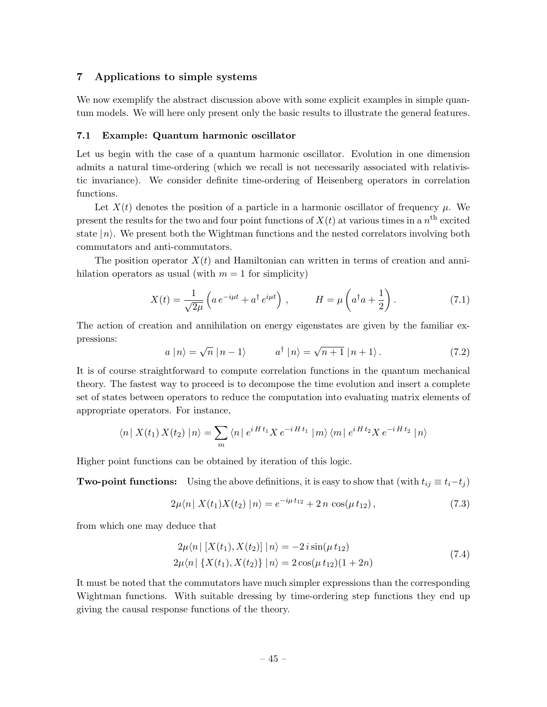# <span id="page-46-0"></span>7 Applications to simple systems

We now exemplify the abstract discussion above with some explicit examples in simple quantum models. We will here only present only the basic results to illustrate the general features.

#### <span id="page-46-1"></span>7.1 Example: Quantum harmonic oscillator

Let us begin with the case of a quantum harmonic oscillator. Evolution in one dimension admits a natural time-ordering (which we recall is not necessarily associated with relativistic invariance). We consider definite time-ordering of Heisenberg operators in correlation functions.

Let  $X(t)$  denotes the position of a particle in a harmonic oscillator of frequency  $\mu$ . We present the results for the two and four point functions of  $X(t)$  at various times in a  $n<sup>th</sup>$  excited state  $|n\rangle$ . We present both the Wightman functions and the nested correlators involving both commutators and anti-commutators.

The position operator  $X(t)$  and Hamiltonian can written in terms of creation and annihilation operators as usual (with  $m = 1$  for simplicity)

$$
X(t) = \frac{1}{\sqrt{2\mu}} \left( a e^{-i\mu t} + a^{\dagger} e^{i\mu t} \right), \qquad H = \mu \left( a^{\dagger} a + \frac{1}{2} \right). \tag{7.1}
$$

The action of creation and annihilation on energy eigenstates are given by the familiar expressions: √

$$
a |n\rangle = \sqrt{n} |n-1\rangle \qquad a^{\dagger} |n\rangle = \sqrt{n+1} |n+1\rangle. \tag{7.2}
$$

It is of course straightforward to compute correlation functions in the quantum mechanical theory. The fastest way to proceed is to decompose the time evolution and insert a complete set of states between operators to reduce the computation into evaluating matrix elements of appropriate operators. For instance,

$$
\langle n | X(t_1) X(t_2) | n \rangle = \sum_{m} \langle n | e^{i H t_1} X e^{-i H t_1} | m \rangle \langle m | e^{i H t_2} X e^{-i H t_2} | n \rangle
$$

Higher point functions can be obtained by iteration of this logic.

**Two-point functions:** Using the above definitions, it is easy to show that (with  $t_{ij} \equiv t_i - t_j$ )

$$
2\mu \langle n \, | \, X(t_1)X(t_2) \, | n \rangle = e^{-i\mu t_{12}} + 2 \, n \, \cos(\mu t_{12}), \tag{7.3}
$$

from which one may deduce that

$$
2\mu \langle n | [X(t_1), X(t_2)] | n \rangle = -2 i \sin(\mu t_{12})
$$
  
\n
$$
2\mu \langle n | \{X(t_1), X(t_2)\} | n \rangle = 2 \cos(\mu t_{12})(1+2n)
$$
\n(7.4)

It must be noted that the commutators have much simpler expressions than the corresponding Wightman functions. With suitable dressing by time-ordering step functions they end up giving the causal response functions of the theory.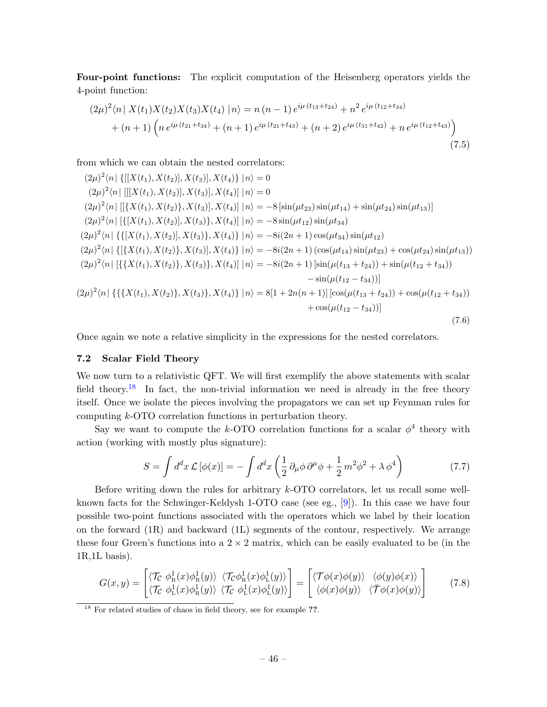Four-point functions: The explicit computation of the Heisenberg operators yields the 4-point function:

$$
(2\mu)^{2}\langle n | X(t_{1})X(t_{2})X(t_{3})X(t_{4}) | n \rangle = n(n-1)e^{i\mu(t_{13}+t_{24})} + n^{2}e^{i\mu(t_{12}+t_{34})} + (n+1)\left(n e^{i\mu(t_{21}+t_{34})} + (n+1)e^{i\mu(t_{21}+t_{43})} + (n+2)e^{i\mu(t_{31}+t_{42})} + n e^{i\mu(t_{12}+t_{43})}\right)
$$
\n(7.5)

from which we can obtain the nested correlators:

 $(2\mu)^2 \langle n | \{ [[X(t_1), X(t_2)], X(t_3)], X(t_4) \} | n \rangle = 0$  $(2\mu)^2 \langle n | [[X(t_1), X(t_2)], X(t_3)], X(t_4)] | n \rangle = 0$  $(2\mu)^2 \langle n | [[\{X(t_1), X(t_2)\}, X(t_3)], X(t_4)] | n \rangle = -8 \left[\sin(\mu t_{23}) \sin(\mu t_{14}) + \sin(\mu t_{24}) \sin(\mu t_{13})\right]$  $(2\mu)^2 \langle n | \left[ \{ [X(t_1), X(t_2)], X(t_3) \}, X(t_4) \right] | n \rangle = -8 \sin(\mu t_{12}) \sin(\mu t_{34})$  $(2\mu)^2 \langle n | \left\{ \left[ X(t_1), X(t_2) \right], X(t_3) \right\}, X(t_4) \right\} | n \rangle = -8i(2n+1)\cos(\mu t_{34})\sin(\mu t_{12})$  $(2\mu)^2 \langle n | \{ [\{X(t_1), X(t_2)\}, X(t_3)], X(t_4) \} | n \rangle = -8i(2n+1) (\cos(\mu t_{14}) \sin(\mu t_{23}) + \cos(\mu t_{24}) \sin(\mu t_{13}))$  $(2\mu)^2 \langle n | \left[ {\{X(t_1), X(t_2)\}, X(t_3)\}, X(t_4) \right] | n \rangle = -8i(2n+1) \left[ \sin(\mu(t_{13} + t_{24})) + \sin(\mu(t_{12} + t_{34})) \right]$  $-\sin(\mu(t_{12}-t_{34}))$  $(2\mu)^2 \langle n | \left\{ \{ \{X(t_1), X(t_2)\}, X(t_3)\}, X(t_4) \right\} | n \rangle = 8[1 + 2n(n+1)] \left[ \cos(\mu(t_{13} + t_{24})) + \cos(\mu(t_{12} + t_{34})) \right]$  $+ \cos(\mu(t_{12} - t_{34}))$ (7.6)

Once again we note a relative simplicity in the expressions for the nested correlators.

# <span id="page-47-0"></span>7.2 Scalar Field Theory

We now turn to a relativistic QFT. We will first exemplify the above statements with scalar field theory.<sup>[18](#page-47-1)</sup> In fact, the non-trivial information we need is already in the free theory itself. Once we isolate the pieces involving the propagators we can set up Feynman rules for computing k-OTO correlation functions in perturbation theory.

Say we want to compute the k-OTO correlation functions for a scalar  $\phi^4$  theory with action (working with mostly plus signature):

$$
S = \int d^d x \mathcal{L} \left[ \phi(x) \right] = -\int d^d x \left( \frac{1}{2} \partial_\mu \phi \, \partial^\mu \phi + \frac{1}{2} \, m^2 \phi^2 + \lambda \, \phi^4 \right) \tag{7.7}
$$

Before writing down the rules for arbitrary k-OTO correlators, let us recall some wellknown facts for the Schwinger-Keldysh 1-OTO case (see eg., [\[9\]](#page-57-8)). In this case we have four possible two-point functions associated with the operators which we label by their location on the forward (1R) and backward (1L) segments of the contour, respectively. We arrange these four Green's functions into a  $2 \times 2$  matrix, which can be easily evaluated to be (in the 1R,1L basis).

$$
G(x,y) = \begin{bmatrix} \langle \mathcal{T}_{\mathcal{C}} & \phi_{\mathcal{R}}^1(x)\phi_{\mathcal{R}}^1(y) \rangle & \langle \mathcal{T}_{\mathcal{C}}\phi_{\mathcal{R}}^1(x)\phi_{\mathcal{L}}^1(y) \rangle \\ \langle \mathcal{T}_{\mathcal{C}} & \phi_{\mathcal{L}}^1(x)\phi_{\mathcal{R}}^1(y) \rangle & \langle \mathcal{T}_{\mathcal{C}} & \phi_{\mathcal{L}}^1(x)\phi_{\mathcal{L}}^1(y) \rangle \end{bmatrix} = \begin{bmatrix} \langle \mathcal{T}\phi(x)\phi(y) \rangle & \langle \phi(y)\phi(x) \rangle \\ \langle \phi(x)\phi(y) \rangle & \langle \mathcal{T}\phi(x)\phi(y) \rangle \end{bmatrix}
$$
(7.8)

<span id="page-47-1"></span><sup>&</sup>lt;sup>18</sup> For related studies of chaos in field theory, see for example ??.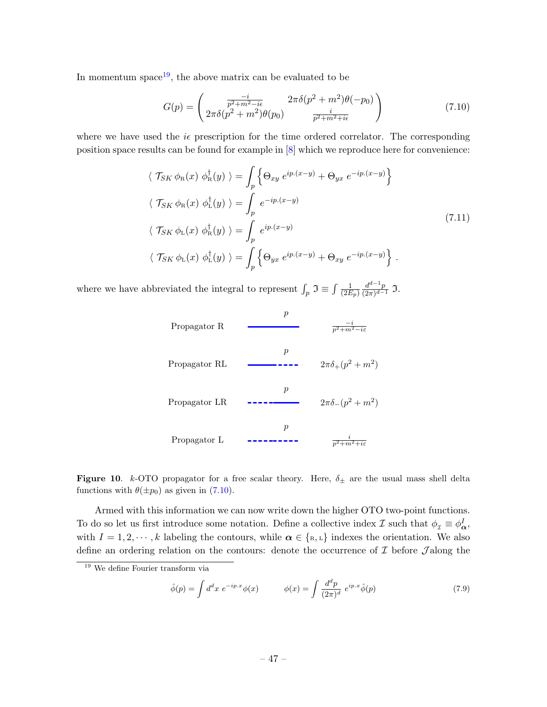In momentum space<sup>[19](#page-48-0)</sup>, the above matrix can be evaluated to be

<span id="page-48-1"></span>
$$
G(p) = \begin{pmatrix} \frac{-i}{p^2 + m^2 - i\epsilon} & 2\pi\delta(p^2 + m^2)\theta(-p_0) \\ 2\pi\delta(p^2 + m^2)\theta(p_0) & \frac{i}{p^2 + m^2 + i\epsilon} \end{pmatrix}
$$
(7.10)

where we have used the  $i\epsilon$  prescription for the time ordered correlator. The corresponding position space results can be found for example in [\[8\]](#page-57-7) which we reproduce here for convenience:

$$
\langle \mathcal{T}_{SK} \phi_{R}(x) \phi_{R}^{\dagger}(y) \rangle = \int_{p} \left\{ \Theta_{xy} e^{ip.(x-y)} + \Theta_{yx} e^{-ip.(x-y)} \right\}
$$
  

$$
\langle \mathcal{T}_{SK} \phi_{R}(x) \phi_{L}^{\dagger}(y) \rangle = \int_{p} e^{-ip.(x-y)} \langle \mathcal{T}_{SK} \phi_{L}(x) \phi_{R}^{\dagger}(y) \rangle = \int_{p} e^{ip.(x-y)} \langle \mathcal{T}_{SK} \phi_{L}(x) \phi_{L}^{\dagger}(y) \rangle = \int_{p} \left\{ \Theta_{yx} e^{ip.(x-y)} + \Theta_{xy} e^{-ip.(x-y)} \right\} .
$$
 (7.11)

where we have abbreviated the integral to represent  $\int_p \mathfrak{I} \equiv \int \frac{1}{(2E - 1)^2}$  $\overline{(2E_p)}$  $d^{d-1}p$  $\frac{a^{\alpha}-p}{(2\pi)^{d-1}}$  J.



<span id="page-48-2"></span>Figure 10. k-OTO propagator for a free scalar theory. Here,  $\delta_{\pm}$  are the usual mass shell delta functions with  $\theta(\pm p_0)$  as given in [\(7.10\)](#page-48-1).

Armed with this information we can now write down the higher OTO two-point functions. To do so let us first introduce some notation. Define a collective index  $\mathcal I$  such that  $\phi_\mathcal{I} \equiv \phi^I_{\bm{\alpha}},$ with  $I = 1, 2, \dots, k$  labeling the contours, while  $\alpha \in \{\text{\tiny R}, \text{\tiny L}\}\$  indexes the orientation. We also define an ordering relation on the contours: denote the occurrence of  $\mathcal I$  before  $\mathcal J$  along the

$$
\hat{\phi}(p) = \int d^d x \ e^{-ip.x} \phi(x) \qquad \phi(x) = \int \frac{d^d p}{(2\pi)^d} \ e^{ip.x} \hat{\phi}(p) \tag{7.9}
$$

<span id="page-48-0"></span><sup>19</sup> We define Fourier transform via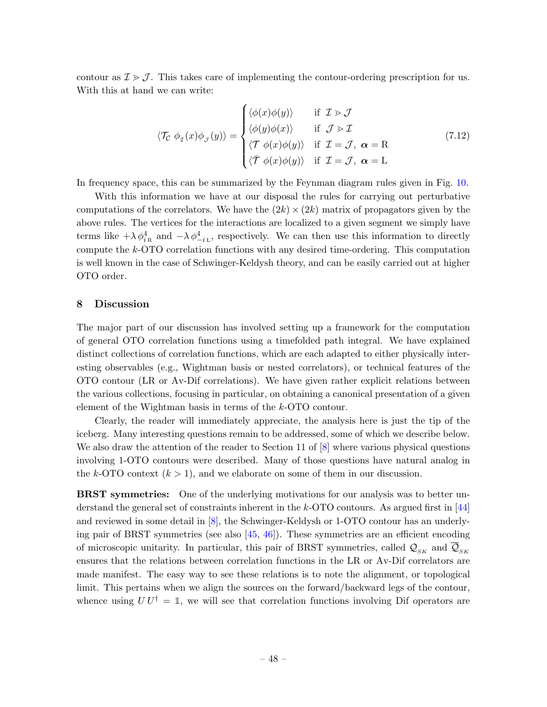contour as  $\mathcal{I} > \mathcal{J}$ . This takes care of implementing the contour-ordering prescription for us. With this at hand we can write:

$$
\langle \mathcal{T}_{\mathcal{C}} \phi_{\mathcal{I}}(x) \phi_{\mathcal{J}}(y) \rangle = \begin{cases} \langle \phi(x) \phi(y) \rangle & \text{if } \mathcal{I} > \mathcal{J} \\ \langle \phi(y) \phi(x) \rangle & \text{if } \mathcal{J} > \mathcal{I} \\ \langle \mathcal{T} \phi(x) \phi(y) \rangle & \text{if } \mathcal{I} = \mathcal{J}, \ \alpha = \mathcal{R} \\ \langle \mathcal{T} \phi(x) \phi(y) \rangle & \text{if } \mathcal{I} = \mathcal{J}, \ \alpha = \mathcal{L} \end{cases}
$$
(7.12)

In frequency space, this can be summarized by the Feynman diagram rules given in Fig. [10.](#page-48-2)

With this information we have at our disposal the rules for carrying out perturbative computations of the correlators. We have the  $(2k) \times (2k)$  matrix of propagators given by the above rules. The vertices for the interactions are localized to a given segment we simply have terms like  $+\lambda \phi_{iR}^4$  and  $-\lambda \phi_{-iL}^4$ , respectively. We can then use this information to directly compute the k-OTO correlation functions with any desired time-ordering. This computation is well known in the case of Schwinger-Keldysh theory, and can be easily carried out at higher OTO order.

# <span id="page-49-0"></span>8 Discussion

The major part of our discussion has involved setting up a framework for the computation of general OTO correlation functions using a timefolded path integral. We have explained distinct collections of correlation functions, which are each adapted to either physically interesting observables (e.g., Wightman basis or nested correlators), or technical features of the OTO contour (LR or Av-Dif correlations). We have given rather explicit relations between the various collections, focusing in particular, on obtaining a canonical presentation of a given element of the Wightman basis in terms of the k-OTO contour.

Clearly, the reader will immediately appreciate, the analysis here is just the tip of the iceberg. Many interesting questions remain to be addressed, some of which we describe below. We also draw the attention of the reader to Section 11 of  $[8]$  where various physical questions involving 1-OTO contours were described. Many of those questions have natural analog in the k-OTO context  $(k > 1)$ , and we elaborate on some of them in our discussion.

**BRST** symmetries: One of the underlying motivations for our analysis was to better understand the general set of constraints inherent in the  $k$ -OTO contours. As argued first in [\[44\]](#page-59-9) and reviewed in some detail in [\[8\]](#page-57-7), the Schwinger-Keldysh or 1-OTO contour has an underlying pair of BRST symmetries (see also [\[45,](#page-59-10) [46\]](#page-59-11)). These symmetries are an efficient encoding of microscopic unitarity. In particular, this pair of BRST symmetries, called  $\mathcal{Q}_{SK}$  and  $\mathcal{Q}_{SK}$ ensures that the relations between correlation functions in the LR or Av-Dif correlators are made manifest. The easy way to see these relations is to note the alignment, or topological limit. This pertains when we align the sources on the forward/backward legs of the contour, whence using  $UU^{\dagger} = \mathbb{1}$ , we will see that correlation functions involving Dif operators are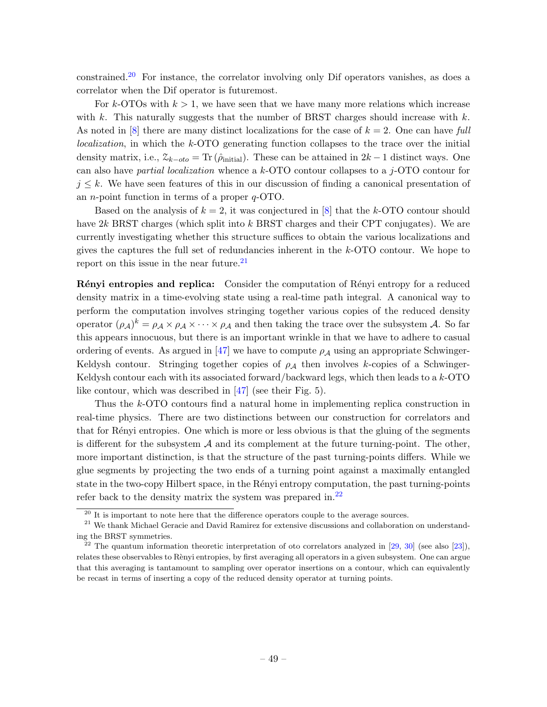constrained.[20](#page-50-0) For instance, the correlator involving only Dif operators vanishes, as does a correlator when the Dif operator is futuremost.

For k-OTOs with  $k > 1$ , we have seen that we have many more relations which increase with k. This naturally suggests that the number of BRST charges should increase with  $k$ . As noted in  $[8]$  there are many distinct localizations for the case of  $k = 2$ . One can have full localization, in which the k-OTO generating function collapses to the trace over the initial density matrix, i.e.,  $\mathcal{Z}_{k-oto} = \text{Tr}(\hat{\rho}_{initial})$ . These can be attained in  $2k-1$  distinct ways. One can also have *partial localization* whence a  $k$ -OTO contour collapses to a j-OTO contour for  $j \leq k$ . We have seen features of this in our discussion of finding a canonical presentation of an n-point function in terms of a proper q-OTO.

Based on the analysis of  $k = 2$ , it was conjectured in [\[8\]](#page-57-7) that the k-OTO contour should have  $2k$  BRST charges (which split into k BRST charges and their CPT conjugates). We are currently investigating whether this structure suffices to obtain the various localizations and gives the captures the full set of redundancies inherent in the k-OTO contour. We hope to report on this issue in the near future.<sup>[21](#page-50-1)</sup>

Rényi entropies and replica: Consider the computation of Rényi entropy for a reduced density matrix in a time-evolving state using a real-time path integral. A canonical way to perform the computation involves stringing together various copies of the reduced density operator  $(\rho_{\mathcal{A}})^k = \rho_{\mathcal{A}} \times \rho_{\mathcal{A}} \times \cdots \times \rho_{\mathcal{A}}$  and then taking the trace over the subsystem  $\mathcal{A}$ . So far this appears innocuous, but there is an important wrinkle in that we have to adhere to casual ordering of events. As argued in [\[47\]](#page-59-12) we have to compute  $\rho_A$  using an appropriate Schwinger-Keldysh contour. Stringing together copies of  $\rho_A$  then involves k-copies of a Schwinger-Keldysh contour each with its associated forward/backward legs, which then leads to a  $k$ -OTO like contour, which was described in [\[47\]](#page-59-12) (see their Fig. 5).

Thus the k-OTO contours find a natural home in implementing replica construction in real-time physics. There are two distinctions between our construction for correlators and that for R´enyi entropies. One which is more or less obvious is that the gluing of the segments is different for the subsystem  $A$  and its complement at the future turning-point. The other, more important distinction, is that the structure of the past turning-points differs. While we glue segments by projecting the two ends of a turning point against a maximally entangled state in the two-copy Hilbert space, in the Rényi entropy computation, the past turning-points refer back to the density matrix the system was prepared in. $^{22}$  $^{22}$  $^{22}$ 

<span id="page-50-1"></span><span id="page-50-0"></span> $20$  It is important to note here that the difference operators couple to the average sources.

<sup>&</sup>lt;sup>21</sup> We thank Michael Geracie and David Ramirez for extensive discussions and collaboration on understanding the BRST symmetries.

<span id="page-50-2"></span><sup>&</sup>lt;sup>22</sup> The quantum information theoretic interpretation of oto correlators analyzed in [\[29,](#page-58-9) [30\]](#page-58-10) (see also [\[23\]](#page-58-12)), relates these observables to Rènyi entropies, by first averaging all operators in a given subsystem. One can argue that this averaging is tantamount to sampling over operator insertions on a contour, which can equivalently be recast in terms of inserting a copy of the reduced density operator at turning points.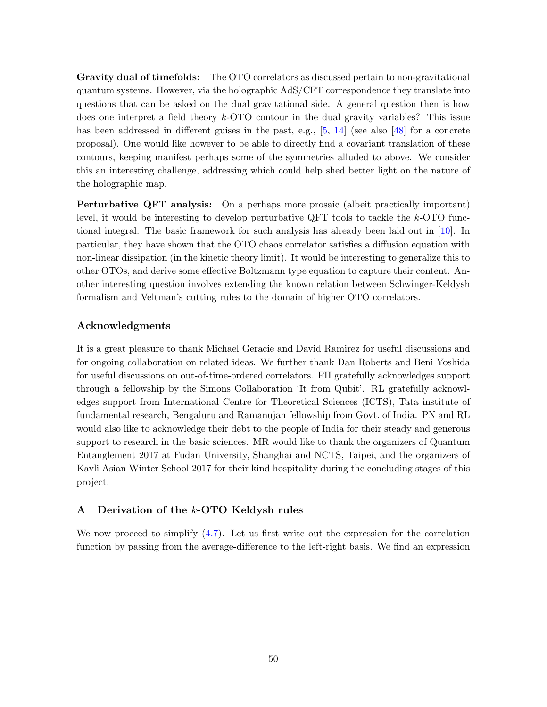Gravity dual of timefolds: The OTO correlators as discussed pertain to non-gravitational quantum systems. However, via the holographic AdS/CFT correspondence they translate into questions that can be asked on the dual gravitational side. A general question then is how does one interpret a field theory k-OTO contour in the dual gravity variables? This issue has been addressed in different guises in the past, e.g., [\[5,](#page-57-4) [14\]](#page-58-2) (see also [\[48\]](#page-59-13) for a concrete proposal). One would like however to be able to directly find a covariant translation of these contours, keeping manifest perhaps some of the symmetries alluded to above. We consider this an interesting challenge, addressing which could help shed better light on the nature of the holographic map.

Perturbative QFT analysis: On a perhaps more prosaic (albeit practically important) level, it would be interesting to develop perturbative QFT tools to tackle the k-OTO functional integral. The basic framework for such analysis has already been laid out in [\[10\]](#page-57-9). In particular, they have shown that the OTO chaos correlator satisfies a diffusion equation with non-linear dissipation (in the kinetic theory limit). It would be interesting to generalize this to other OTOs, and derive some effective Boltzmann type equation to capture their content. Another interesting question involves extending the known relation between Schwinger-Keldysh formalism and Veltman's cutting rules to the domain of higher OTO correlators.

# Acknowledgments

It is a great pleasure to thank Michael Geracie and David Ramirez for useful discussions and for ongoing collaboration on related ideas. We further thank Dan Roberts and Beni Yoshida for useful discussions on out-of-time-ordered correlators. FH gratefully acknowledges support through a fellowship by the Simons Collaboration 'It from Qubit'. RL gratefully acknowledges support from International Centre for Theoretical Sciences (ICTS), Tata institute of fundamental research, Bengaluru and Ramanujan fellowship from Govt. of India. PN and RL would also like to acknowledge their debt to the people of India for their steady and generous support to research in the basic sciences. MR would like to thank the organizers of Quantum Entanglement 2017 at Fudan University, Shanghai and NCTS, Taipei, and the organizers of Kavli Asian Winter School 2017 for their kind hospitality during the concluding stages of this project.

# <span id="page-51-0"></span>A Derivation of the k-OTO Keldysh rules

We now proceed to simplify  $(4.7)$ . Let us first write out the expression for the correlation function by passing from the average-difference to the left-right basis. We find an expression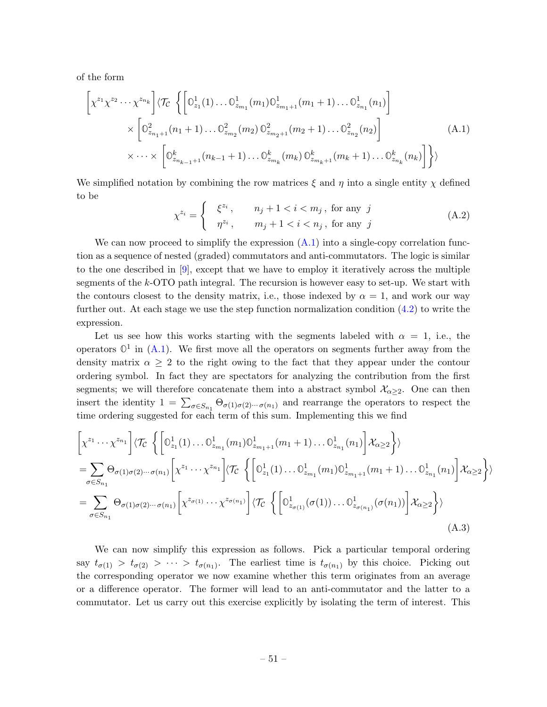of the form

<span id="page-52-0"></span>
$$
\left[ \chi^{z_1} \chi^{z_2} \cdots \chi^{z_{n_k}} \right] \langle \mathcal{T}_C \left\{ \left[ \mathbb{O}^1_{z_1}(1) \dots \mathbb{O}^1_{z_{m_1}}(m_1) \mathbb{O}^1_{z_{m_1+1}}(m_1+1) \dots \mathbb{O}^1_{z_{n_1}}(n_1) \right] \times \left[ \mathbb{O}^2_{z_{n_1+1}}(n_1+1) \dots \mathbb{O}^2_{z_{m_2}}(m_2) \mathbb{O}^2_{z_{m_2+1}}(m_2+1) \dots \mathbb{O}^2_{z_{n_2}}(n_2) \right] \times \cdots \times \left[ \mathbb{O}^k_{z_{n_{k-1}+1}}(n_{k-1}+1) \dots \mathbb{O}^k_{z_{m_k}}(m_k) \mathbb{O}^k_{z_{m_k+1}}(m_k+1) \dots \mathbb{O}^k_{z_{n_k}}(n_k) \right] \right\} \rangle
$$
\n(A.1)

We simplified notation by combining the row matrices  $\xi$  and  $\eta$  into a single entity  $\chi$  defined to be

$$
\chi^{z_i} = \begin{cases} \xi^{z_i}, & n_j + 1 < i < m_j \text{, for any } j \\ \eta^{z_i}, & m_j + 1 < i < n_j \text{, for any } j \end{cases} \tag{A.2}
$$

We can now proceed to simplify the expression  $(A.1)$  into a single-copy correlation function as a sequence of nested (graded) commutators and anti-commutators. The logic is similar to the one described in [\[9\]](#page-57-8), except that we have to employ it iteratively across the multiple segments of the k-OTO path integral. The recursion is however easy to set-up. We start with the contours closest to the density matrix, i.e., those indexed by  $\alpha = 1$ , and work our way further out. At each stage we use the step function normalization condition [\(4.2\)](#page-20-2) to write the expression.

Let us see how this works starting with the segments labeled with  $\alpha = 1$ , i.e., the operators  $\mathbb{O}^1$  in  $(A.1)$ . We first move all the operators on segments further away from the density matrix  $\alpha \geq 2$  to the right owing to the fact that they appear under the contour ordering symbol. In fact they are spectators for analyzing the contribution from the first segments; we will therefore concatenate them into a abstract symbol  $\mathcal{X}_{\alpha>2}$ . One can then insert the identity  $1 = \sum_{\sigma \in S_{n_1}} \Theta_{\sigma(1)\sigma(2)\cdots \sigma(n_1)}$  and rearrange the operators to respect the time ordering suggested for each term of this sum. Implementing this we find

$$
\left[\chi^{z_1} \cdots \chi^{z_{n_1}}\right] \langle \mathcal{T}_{\mathcal{C}} \left\{ \left[\mathbb{O}^1_{z_1}(1) \dots \mathbb{O}^1_{z_{m_1}}(m_1) \mathbb{O}^1_{z_{m_1+1}}(m_1+1) \dots \mathbb{O}^1_{z_{n_1}}(n_1) \right] \mathcal{X}_{\alpha \ge 2} \right\} \rangle
$$
\n
$$
= \sum_{\sigma \in S_{n_1}} \Theta_{\sigma(1)\sigma(2)\cdots\sigma(n_1)} \left[ \chi^{z_1} \cdots \chi^{z_{n_1}} \right] \langle \mathcal{T}_{\mathcal{C}} \left\{ \left[\mathbb{O}^1_{z_1}(1) \dots \mathbb{O}^1_{z_{m_1}}(m_1) \mathbb{O}^1_{z_{m_1+1}}(m_1+1) \dots \mathbb{O}^1_{z_{n_1}}(n_1) \right] \mathcal{X}_{\alpha \ge 2} \right\} \rangle
$$
\n
$$
= \sum_{\sigma \in S_{n_1}} \Theta_{\sigma(1)\sigma(2)\cdots\sigma(n_1)} \left[ \chi^{z_{\sigma(1)}} \cdots \chi^{z_{\sigma(n_1)}} \right] \langle \mathcal{T}_{\mathcal{C}} \left\{ \left[\mathbb{O}^1_{z_{\sigma(1)}}(\sigma(1)) \dots \mathbb{O}^1_{z_{\sigma(n_1)}}(\sigma(n_1)) \right] \mathcal{X}_{\alpha \ge 2} \right\} \rangle
$$
\n(A.3)

We can now simplify this expression as follows. Pick a particular temporal ordering say  $t_{\sigma(1)} > t_{\sigma(2)} > \cdots > t_{\sigma(n_1)}$ . The earliest time is  $t_{\sigma(n_1)}$  by this choice. Picking out the corresponding operator we now examine whether this term originates from an average or a difference operator. The former will lead to an anti-commutator and the latter to a commutator. Let us carry out this exercise explicitly by isolating the term of interest. This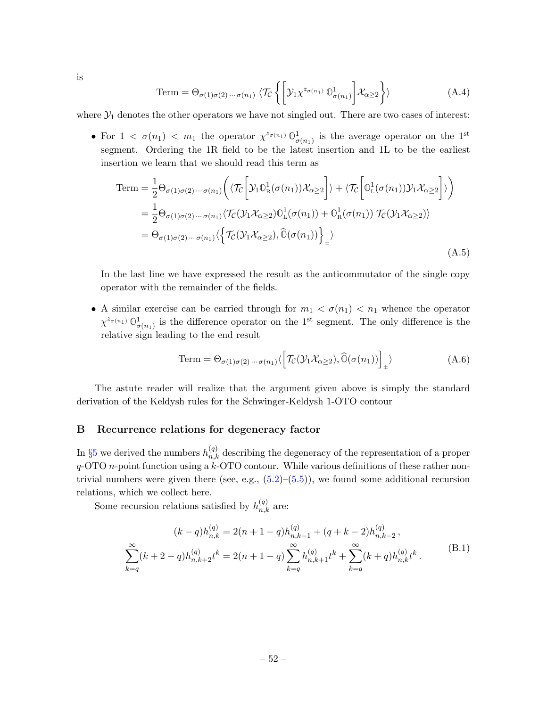is

Term = 
$$
\Theta_{\sigma(1)\sigma(2)\cdots\sigma(n_1)} \langle \mathcal{T}_{\mathcal{C}} \left\{ \left[ \mathcal{Y}_1 \chi^{z_{\sigma(n_1)}} \mathbb{O}^1_{\sigma(n_1)} \right] \mathcal{X}_{\alpha \ge 2} \right\} \rangle
$$
 (A.4)

where  $\mathcal{Y}_1$  denotes the other operators we have not singled out. There are two cases of interest:

• For  $1 < \sigma(n_1) < m_1$  the operator  $\chi^{z_{\sigma(n_1)}} \mathbb{O}^1_{\sigma(n_1)}$  is the average operator on the 1<sup>st</sup> segment. Ordering the 1R field to be the latest insertion and 1L to be the earliest insertion we learn that we should read this term as

Term = 
$$
\frac{1}{2} \Theta_{\sigma(1)\sigma(2)\cdots\sigma(n_1)} \Big( \langle \mathcal{T}_C \Big[ \mathcal{Y}_1 \mathbb{O}_R^1(\sigma(n_1)) \mathcal{X}_{\alpha \geq 2} \Big] \rangle + \langle \mathcal{T}_C \Big[ \mathbb{O}_L^1(\sigma(n_1)) \mathcal{Y}_1 \mathcal{X}_{\alpha \geq 2} \Big] \rangle \Big)
$$
  
\n=  $\frac{1}{2} \Theta_{\sigma(1)\sigma(2)\cdots\sigma(n_1)} \langle \mathcal{T}_C(\mathcal{Y}_1 \mathcal{X}_{\alpha \geq 2}) \mathbb{O}_L^1(\sigma(n_1)) + \mathbb{O}_R^1(\sigma(n_1)) \mathcal{T}_C(\mathcal{Y}_1 \mathcal{X}_{\alpha \geq 2}) \rangle$   
\n=  $\Theta_{\sigma(1)\sigma(2)\cdots\sigma(n_1)} \langle \Big\{ \mathcal{T}_C(\mathcal{Y}_1 \mathcal{X}_{\alpha \geq 2}), \widehat{\mathbb{O}}(\sigma(n_1)) \Big\}_\pm \rangle$  (A.5)

In the last line we have expressed the result as the anticommutator of the single copy operator with the remainder of the fields.

• A similar exercise can be carried through for  $m_1 < \sigma(n_1) < n_1$  whence the operator  $\chi^{z_{\sigma(n_1)}} \mathbb{O}^1_{\sigma(n_1)}$  is the difference operator on the 1<sup>st</sup> segment. The only difference is the relative sign leading to the end result

Term = 
$$
\Theta_{\sigma(1)\sigma(2)\cdots\sigma(n_1)}\langle \left[\mathcal{T}_{\mathcal{C}}(\mathcal{Y}_1 \mathcal{X}_{\alpha \geq 2}), \widehat{\mathbb{O}}(\sigma(n_1))\right]_{\pm}\rangle
$$
 (A.6)

The astute reader will realize that the argument given above is simply the standard derivation of the Keldysh rules for the Schwinger-Keldysh 1-OTO contour

#### <span id="page-53-0"></span>B Recurrence relations for degeneracy factor

In §[5](#page-26-0) we derived the numbers  $h_{n,k}^{(q)}$  describing the degeneracy of the representation of a proper  $q$ -OTO n-point function using a  $k$ -OTO contour. While various definitions of these rather nontrivial numbers were given there (see, e.g.,  $(5.2)$ – $(5.5)$ ), we found some additional recursion relations, which we collect here.

Some recursion relations satisfied by  $h_{n,k}^{(q)}$  are:

$$
(k-q)h_{n,k}^{(q)} = 2(n+1-q)h_{n,k-1}^{(q)} + (q+k-2)h_{n,k-2}^{(q)},
$$
  

$$
\sum_{k=q}^{\infty} (k+2-q)h_{n,k+2}^{(q)}t^k = 2(n+1-q)\sum_{k=q}^{\infty} h_{n,k+1}^{(q)}t^k + \sum_{k=q}^{\infty} (k+q)h_{n,k}^{(q)}t^k.
$$
 (B.1)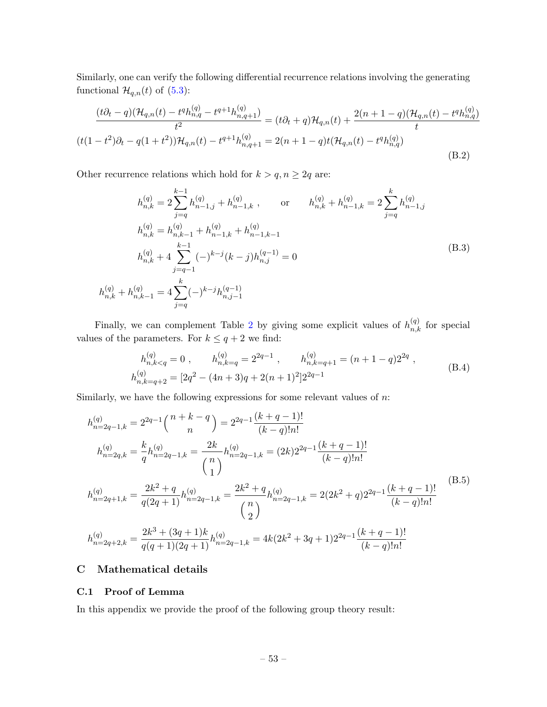Similarly, one can verify the following differential recurrence relations involving the generating functional  $\mathcal{H}_{q,n}(t)$  of [\(5.3\)](#page-26-4):

$$
\frac{(t\partial_t - q)(\mathcal{H}_{q,n}(t) - t^q h_{n,q}^{(q)} - t^{q+1} h_{n,q+1}^{(q)})}{t^2} = (t\partial_t + q)\mathcal{H}_{q,n}(t) + \frac{2(n+1-q)(\mathcal{H}_{q,n}(t) - t^q h_{n,q}^{(q)})}{t}
$$

$$
(t(1-t^2)\partial_t - q(1+t^2))\mathcal{H}_{q,n}(t) - t^{q+1} h_{n,q+1}^{(q)} = 2(n+1-q)t(\mathcal{H}_{q,n}(t) - t^q h_{n,q}^{(q)})
$$
(B.2)

Other recurrence relations which hold for  $k > q, n \geq 2q$  are:

$$
h_{n,k}^{(q)} = 2 \sum_{j=q}^{k-1} h_{n-1,j}^{(q)} + h_{n-1,k}^{(q)}, \quad \text{or} \quad h_{n,k}^{(q)} + h_{n-1,k}^{(q)} = 2 \sum_{j=q}^{k} h_{n-1,j}^{(q)}
$$
  
\n
$$
h_{n,k}^{(q)} = h_{n,k-1}^{(q)} + h_{n-1,k}^{(q)} + h_{n-1,k-1}^{(q)}
$$
  
\n
$$
h_{n,k}^{(q)} + 4 \sum_{j=q-1}^{k-1} (-)^{k-j} (k-j) h_{n,j}^{(q-1)} = 0
$$
  
\n
$$
h_{n,k}^{(q)} + h_{n,k-1}^{(q)} = 4 \sum_{j=q}^{k} (-)^{k-j} h_{n,j-1}^{(q-1)}
$$
  
\n(B.3)

Finally, we can complement Table [2](#page-27-1) by giving some explicit values of  $h_{n,k}^{(q)}$  for special values of the parameters. For  $k \leq q+2$  we find:

$$
h_{n,k=q}^{(q)} = 0 , \t h_{n,k=q}^{(q)} = 2^{2q-1} , \t h_{n,k=q+1}^{(q)} = (n+1-q)2^{2q} ,
$$
  
\n
$$
h_{n,k=q+2}^{(q)} = [2q^2 - (4n+3)q + 2(n+1)^2]2^{2q-1}
$$
\n(B.4)

Similarly, we have the following expressions for some relevant values of  $n$ :

$$
h_{n=2q-1,k}^{(q)} = 2^{2q-1} {n+k-q \choose n} = 2^{2q-1} \frac{(k+q-1)!}{(k-q)!n!}
$$
  
\n
$$
h_{n=2q,k}^{(q)} = \frac{k}{q} h_{n=2q-1,k}^{(q)} = \frac{2k}{\binom{n}{1}} h_{n=2q-1,k}^{(q)} = (2k)2^{2q-1} \frac{(k+q-1)!}{(k-q)!n!}
$$
  
\n
$$
h_{n=2q+1,k}^{(q)} = \frac{2k^2+q}{q(2q+1)} h_{n=2q-1,k}^{(q)} = \frac{2k^2+q}{\binom{n}{2}} h_{n=2q-1,k}^{(q)} = 2(2k^2+q)2^{2q-1} \frac{(k+q-1)!}{(k-q)!n!}
$$
  
\n
$$
h_{n=2q+2,k}^{(q)} = \frac{2k^3+(3q+1)k}{q(q+1)(2q+1)} h_{n=2q-1,k}^{(q)} = 4k(2k^2+3q+1)2^{2q-1} \frac{(k+q-1)!}{(k-q)!n!}
$$
  
\n(3.5)

# <span id="page-54-0"></span>C Mathematical details

#### <span id="page-54-1"></span>C.1 Proof of Lemma

In this appendix we provide the proof of the following group theory result: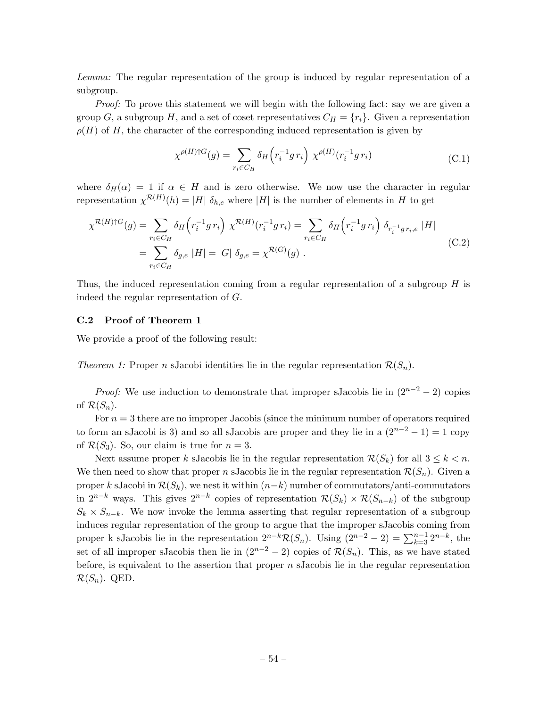Lemma: The regular representation of the group is induced by regular representation of a subgroup.

Proof: To prove this statement we will begin with the following fact: say we are given a group G, a subgroup H, and a set of coset representatives  $C_H = \{r_i\}$ . Given a representation  $\rho(H)$  of H, the character of the corresponding induced representation is given by

$$
\chi^{\rho(H)\uparrow G}(g) = \sum_{r_i \in C_H} \delta_H(r_i^{-1}g\,r_i) \,\,\chi^{\rho(H)}(r_i^{-1}g\,r_i) \tag{C.1}
$$

where  $\delta_H(\alpha) = 1$  if  $\alpha \in H$  and is zero otherwise. We now use the character in regular representation  $\chi^{R(H)}(h) = |H| \delta_{h,e}$  where  $|H|$  is the number of elements in H to get

$$
\chi^{\mathcal{R}(H)\dagger G}(g) = \sum_{r_i \in C_H} \delta_H(r_i^{-1}gr_i) \chi^{\mathcal{R}(H)}(r_i^{-1}gr_i) = \sum_{r_i \in C_H} \delta_H(r_i^{-1}gr_i) \delta_{r_i^{-1}gr_i, e} |H|
$$
  
= 
$$
\sum_{r_i \in C_H} \delta_{g,e} |H| = |G| \delta_{g,e} = \chi^{\mathcal{R}(G)}(g).
$$
 (C.2)

Thus, the induced representation coming from a regular representation of a subgroup  $H$  is indeed the regular representation of G.

#### <span id="page-55-0"></span>C.2 Proof of Theorem 1

We provide a proof of the following result:

Theorem 1: Proper n sJacobi identities lie in the regular representation  $\mathcal{R}(S_n)$ .

*Proof:* We use induction to demonstrate that improper sJacobis lie in  $(2^{n-2} - 2)$  copies of  $\mathcal{R}(S_n)$ .

For  $n = 3$  there are no improper Jacobis (since the minimum number of operators required to form an sJacobi is 3) and so all sJacobis are proper and they lie in a  $(2^{n-2} - 1) = 1$  copy of  $\mathcal{R}(S_3)$ . So, our claim is true for  $n=3$ .

Next assume proper k sJacobis lie in the regular representation  $\mathcal{R}(S_k)$  for all  $3 \leq k < n$ . We then need to show that proper n sJacobis lie in the regular representation  $\mathcal{R}(S_n)$ . Given a proper k sJacobi in  $\mathcal{R}(S_k)$ , we nest it within  $(n-k)$  number of commutators/anti-commutators in  $2^{n-k}$  ways. This gives  $2^{n-k}$  copies of representation  $\mathcal{R}(S_k) \times \mathcal{R}(S_{n-k})$  of the subgroup  $S_k \times S_{n-k}$ . We now invoke the lemma asserting that regular representation of a subgroup induces regular representation of the group to argue that the improper sJacobis coming from proper k sJacobis lie in the representation  $2^{n-k} \mathcal{R}(S_n)$ . Using  $(2^{n-2} - 2) = \sum_{k=3}^{n-1} 2^{n-k}$ , the set of all improper sJacobis then lie in  $(2^{n-2} - 2)$  copies of  $\mathcal{R}(S_n)$ . This, as we have stated before, is equivalent to the assertion that proper  $n$  sJacobis lie in the regular representation  $\mathcal{R}(S_n)$ . QED.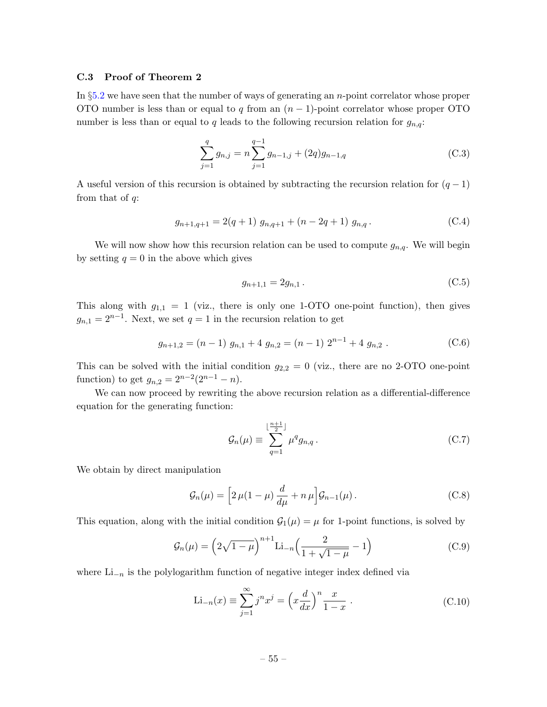#### <span id="page-56-0"></span>C.3 Proof of Theorem 2

In §[5.2](#page-29-0) we have seen that the number of ways of generating an n-point correlator whose proper OTO number is less than or equal to q from an  $(n-1)$ -point correlator whose proper OTO number is less than or equal to q leads to the following recursion relation for  $g_{n,q}$ :

$$
\sum_{j=1}^{q} g_{n,j} = n \sum_{j=1}^{q-1} g_{n-1,j} + (2q) g_{n-1,q}
$$
 (C.3)

A useful version of this recursion is obtained by subtracting the recursion relation for  $(q-1)$ from that of  $q$ :

$$
g_{n+1,q+1} = 2(q+1) g_{n,q+1} + (n-2q+1) g_{n,q}. \tag{C.4}
$$

We will now show how this recursion relation can be used to compute  $g_{n,q}$ . We will begin by setting  $q = 0$  in the above which gives

$$
g_{n+1,1} = 2g_{n,1} \tag{C.5}
$$

This along with  $g_{1,1} = 1$  (viz., there is only one 1-OTO one-point function), then gives  $g_{n,1} = 2^{n-1}$ . Next, we set  $q = 1$  in the recursion relation to get

$$
g_{n+1,2} = (n-1) g_{n,1} + 4 g_{n,2} = (n-1) 2^{n-1} + 4 g_{n,2} .
$$
 (C.6)

This can be solved with the initial condition  $g_{2,2} = 0$  (viz., there are no 2-OTO one-point function) to get  $g_{n,2} = 2^{n-2}(2^{n-1} - n)$ .

We can now proceed by rewriting the above recursion relation as a differential-difference equation for the generating function:

$$
\mathcal{G}_n(\mu) \equiv \sum_{q=1}^{\lfloor \frac{n+1}{2} \rfloor} \mu^q g_{n,q} \,. \tag{C.7}
$$

We obtain by direct manipulation

$$
\mathcal{G}_n(\mu) = \left[ 2 \,\mu (1 - \mu) \, \frac{d}{d\mu} + n \,\mu \right] \mathcal{G}_{n-1}(\mu) \,. \tag{C.8}
$$

This equation, along with the initial condition  $\mathcal{G}_1(\mu) = \mu$  for 1-point functions, is solved by

$$
\mathcal{G}_n(\mu) = \left(2\sqrt{1-\mu}\right)^{n+1} \text{Li}_{-n}\left(\frac{2}{1+\sqrt{1-\mu}}-1\right) \tag{C.9}
$$

where  $Li_{-n}$  is the polylogarithm function of negative integer index defined via

$$
\text{Li}_{-n}(x) \equiv \sum_{j=1}^{\infty} j^{n} x^{j} = \left(x \frac{d}{dx}\right)^{n} \frac{x}{1-x} .
$$
 (C.10)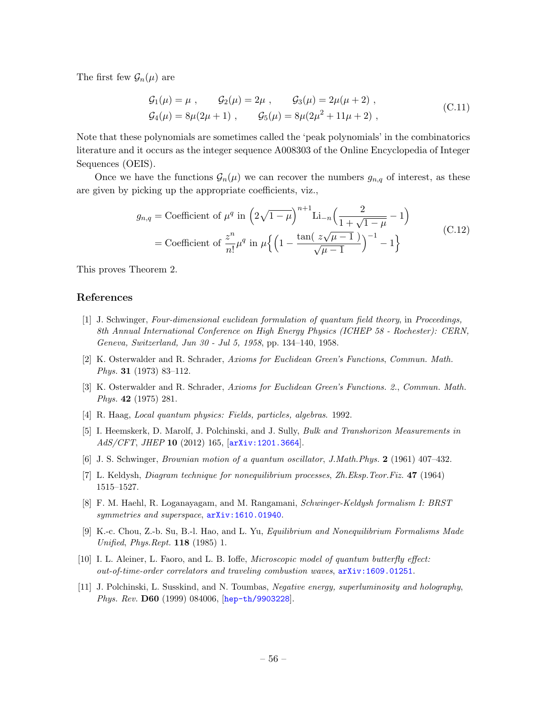The first few  $\mathcal{G}_n(\mu)$  are

$$
\begin{aligned}\n\mathcal{G}_1(\mu) &= \mu \;, \qquad \mathcal{G}_2(\mu) = 2\mu \;, \qquad \mathcal{G}_3(\mu) = 2\mu(\mu + 2) \;, \\
\mathcal{G}_4(\mu) &= 8\mu(2\mu + 1) \;, \qquad \mathcal{G}_5(\mu) = 8\mu(2\mu^2 + 11\mu + 2) \;, \end{aligned} \tag{C.11}
$$

Note that these polynomials are sometimes called the 'peak polynomials' in the combinatorics literature and it occurs as the integer sequence A008303 of the Online Encyclopedia of Integer Sequences (OEIS).

Once we have the functions  $\mathcal{G}_n(\mu)$  we can recover the numbers  $g_{n,q}$  of interest, as these are given by picking up the appropriate coefficients, viz.,

$$
g_{n,q} = \text{Coefficient of } \mu^q \text{ in } \left(2\sqrt{1-\mu}\right)^{n+1} \text{Li}_{-n}\left(\frac{2}{1+\sqrt{1-\mu}}-1\right)
$$
  
= Coefficient of  $\frac{z^n}{n!} \mu^q$  in  $\mu\left\{\left(1-\frac{\tan\left(\frac{z\sqrt{\mu-1}}{\sqrt{\mu-1}}\right)}{\sqrt{\mu-1}}\right)^{-1}-1\right\}$  (C.12)

This proves Theorem 2.

#### References

- <span id="page-57-0"></span>[1] J. Schwinger, Four-dimensional euclidean formulation of quantum field theory, in Proceedings, 8th Annual International Conference on High Energy Physics (ICHEP 58 - Rochester): CERN, Geneva, Switzerland, Jun 30 - Jul 5, 1958, pp. 134–140, 1958.
- <span id="page-57-1"></span>[2] K. Osterwalder and R. Schrader, Axioms for Euclidean Green's Functions, Commun. Math. Phys. 31 (1973) 83–112.
- <span id="page-57-2"></span>[3] K. Osterwalder and R. Schrader, Axioms for Euclidean Green's Functions. 2., Commun. Math. Phys. 42 (1975) 281.
- <span id="page-57-3"></span>[4] R. Haag, Local quantum physics: Fields, particles, algebras. 1992.
- <span id="page-57-4"></span>[5] I. Heemskerk, D. Marolf, J. Polchinski, and J. Sully, Bulk and Transhorizon Measurements in AdS/CFT, JHEP 10 (2012) 165, [[arXiv:1201.3664](http://arxiv.org/abs/1201.3664)].
- <span id="page-57-5"></span>[6] J. S. Schwinger, Brownian motion of a quantum oscillator, J.Math.Phys. 2 (1961) 407–432.
- <span id="page-57-6"></span>[7] L. Keldysh, Diagram technique for nonequilibrium processes, Zh.Eksp.Teor.Fiz. 47 (1964) 1515–1527.
- <span id="page-57-7"></span>[8] F. M. Haehl, R. Loganayagam, and M. Rangamani, Schwinger-Keldysh formalism I: BRST symmetries and superspace, [arXiv:1610.01940](http://arxiv.org/abs/1610.01940).
- <span id="page-57-8"></span>[9] K.-c. Chou, Z.-b. Su, B.-l. Hao, and L. Yu, Equilibrium and Nonequilibrium Formalisms Made Unified, Phys.Rept. 118 (1985) 1.
- <span id="page-57-9"></span>[10] I. L. Aleiner, L. Faoro, and L. B. Ioffe, Microscopic model of quantum butterfly effect: out-of-time-order correlators and traveling combustion waves, [arXiv:1609.01251](http://arxiv.org/abs/1609.01251).
- <span id="page-57-10"></span>[11] J. Polchinski, L. Susskind, and N. Toumbas, Negative energy, superluminosity and holography, Phys. Rev. D60 (1999) 084006, [[hep-th/9903228](http://arxiv.org/abs/hep-th/9903228)].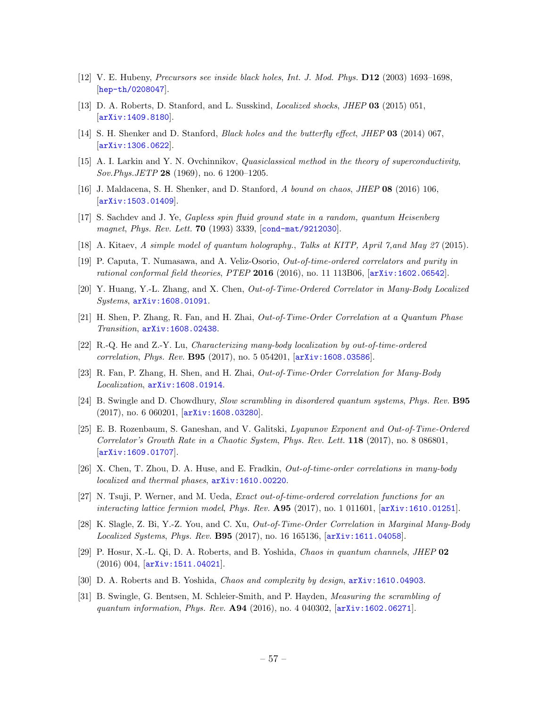- <span id="page-58-0"></span>[12] V. E. Hubeny, Precursors see inside black holes, Int. J. Mod. Phys. D12 (2003) 1693–1698, [[hep-th/0208047](http://arxiv.org/abs/hep-th/0208047)].
- <span id="page-58-1"></span>[13] D. A. Roberts, D. Stanford, and L. Susskind, Localized shocks, JHEP 03 (2015) 051, [[arXiv:1409.8180](http://arxiv.org/abs/1409.8180)].
- <span id="page-58-2"></span>[14] S. H. Shenker and D. Stanford, Black holes and the butterfly effect, JHEP 03 (2014) 067, [[arXiv:1306.0622](http://arxiv.org/abs/1306.0622)].
- <span id="page-58-6"></span>[15] A. I. Larkin and Y. N. Ovchinnikov, Quasiclassical method in the theory of superconductivity, Sov.Phys.JETP 28 (1969), no. 6 1200–1205.
- <span id="page-58-3"></span>[16] J. Maldacena, S. H. Shenker, and D. Stanford, A bound on chaos, JHEP 08 (2016) 106, [[arXiv:1503.01409](http://arxiv.org/abs/1503.01409)].
- <span id="page-58-4"></span>[17] S. Sachdev and J. Ye, Gapless spin fluid ground state in a random, quantum Heisenberg magnet, Phys. Rev. Lett. **70** (1993) 3339, [[cond-mat/9212030](http://arxiv.org/abs/cond-mat/9212030)].
- <span id="page-58-5"></span>[18] A. Kitaev, A simple model of quantum holography., Talks at KITP, April 7,and May 27 (2015).
- <span id="page-58-7"></span>[19] P. Caputa, T. Numasawa, and A. Veliz-Osorio, Out-of-time-ordered correlators and purity in rational conformal field theories, PTEP 2016 (2016), no. 11 113B06,  $\left[$ [arXiv:1602.06542](http://arxiv.org/abs/1602.06542).
- [20] Y. Huang, Y.-L. Zhang, and X. Chen, Out-of-Time-Ordered Correlator in Many-Body Localized Systems, [arXiv:1608.01091](http://arxiv.org/abs/1608.01091).
- [21] H. Shen, P. Zhang, R. Fan, and H. Zhai, Out-of-Time-Order Correlation at a Quantum Phase Transition, [arXiv:1608.02438](http://arxiv.org/abs/1608.02438).
- [22] R.-Q. He and Z.-Y. Lu, Characterizing many-body localization by out-of-time-ordered correlation, Phys. Rev. B95 (2017), no. 5 054201, [[arXiv:1608.03586](http://arxiv.org/abs/1608.03586)].
- <span id="page-58-12"></span>[23] R. Fan, P. Zhang, H. Shen, and H. Zhai, Out-of-Time-Order Correlation for Many-Body Localization, [arXiv:1608.01914](http://arxiv.org/abs/1608.01914).
- [24] B. Swingle and D. Chowdhury, Slow scrambling in disordered quantum systems, Phys. Rev. **B95** (2017), no. 6 060201, [[arXiv:1608.03280](http://arxiv.org/abs/1608.03280)].
- [25] E. B. Rozenbaum, S. Ganeshan, and V. Galitski, Lyapunov Exponent and Out-of-Time-Ordered Correlator's Growth Rate in a Chaotic System, Phys. Rev. Lett. 118 (2017), no. 8 086801, [[arXiv:1609.01707](http://arxiv.org/abs/1609.01707)].
- [26] X. Chen, T. Zhou, D. A. Huse, and E. Fradkin, Out-of-time-order correlations in many-body localized and thermal phases,  $arXiv:1610.00220$ .
- [27] N. Tsuji, P. Werner, and M. Ueda, Exact out-of-time-ordered correlation functions for an interacting lattice fermion model, Phys. Rev. A95 (2017), no. 1 011601, [[arXiv:1610.01251](http://arxiv.org/abs/1610.01251)].
- <span id="page-58-8"></span>[28] K. Slagle, Z. Bi, Y.-Z. You, and C. Xu, Out-of-Time-Order Correlation in Marginal Many-Body Localized Systems, Phys. Rev. B95 (2017), no. 16 165136, [[arXiv:1611.04058](http://arxiv.org/abs/1611.04058)].
- <span id="page-58-9"></span>[29] P. Hosur, X.-L. Qi, D. A. Roberts, and B. Yoshida, Chaos in quantum channels, JHEP 02 (2016) 004, [[arXiv:1511.04021](http://arxiv.org/abs/1511.04021)].
- <span id="page-58-10"></span>[30] D. A. Roberts and B. Yoshida, Chaos and complexity by design,  $arXiv:1610.04903$ .
- <span id="page-58-11"></span>[31] B. Swingle, G. Bentsen, M. Schleier-Smith, and P. Hayden, Measuring the scrambling of quantum information, Phys. Rev. A94 (2016), no. 4 040302, [[arXiv:1602.06271](http://arxiv.org/abs/1602.06271)].